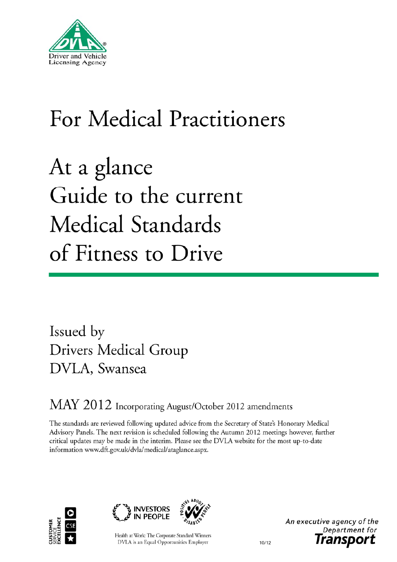

# For Medical Practitioners

At a glance Guide to the current Medical Standards of Fitness to Drive

Issued by **Drivers Medical Group** DVLA, Swansea

MAY 2012 Incorporating August/October 2012 amendments

The standards are reviewed following updated advice from the Secretary of State's Honorary Medical Advisory Panels. The next revision is scheduled following the Autumn 2012 meetings however, further critical updates may be made in the interim. Please see the DVLA website for the most up-to-date information www.dft.gov.uk/dvla/medical/ataglance.aspx.





Health at Work: The Corporate Standard Winners

An executive agency of the Department for *Iransport*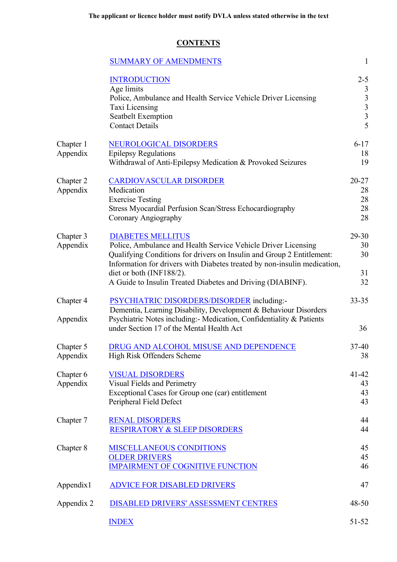# **CONTENTS**

|                       | <b>SUMMARY OF AMENDMENTS</b>                                                                                                                                                                                                                                                                                                             | $\mathbf{1}$                                                    |
|-----------------------|------------------------------------------------------------------------------------------------------------------------------------------------------------------------------------------------------------------------------------------------------------------------------------------------------------------------------------------|-----------------------------------------------------------------|
|                       | <b>INTRODUCTION</b><br>Age limits<br>Police, Ambulance and Health Service Vehicle Driver Licensing<br>Taxi Licensing<br>Seatbelt Exemption<br><b>Contact Details</b>                                                                                                                                                                     | $2 - 5$<br>3<br>$\begin{array}{c} 3 \\ 3 \\ 3 \end{array}$<br>5 |
| Chapter 1<br>Appendix | NEUROLOGICAL DISORDERS<br><b>Epilepsy Regulations</b><br>Withdrawal of Anti-Epilepsy Medication & Provoked Seizures                                                                                                                                                                                                                      | $6 - 17$<br>18<br>19                                            |
| Chapter 2<br>Appendix | <b>CARDIOVASCULAR DISORDER</b><br>Medication<br><b>Exercise Testing</b><br>Stress Myocardial Perfusion Scan/Stress Echocardiography<br>Coronary Angiography                                                                                                                                                                              | $20 - 27$<br>28<br>28<br>28<br>28                               |
| Chapter 3<br>Appendix | <b>DIABETES MELLITUS</b><br>Police, Ambulance and Health Service Vehicle Driver Licensing<br>Qualifying Conditions for drivers on Insulin and Group 2 Entitlement:<br>Information for drivers with Diabetes treated by non-insulin medication,<br>diet or both (INF188/2).<br>A Guide to Insulin Treated Diabetes and Driving (DIABINF). | 29-30<br>30<br>30<br>31<br>32                                   |
| Chapter 4<br>Appendix | PSYCHIATRIC DISORDERS/DISORDER including:-<br>Dementia, Learning Disability, Development & Behaviour Disorders<br>Psychiatric Notes including: - Medication, Confidentiality & Patients<br>under Section 17 of the Mental Health Act                                                                                                     | 33-35<br>36                                                     |
| Chapter 5<br>Appendix | DRUG AND ALCOHOL MISUSE AND DEPENDENCE<br>High Risk Offenders Scheme                                                                                                                                                                                                                                                                     | $37 - 40$<br>38                                                 |
| Chapter 6<br>Appendix | <b>VISUAL DISORDERS</b><br>Visual Fields and Perimetry<br>Exceptional Cases for Group one (car) entitlement<br>Peripheral Field Defect                                                                                                                                                                                                   | $41 - 42$<br>43<br>43<br>43                                     |
| Chapter 7             | <b>RENAL DISORDERS</b><br><b>RESPIRATORY &amp; SLEEP DISORDERS</b>                                                                                                                                                                                                                                                                       | 44<br>44                                                        |
| Chapter 8             | <b>MISCELLANEOUS CONDITIONS</b><br><b>OLDER DRIVERS</b><br><b>IMPAIRMENT OF COGNITIVE FUNCTION</b>                                                                                                                                                                                                                                       | 45<br>45<br>46                                                  |
| Appendix1             | <b>ADVICE FOR DISABLED DRIVERS</b>                                                                                                                                                                                                                                                                                                       | 47                                                              |
| Appendix 2            | DISABLED DRIVERS' ASSESSMENT CENTRES                                                                                                                                                                                                                                                                                                     | $48 - 50$                                                       |
|                       | <b>INDEX</b>                                                                                                                                                                                                                                                                                                                             | 51-52                                                           |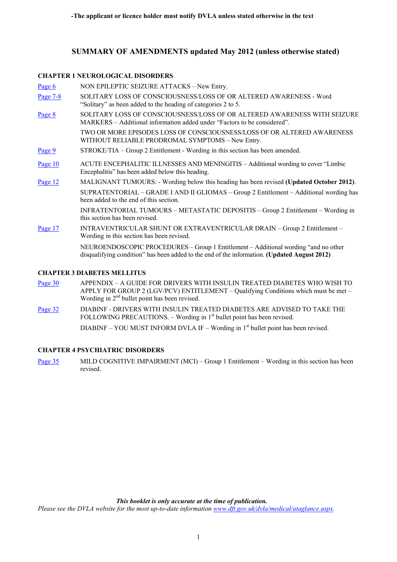### **SUMMARY OF AMENDMENTS updated May 2012 (unless otherwise stated)**

#### <span id="page-2-0"></span>**CHAPTER 1 NEUROLOGICAL DISORDERS**

| Page 6     | NON EPILEPTIC SEIZURE ATTACKS - New Entry.                                                                                                                                          |
|------------|-------------------------------------------------------------------------------------------------------------------------------------------------------------------------------------|
| Page $7-8$ | SOLITARY LOSS OF CONSCIOUSNESS/LOSS OF OR ALTERED AWARENESS - Word<br>"Solitary" as been added to the heading of categories 2 to 5.                                                 |
| Page 8     | SOLITARY LOSS OF CONSCIOUSNESS/LOSS OF OR ALTERED AWARENESS WITH SEIZURE<br>MARKERS – Additional information added under "Factors to be considered".                                |
|            | TWO OR MORE EPISODES LOSS OF CONSCIOUSNESS/LOSS OF OR ALTERED AWARENESS<br>WITHOUT RELIABLE PRODROMAL SYMPTOMS - New Entry.                                                         |
| Page 9     | STROKE/TIA – Group 2 Entitlement - Wording in this section has been amended.                                                                                                        |
| Page $10$  | ACUTE ENCEPHALITIC ILLNESSES AND MENINGITIS - Additional wording to cover "Limbic<br>Encephalitis" has been added below this heading.                                               |
| Page $12$  | MALIGNANT TUMOURS: - Wording below this heading has been revised (Updated October 2012).                                                                                            |
|            | SUPRATENTORIAL – GRADE I AND II GLIOMAS – Group 2 Entitlement – Additional wording has<br>been added to the end of this section.                                                    |
|            | INFRATENTORIAL TUMOURS – METASTATIC DEPOSITIS – Group 2 Entitlement – Wording in<br>this section has been revised.                                                                  |
| Page $17$  | INTRAVENTRICULAR SHUNT OR EXTRAVENTRICULAR DRAIN - Group 2 Entitlement -<br>Wording in this section has been revised.                                                               |
|            | NEUROENDOSCOPIC PROCEDURES – Group 1 Entitlement – Additional wording "and no other<br>disqualifying condition" has been added to the end of the information. (Updated August 2012) |
|            |                                                                                                                                                                                     |

#### **CHAPTER 3 DIABETES MELLITUS**

[Page 30](#page-31-0) APPENDIX – A GUIDE FOR DRIVERS WITH INSULIN TREATED DIABETES WHO WISH TO APPLY FOR GROUP 2 (LGV/PCV) ENTITLEMENT – Qualifying Conditions which must be met – Wording in 2<sup>nd</sup> bullet point has been revised.

[Page 32](#page-33-0) DIABINF - DRIVERS WITH INSULIN TREATED DIABETES ARE ADVISED TO TAKE THE FOLLOWING PRECAUTIONS. – Wording in  $1<sup>st</sup>$  bullet point has been revised.

DIABINF – YOU MUST INFORM DVLA IF – Wording in  $1<sup>st</sup>$  bullet point has been revised.

#### **CHAPTER 4 PSYCHIATRIC DISORDERS**

[Page 35](#page-36-0) MILD COGNITIVE IMPAIRMENT (MCI) – Group 1 Entitlement – Wording in this section has been revised.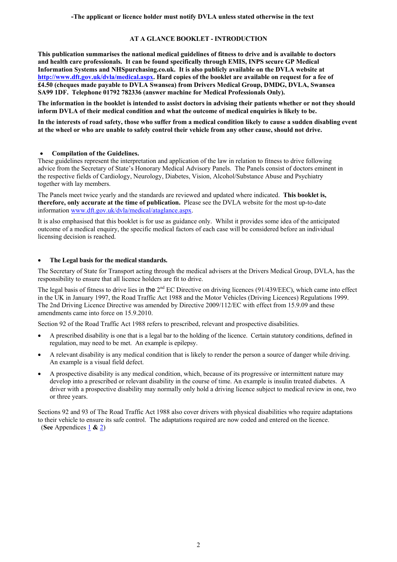#### **AT A GLANCE BOOKLET - INTRODUCTION**

<span id="page-3-0"></span>**This publication summarises the national medical guidelines of fitness to drive and is available to doctors and health care professionals. It can be found specifically through EMIS, INPS secure GP Medical Information Systems and NHSpurchasing.co.uk. It is also publicly available on the DVLA website at [http://www.dft.gov.uk/dvla/medical.aspx.](http://www.dft.gov.uk/dvla/medical.aspx) Hard copies of the booklet are available on request for a fee of £4.50 (cheques made payable to DVLA Swansea) from Drivers Medical Group, DMDG, DVLA, Swansea SA99 1DF. Telephone 01792 782336 (answer machine for Medical Professionals Only).** 

**The information in the booklet is intended to assist doctors in advising their patients whether or not they should inform DVLA of their medical condition and what the outcome of medical enquiries is likely to be.**

**In the interests of road safety, those who suffer from a medical condition likely to cause a sudden disabling event at the wheel or who are unable to safely control their vehicle from any other cause, should not drive.** 

#### x **Compilation of the Guidelines.**

These guidelines represent the interpretation and application of the law in relation to fitness to drive following advice from the Secretary of State's Honorary Medical Advisory Panels. The Panels consist of doctors eminent in the respective fields of Cardiology, Neurology, Diabetes, Vision, Alcohol/Substance Abuse and Psychiatry together with lay members.

The Panels meet twice yearly and the standards are reviewed and updated where indicated. **This booklet is, therefore, only accurate at the time of publication.** Please see the DVLA website for the most up-to-date information [www.dft.gov.uk/dvla/medical/ataglance.aspx](http://www.dft.gov.uk/dvla/medical/ataglance.aspx).

It is also emphasised that this booklet is for use as guidance only. Whilst it provides some idea of the anticipated outcome of a medical enquiry, the specific medical factors of each case will be considered before an individual licensing decision is reached.

#### x **The Legal basis for the medical standards.**

The Secretary of State for Transport acting through the medical advisers at the Drivers Medical Group, DVLA, has the responsibility to ensure that all licence holders are fit to drive.

The legal basis of fitness to drive lies in the 2<sup>nd</sup> EC Directive on driving licences (91/439/EEC), which came into effect in the UK in January 1997, the Road Traffic Act 1988 and the Motor Vehicles (Driving Licences) Regulations 1999. The 2nd Driving Licence Directive was amended by Directive 2009/112/EC with effect from 15.9.09 and these amendments came into force on 15.9.2010.

Section 92 of the Road Traffic Act 1988 refers to prescribed, relevant and prospective disabilities.

- x A prescribed disability is one that is a legal bar to the holding of the licence. Certain statutory conditions, defined in regulation, may need to be met. An example is epilepsy.
- A relevant disability is any medical condition that is likely to render the person a source of danger while driving. An example is a visual field defect.
- A prospective disability is any medical condition, which, because of its progressive or intermittent nature may develop into a prescribed or relevant disability in the course of time. An example is insulin treated diabetes. A driver with a prospective disability may normally only hold a driving licence subject to medical review in one, two or three years.

Sections 92 and 93 of The Road Traffic Act 1988 also cover drivers with physical disabilities who require adaptations to their vehicle to ensure its safe control. The adaptations required are now coded and entered on the licence. (**See** Appendices [1](#page-48-0) **&** [2\)](#page-49-0)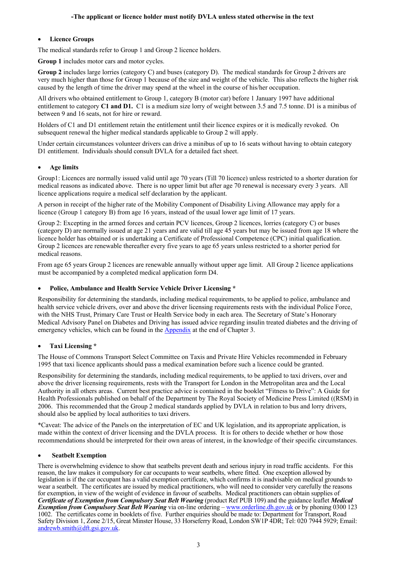#### <span id="page-4-0"></span>**Licence Groups**

The medical standards refer to Group 1 and Group 2 licence holders.

**Group 1** includes motor cars and motor cycles.

**Group 2** includes large lorries (category C) and buses (category D). The medical standards for Group 2 drivers are very much higher than those for Group 1 because of the size and weight of the vehicle. This also reflects the higher risk caused by the length of time the driver may spend at the wheel in the course of his/her occupation.

All drivers who obtained entitlement to Group 1, category B (motor car) before 1 January 1997 have additional entitlement to category **C1 and D1.** C1 is a medium size lorry of weight between 3.5 and 7.5 tonne. D1 is a minibus of between 9 and 16 seats, not for hire or reward.

Holders of C1 and D1 entitlement retain the entitlement until their licence expires or it is medically revoked. On subsequent renewal the higher medical standards applicable to Group 2 will apply.

Under certain circumstances volunteer drivers can drive a minibus of up to 16 seats without having to obtain category D1 entitlement. Individuals should consult DVLA for a detailed fact sheet.

#### x **Age limits**

Group1: Licences are normally issued valid until age 70 years (Till 70 licence) unless restricted to a shorter duration for medical reasons as indicated above. There is no upper limit but after age 70 renewal is necessary every 3 years. All licence applications require a medical self declaration by the applicant.

A person in receipt of the higher rate of the Mobility Component of Disability Living Allowance may apply for a licence (Group 1 category B) from age 16 years, instead of the usual lower age limit of 17 years.

Group 2: Excepting in the armed forces and certain PCV licences, Group 2 licences, lorries (category C) or buses (category D) are normally issued at age 21 years and are valid till age 45 years but may be issued from age 18 where the licence holder has obtained or is undertaking a Certificate of Professional Competence (CPC) initial qualification. Group 2 licences are renewable thereafter every five years to age 65 years unless restricted to a shorter period for medical reasons.

From age 65 years Group 2 licences are renewable annually without upper age limit. All Group 2 licence applications must be accompanied by a completed medical application form D4.

#### x **Police, Ambulance and Health Service Vehicle Driver Licensing \***

Responsibility for determining the standards, including medical requirements, to be applied to police, ambulance and health service vehicle drivers, over and above the driver licensing requirements rests with the individual Police Force, with the NHS Trust, Primary Care Trust or Health Service body in each area. The Secretary of State's Honorary Medical Advisory Panel on Diabetes and Driving has issued advice regarding insulin treated diabetes and the driving of emergency vehicles, which can be found in the [Appendix](#page-31-0) at the end of Chapter 3.

#### x **Taxi Licensing \***

The House of Commons Transport Select Committee on Taxis and Private Hire Vehicles recommended in February 1995 that taxi licence applicants should pass a medical examination before such a licence could be granted.

Responsibility for determining the standards, including medical requirements, to be applied to taxi drivers, over and above the driver licensing requirements, rests with the Transport for London in the Metropolitan area and the Local Authority in all others areas. Current best practice advice is contained in the booklet "Fitness to Drive": A Guide for Health Professionals published on behalf of the Department by The Royal Society of Medicine Press Limited ((RSM) in 2006. This recommended that the Group 2 medical standards applied by DVLA in relation to bus and lorry drivers, should also be applied by local authorities to taxi drivers.

\*Caveat: The advice of the Panels on the interpretation of EC and UK legislation, and its appropriate application, is made within the context of driver licensing and the DVLA process. It is for others to decide whether or how those recommendations should be interpreted for their own areas of interest, in the knowledge of their specific circumstances.

#### **Seatbelt Exemption**

There is overwhelming evidence to show that seatbelts prevent death and serious injury in road traffic accidents. For this reason, the law makes it compulsory for car occupants to wear seatbelts, where fitted. One exception allowed by legislation is if the car occupant has a valid exemption certificate, which confirms it is inadvisable on medical grounds to wear a seatbelt. The certificates are issued by medical practitioners, who will need to consider very carefully the reasons for exemption, in view of the weight of evidence in favour of seatbelts. Medical practitioners can obtain supplies of *Certificate of Exemption from Compulsory Seat Belt Wearing* (product Ref PUB 109) and the guidance leaflet *Medical Exemption from Compulsory Seat Belt Wearing* via on-line ordering – [www.orderline.dh.gov.uk](http://www.orderline.dh.gov.uk/) or by phoning 0300 123 1002. The certificates come in booklets of five. Further enquiries should be made to: Department for Transport, Road Safety Division 1, Zone 2/15, Great Minster House, 33 Horseferry Road, London SW1P 4DR; Tel: 020 7944 5929; Email: [andrewb.smith@dft.gsi.gov.uk.](mailto:andrewb.smith@dft.gsi.gov.uk)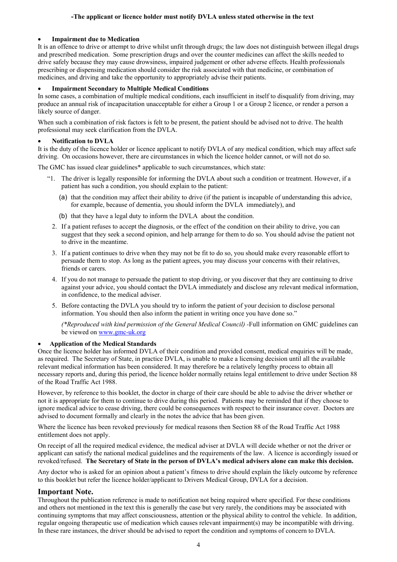#### <span id="page-5-0"></span>x **Impairment due to Medication**

It is an offence to drive or attempt to drive whilst unfit through drugs; the law does not distinguish between illegal drugs and prescribed medication. Some prescription drugs and over the counter medicines can affect the skills needed to drive safely because they may cause drowsiness, impaired judgement or other adverse effects. Health professionals prescribing or dispensing medication should consider the risk associated with that medicine, or combination of medicines, and driving and take the opportunity to appropriately advise their patients.

#### **Impairment Secondary to Multiple Medical Conditions**

In some cases, a combination of multiple medical conditions, each insufficient in itself to disqualify from driving, may produce an annual risk of incapacitation unacceptable for either a Group 1 or a Group 2 licence, or render a person a likely source of danger.

When such a combination of risk factors is felt to be present, the patient should be advised not to drive. The health professional may seek clarification from the DVLA.

#### x **Notification to DVLA**

It is the duty of the licence holder or licence applicant to notify DVLA of any medical condition, which may affect safe driving. On occasions however, there are circumstances in which the licence holder cannot, or will not do so.

The GMC has issued clear guidelines\* applicable to such circumstances, which state:

- "1. The driver is legally responsible for informing the DVLA about such a condition or treatment. However, if a patient has such a condition, you should explain to the patient:
	- (a) that the condition may affect their ability to drive (if the patient is incapable of understanding this advice, for example, because of dementia, you should inform the DVLA immediately), and
	- (b) that they have a legal duty to inform the DVLA about the condition.
	- 2. If a patient refuses to accept the diagnosis, or the effect of the condition on their ability to drive, you can suggest that they seek a second opinion, and help arrange for them to do so. You should advise the patient not to drive in the meantime.
	- 3. If a patient continues to drive when they may not be fit to do so, you should make every reasonable effort to persuade them to stop. As long as the patient agrees, you may discuss your concerns with their relatives, friends or carers.
	- 4. If you do not manage to persuade the patient to stop driving, or you discover that they are continuing to drive against your advice, you should contact the DVLA immediately and disclose any relevant medical information, in confidence, to the medical adviser.
	- 5. Before contacting the DVLA you should try to inform the patient of your decision to disclose personal information. You should then also inform the patient in writing once you have done so."

*(\*Reproduced with kind permission of the General Medical Council) -*Full information on GMC guidelines can be viewed on [www.gmc-uk.org](http://www.gmc-uk.org/)

#### x **Application of the Medical Standards**

Once the licence holder has informed DVLA of their condition and provided consent, medical enquiries will be made, as required. The Secretary of State, in practice DVLA, is unable to make a licensing decision until all the available relevant medical information has been considered. It may therefore be a relatively lengthy process to obtain all necessary reports and, during this period, the licence holder normally retains legal entitlement to drive under Section 88 of the Road Traffic Act 1988.

However, by reference to this booklet, the doctor in charge of their care should be able to advise the driver whether or not it is appropriate for them to continue to drive during this period. Patients may be reminded that if they choose to ignore medical advice to cease driving, there could be consequences with respect to their insurance cover. Doctors are advised to document formally and clearly in the notes the advice that has been given.

Where the licence has been revoked previously for medical reasons then Section 88 of the Road Traffic Act 1988 entitlement does not apply.

On receipt of all the required medical evidence, the medical adviser at DVLA will decide whether or not the driver or applicant can satisfy the national medical guidelines and the requirements of the law. A licence is accordingly issued or revoked/refused. **The Secretary of State in the person of DVLA's medical advisers alone can make this decision.**

Any doctor who is asked for an opinion about a patient's fitness to drive should explain the likely outcome by reference to this booklet but refer the licence holder/applicant to Drivers Medical Group, DVLA for a decision.

#### **Important Note.**

Throughout the publication reference is made to notification not being required where specified. For these conditions and others not mentioned in the text this is generally the case but very rarely, the conditions may be associated with continuing symptoms that may affect consciousness, attention or the physical ability to control the vehicle. In addition, regular ongoing therapeutic use of medication which causes relevant impairment(s) may be incompatible with driving. In these rare instances, the driver should be advised to report the condition and symptoms of concern to DVLA.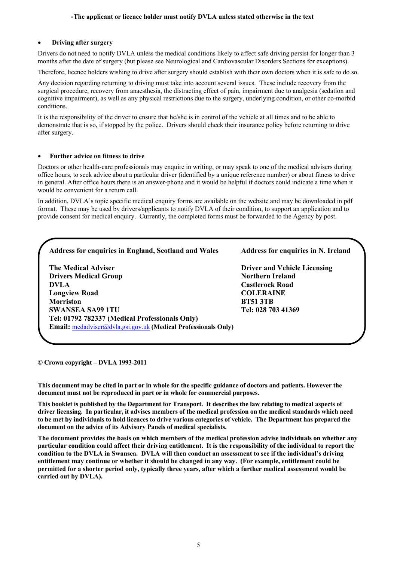#### <span id="page-6-0"></span>**•** Driving after surgery

Drivers do not need to notify DVLA unless the medical conditions likely to affect safe driving persist for longer than 3 months after the date of surgery (but please see Neurological and Cardiovascular Disorders Sections for exceptions).

Therefore, licence holders wishing to drive after surgery should establish with their own doctors when it is safe to do so.

Any decision regarding returning to driving must take into account several issues. These include recovery from the surgical procedure, recovery from anaesthesia, the distracting effect of pain, impairment due to analgesia (sedation and cognitive impairment), as well as any physical restrictions due to the surgery, underlying condition, or other co-morbid conditions.

It is the responsibility of the driver to ensure that he/she is in control of the vehicle at all times and to be able to demonstrate that is so, if stopped by the police. Drivers should check their insurance policy before returning to drive after surgery.

#### x **Further advice on fitness to drive**

Doctors or other health-care professionals may enquire in writing, or may speak to one of the medical advisers during office hours, to seek advice about a particular driver (identified by a unique reference number) or about fitness to drive in general. After office hours there is an answer-phone and it would be helpful if doctors could indicate a time when it would be convenient for a return call.

In addition, DVLA's topic specific medical enquiry forms are available on the website and may be downloaded in pdf format. These may be used by drivers/applicants to notify DVLA of their condition, to support an application and to provide consent for medical enquiry. Currently, the completed forms must be forwarded to the Agency by post.

#### Address for enquiries in England, Scotland and Wales Address for enquiries in N. Ireland

**The Medical Adviser**  The Medical Adviser **Driver and Vehicle Licensing Drivers Medical Group Northern Ireland**  Northern Ireland **DVLA Castlerock Road Longview Road COLERAINE Morriston BT51 3TB SWANSEA SA99 1TU Tel: 028 703 41369 Tel: 01792 782337 (Medical Professionals Only) Email:** [medadviser@dvla.gsi.gov.uk](mailto:medadviser@dvla.gsi.gov.uk) **(Medical Professionals Only)**

**© Crown copyright – DVLA 1993-2011** 

**This document may be cited in part or in whole for the specific guidance of doctors and patients. However the document must not be reproduced in part or in whole for commercial purposes.** 

**This booklet is published by the Department for Transport. It describes the law relating to medical aspects of driver licensing. In particular, it advises members of the medical profession on the medical standards which need to be met by individuals to hold licences to drive various categories of vehicle. The Department has prepared the document on the advice of its Advisory Panels of medical specialists.** 

**The document provides the basis on which members of the medical profession advise individuals on whether any particular condition could affect their driving entitlement. It is the responsibility of the individual to report the condition to the DVLA in Swansea. DVLA will then conduct an assessment to see if the individual's driving entitlement may continue or whether it should be changed in any way. (For example, entitlement could be permitted for a shorter period only, typically three years, after which a further medical assessment would be carried out by DVLA).**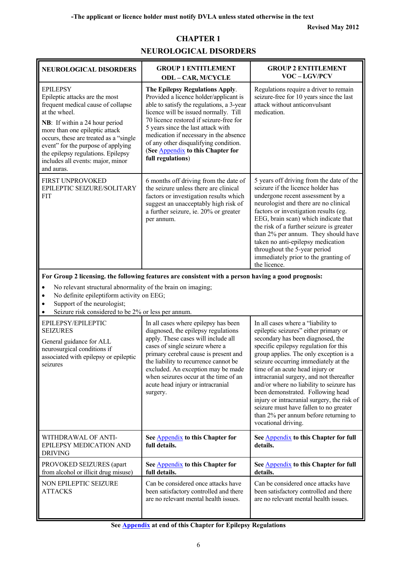# **CHAPTER 1 NEUROLOGICAL DISORDERS**

<span id="page-7-0"></span>

| <b>NEUROLOGICAL DISORDERS</b>                                                                                                                                                                                                                                                                                                                          | <b>GROUP 1 ENTITLEMENT</b><br><b>ODL-CAR, M/CYCLE</b>                                                                                                                                                                                                                                                                                                                                         | <b>GROUP 2 ENTITLEMENT</b><br>VOC-LGV/PCV                                                                                                                                                                                                                                                                                                                                                                                                                                                                                                                            |
|--------------------------------------------------------------------------------------------------------------------------------------------------------------------------------------------------------------------------------------------------------------------------------------------------------------------------------------------------------|-----------------------------------------------------------------------------------------------------------------------------------------------------------------------------------------------------------------------------------------------------------------------------------------------------------------------------------------------------------------------------------------------|----------------------------------------------------------------------------------------------------------------------------------------------------------------------------------------------------------------------------------------------------------------------------------------------------------------------------------------------------------------------------------------------------------------------------------------------------------------------------------------------------------------------------------------------------------------------|
| <b>EPILEPSY</b><br>Epileptic attacks are the most<br>frequent medical cause of collapse<br>at the wheel.<br>NB: If within a 24 hour period<br>more than one epileptic attack<br>occurs, these are treated as a "single"<br>event" for the purpose of applying<br>the epilepsy regulations. Epilepsy<br>includes all events: major, minor<br>and auras. | The Epilepsy Regulations Apply.<br>Provided a licence holder/applicant is<br>able to satisfy the regulations, a 3-year<br>licence will be issued normally. Till<br>70 licence restored if seizure-free for<br>5 years since the last attack with<br>medication if necessary in the absence<br>of any other disqualifying condition.<br>(See Appendix to this Chapter for<br>full regulations) | Regulations require a driver to remain<br>seizure-free for 10 years since the last<br>attack without anticonvulsant<br>medication.                                                                                                                                                                                                                                                                                                                                                                                                                                   |
| FIRST UNPROVOKED<br>EPILEPTIC SEIZURE/SOLITARY<br><b>FIT</b>                                                                                                                                                                                                                                                                                           | 6 months off driving from the date of<br>the seizure unless there are clinical<br>factors or investigation results which<br>suggest an unacceptably high risk of<br>a further seizure, ie. 20% or greater<br>per annum.                                                                                                                                                                       | 5 years off driving from the date of the<br>seizure if the licence holder has<br>undergone recent assessment by a<br>neurologist and there are no clinical<br>factors or investigation results (eg.<br>EEG, brain scan) which indicate that<br>the risk of a further seizure is greater<br>than 2% per annum. They should have<br>taken no anti-epilepsy medication<br>throughout the 5-year period<br>immediately prior to the granting of<br>the licence.                                                                                                          |
|                                                                                                                                                                                                                                                                                                                                                        | For Group 2 licensing. the following features are consistent with a person having a good prognosis:                                                                                                                                                                                                                                                                                           |                                                                                                                                                                                                                                                                                                                                                                                                                                                                                                                                                                      |
| No relevant structural abnormality of the brain on imaging;<br>$\bullet$<br>No definite epileptiform activity on EEG;<br>$\bullet$<br>Support of the neurologist;<br>$\bullet$<br>Seizure risk considered to be 2% or less per annum.                                                                                                                  |                                                                                                                                                                                                                                                                                                                                                                                               |                                                                                                                                                                                                                                                                                                                                                                                                                                                                                                                                                                      |
| EPILEPSY/EPILEPTIC<br><b>SEIZURES</b><br>General guidance for ALL<br>neurosurgical conditions if<br>associated with epilepsy or epileptic<br>seizures                                                                                                                                                                                                  | In all cases where epilepsy has been<br>diagnosed, the epilepsy regulations<br>apply. These cases will include all<br>cases of single seizure where a<br>primary cerebral cause is present and<br>the liability to recurrence cannot be<br>excluded. An exception may be made<br>when seizures occur at the time of an<br>acute head injury or intracranial<br>surgery.                       | In all cases where a "liability to<br>epileptic seizures" either primary or<br>secondary has been diagnosed, the<br>specific epilepsy regulation for this<br>group applies. The only exception is a<br>seizure occurring immediately at the<br>time of an acute head injury or<br>intracranial surgery, and not thereafter<br>and/or where no liability to seizure has<br>been demonstrated. Following head<br>injury or intracranial surgery, the risk of<br>seizure must have fallen to no greater<br>than 2% per annum before returning to<br>vocational driving. |
| WITHDRAWAL OF ANTI-<br>EPILEPSY MEDICATION AND<br><b>DRIVING</b>                                                                                                                                                                                                                                                                                       | See <b>Appendix</b> to this Chapter for<br>full details.                                                                                                                                                                                                                                                                                                                                      | See <b>Appendix</b> to this Chapter for full<br>details.                                                                                                                                                                                                                                                                                                                                                                                                                                                                                                             |
| PROVOKED SEIZURES (apart<br>from alcohol or illicit drug misuse)                                                                                                                                                                                                                                                                                       | See <b>Appendix</b> to this Chapter for<br>full details.                                                                                                                                                                                                                                                                                                                                      | See <b>Appendix</b> to this Chapter for full<br>details.                                                                                                                                                                                                                                                                                                                                                                                                                                                                                                             |
| NON EPILEPTIC SEIZURE<br><b>ATTACKS</b>                                                                                                                                                                                                                                                                                                                | Can be considered once attacks have<br>been satisfactory controlled and there<br>are no relevant mental health issues.                                                                                                                                                                                                                                                                        | Can be considered once attacks have<br>been satisfactory controlled and there<br>are no relevant mental health issues.                                                                                                                                                                                                                                                                                                                                                                                                                                               |

**See [Appendix](#page-19-0) at end of this Chapter for Epilepsy Regulations**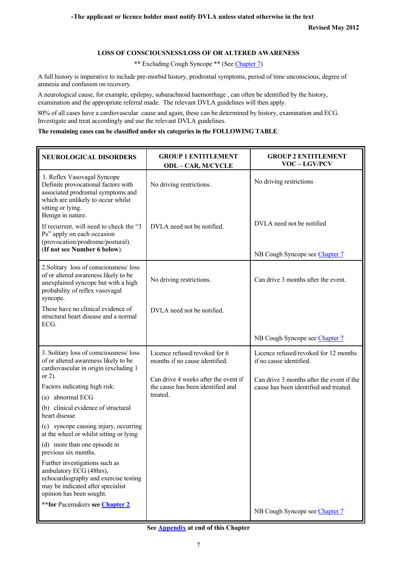#### **LOSS OF CONSCIOUSNESS/LOSS OF OR ALTERED AWARENESS**

\*\* Excluding Cough Syncope \*\* (See [Chapter 7\)](#page-45-0)

<span id="page-8-0"></span>A full history is imperative to include pre-morbid history, prodromal symptoms, period of time unconscious, degree of amnesia and confusion on recovery.

A neurological cause, for example, epilepsy, subarachnoid haemorrhage , can often be identified by the history, examination and the appropriate referral made. The relevant DVLA guidelines will then apply.

80% of all cases have a cardiovascular cause and again, these can be determined by history, examination and ECG. Investigate and treat accordingly and use the relevant DVLA guidelines.

#### **The remaining cases can be classified under six categories in the FOLLOWING TABLE***:*

| <b>NEUROLOGICAL DISORDERS</b>                                                                                                                                                           | <b>GROUP 1 ENTITLEMENT</b><br><b>ODL-CAR, M/CYCLE</b>                                 | <b>GROUP 2 ENTITLEMENT</b><br>VOC-LGV/PCV                                           |
|-----------------------------------------------------------------------------------------------------------------------------------------------------------------------------------------|---------------------------------------------------------------------------------------|-------------------------------------------------------------------------------------|
| 1. Reflex Vasovagal Syncope<br>Definite provocational factors with<br>associated prodromal symptoms and<br>which are unlikely to occur whilst<br>sitting or lying.<br>Benign in nature. | No driving restrictions.                                                              | No driving restrictions                                                             |
| If recurrent, will need to check the "3<br>Ps" apply on each occasion<br>(provocation/prodrome/postural).<br>(If not see Number 6 below).                                               | DVLA need not be notified.                                                            | DVLA need not be notified<br>NB Cough Syncope see Chapter 7                         |
| 2. Solitary loss of consciousness/loss<br>of or altered awareness likely to be<br>unexplained syncope but with a high<br>probability of reflex vasovagal<br>syncope.                    | No driving restrictions.                                                              | Can drive 3 months after the event.                                                 |
| These have no clinical evidence of<br>structural heart disease and a normal<br>ECG.                                                                                                     | DVLA need not be notified.                                                            |                                                                                     |
|                                                                                                                                                                                         |                                                                                       | NB Cough Syncope see Chapter 7                                                      |
| 3. Solitary loss of consciousness/loss<br>of or altered awareness likely to be<br>cardiovascular in origin (excluding 1<br>or $2$ ).                                                    | Licence refused/revoked for 6<br>months if no cause identified.                       | Licence refused/revoked for 12 months<br>if no cause identified.                    |
| Factors indicating high risk:<br>(a) abnormal ECG                                                                                                                                       | Can drive 4 weeks after the event if<br>the cause has been identified and<br>treated. | Can drive 3 months after the event if the<br>cause has been identified and treated. |
| (b) clinical evidence of structural<br>heart disease                                                                                                                                    |                                                                                       |                                                                                     |
| (c) syncope causing injury, occurring<br>at the wheel or whilst sitting or lying                                                                                                        |                                                                                       |                                                                                     |
| (d) more than one episode in<br>previous six months.                                                                                                                                    |                                                                                       |                                                                                     |
| Further investigations such as<br>ambulatory ECG (48hrs),<br>echocardiography and exercise testing<br>may be indicated after specialist<br>opinion has been sought.                     |                                                                                       |                                                                                     |
| ** for Pacemakers see Chapter 2                                                                                                                                                         |                                                                                       | NB Cough Syncope see Chapter 7                                                      |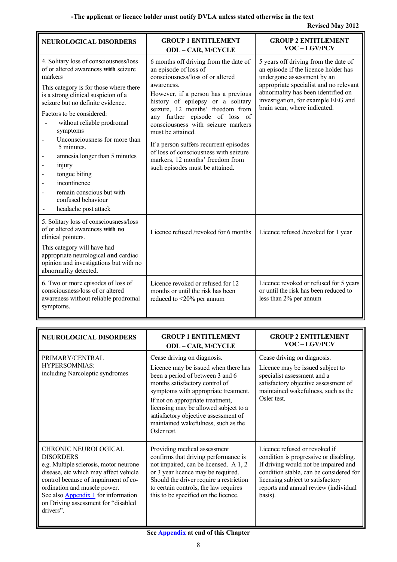<span id="page-9-0"></span>

| <b>NEUROLOGICAL DISORDERS</b>                                                                                                                                                                                                                                                                                                                                                                                                                                                                                                                                                                                                            | <b>GROUP 1 ENTITLEMENT</b><br><b>ODL-CAR, M/CYCLE</b>                                                                                                                                                                                                                                                                                                                                                                                                                                   | <b>GROUP 2 ENTITLEMENT</b><br>VOC-LGV/PCV                                                                                                                                                                                                                        |
|------------------------------------------------------------------------------------------------------------------------------------------------------------------------------------------------------------------------------------------------------------------------------------------------------------------------------------------------------------------------------------------------------------------------------------------------------------------------------------------------------------------------------------------------------------------------------------------------------------------------------------------|-----------------------------------------------------------------------------------------------------------------------------------------------------------------------------------------------------------------------------------------------------------------------------------------------------------------------------------------------------------------------------------------------------------------------------------------------------------------------------------------|------------------------------------------------------------------------------------------------------------------------------------------------------------------------------------------------------------------------------------------------------------------|
| 4. Solitary loss of consciousness/loss<br>of or altered awareness with seizure<br>markers<br>This category is for those where there<br>is a strong clinical suspicion of a<br>seizure but no definite evidence.<br>Factors to be considered:<br>without reliable prodromal<br>symptoms<br>Unconsciousness for more than<br>$\blacksquare$<br>5 minutes.<br>amnesia longer than 5 minutes<br>$\blacksquare$<br>injury<br>$\blacksquare$<br>tongue biting<br>$\blacksquare$<br>incontinence<br>$\blacksquare$<br>remain conscious but with<br>$\overline{a}$<br>confused behaviour<br>headache post attack<br>$\qquad \qquad \blacksquare$ | 6 months off driving from the date of<br>an episode of loss of<br>consciousness/loss of or altered<br>awareness.<br>However, if a person has a previous<br>history of epilepsy or a solitary<br>seizure, 12 months' freedom from<br>any further episode of loss of<br>consciousness with seizure markers<br>must be attained.<br>If a person suffers recurrent episodes<br>of loss of consciousness with seizure<br>markers, 12 months' freedom from<br>such episodes must be attained. | 5 years off driving from the date of<br>an episode if the licence holder has<br>undergone assessment by an<br>appropriate specialist and no relevant<br>abnormality has been identified on<br>investigation, for example EEG and<br>brain scan, where indicated. |
| 5. Solitary loss of consciousness/loss<br>of or altered awareness with no<br>clinical pointers.<br>This category will have had<br>appropriate neurological and cardiac<br>opinion and investigations but with no<br>abnormality detected.                                                                                                                                                                                                                                                                                                                                                                                                | Licence refused /revoked for 6 months                                                                                                                                                                                                                                                                                                                                                                                                                                                   | Licence refused /revoked for 1 year                                                                                                                                                                                                                              |
| 6. Two or more episodes of loss of<br>consciousness/loss of or altered<br>awareness without reliable prodromal<br>symptoms.                                                                                                                                                                                                                                                                                                                                                                                                                                                                                                              | Licence revoked or refused for 12<br>months or until the risk has been<br>reduced to <20% per annum                                                                                                                                                                                                                                                                                                                                                                                     | Licence revoked or refused for 5 years<br>or until the risk has been reduced to<br>less than 2% per annum                                                                                                                                                        |

| <b>NEUROLOGICAL DISORDERS</b>                                                                                                                                                                                                                                                                                  | <b>GROUP 1 ENTITLEMENT</b><br><b>ODL-CAR, M/CYCLE</b>                                                                                                                                                                                                                                                                                                        | <b>GROUP 2 ENTITLEMENT</b><br>VOC-LGV/PCV                                                                                                                                                                                                           |
|----------------------------------------------------------------------------------------------------------------------------------------------------------------------------------------------------------------------------------------------------------------------------------------------------------------|--------------------------------------------------------------------------------------------------------------------------------------------------------------------------------------------------------------------------------------------------------------------------------------------------------------------------------------------------------------|-----------------------------------------------------------------------------------------------------------------------------------------------------------------------------------------------------------------------------------------------------|
| PRIMARY/CENTRAL<br><b>HYPERSOMNIAS:</b><br>including Narcoleptic syndromes                                                                                                                                                                                                                                     | Cease driving on diagnosis.<br>Licence may be issued when there has<br>been a period of between 3 and 6<br>months satisfactory control of<br>symptoms with appropriate treatment.<br>If not on appropriate treatment,<br>licensing may be allowed subject to a<br>satisfactory objective assessment of<br>maintained wakefulness, such as the<br>Osler test. | Cease driving on diagnosis.<br>Licence may be issued subject to<br>specialist assessment and a<br>satisfactory objective assessment of<br>maintained wakefulness, such as the<br>Osler test.                                                        |
| <b>CHRONIC NEUROLOGICAL</b><br><b>DISORDERS</b><br>e.g. Multiple sclerosis, motor neurone<br>disease, etc which may affect vehicle<br>control because of impairment of co-<br>ordination and muscle power.<br>See also $\Delta$ ppendix 1 for information<br>on Driving assessment for "disabled"<br>drivers". | Providing medical assessment<br>confirms that driving performance is<br>not impaired, can be licensed. A 1, 2<br>or 3 year licence may be required.<br>Should the driver require a restriction<br>to certain controls, the law requires<br>this to be specified on the licence.                                                                              | Licence refused or revoked if<br>condition is progressive or disabling.<br>If driving would not be impaired and<br>condition stable, can be considered for<br>licensing subject to satisfactory<br>reports and annual review (individual<br>basis). |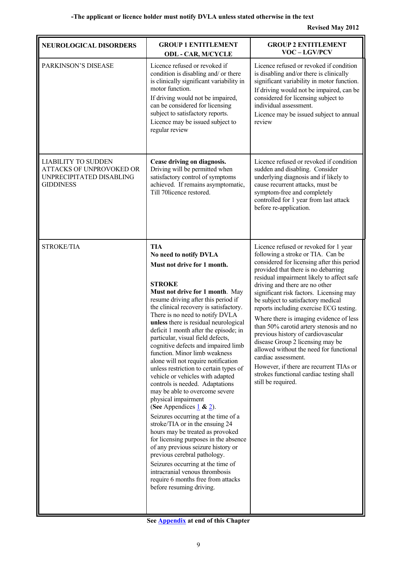<span id="page-10-0"></span>

| NEUROLOGICAL DISORDERS                                                                                 | <b>GROUP 1 ENTITLEMENT</b><br><b>ODL - CAR, M/CYCLE</b>                                                                                                                                                                                                                                                                                                                                                                                                                                                                                                                                                                                                                                                                                                                                                                                                                                                                                                                                                                                                                           | <b>GROUP 2 ENTITLEMENT</b><br>VOC-LGV/PCV                                                                                                                                                                                                                                                                                                                                                                                                                                                                                                                                                                                                                                                                                 |
|--------------------------------------------------------------------------------------------------------|-----------------------------------------------------------------------------------------------------------------------------------------------------------------------------------------------------------------------------------------------------------------------------------------------------------------------------------------------------------------------------------------------------------------------------------------------------------------------------------------------------------------------------------------------------------------------------------------------------------------------------------------------------------------------------------------------------------------------------------------------------------------------------------------------------------------------------------------------------------------------------------------------------------------------------------------------------------------------------------------------------------------------------------------------------------------------------------|---------------------------------------------------------------------------------------------------------------------------------------------------------------------------------------------------------------------------------------------------------------------------------------------------------------------------------------------------------------------------------------------------------------------------------------------------------------------------------------------------------------------------------------------------------------------------------------------------------------------------------------------------------------------------------------------------------------------------|
| PARKINSON'S DISEASE                                                                                    | Licence refused or revoked if<br>condition is disabling and/ or there<br>is clinically significant variability in<br>motor function.<br>If driving would not be impaired,<br>can be considered for licensing<br>subject to satisfactory reports.<br>Licence may be issued subject to<br>regular review                                                                                                                                                                                                                                                                                                                                                                                                                                                                                                                                                                                                                                                                                                                                                                            | Licence refused or revoked if condition<br>is disabling and/or there is clinically<br>significant variability in motor function.<br>If driving would not be impaired, can be<br>considered for licensing subject to<br>individual assessment.<br>Licence may be issued subject to annual<br>review                                                                                                                                                                                                                                                                                                                                                                                                                        |
| <b>LIABILITY TO SUDDEN</b><br>ATTACKS OF UNPROVOKED OR<br>UNPRECIPITATED DISABLING<br><b>GIDDINESS</b> | Cease driving on diagnosis.<br>Driving will be permitted when<br>satisfactory control of symptoms<br>achieved. If remains asymptomatic,<br>Till 70licence restored.                                                                                                                                                                                                                                                                                                                                                                                                                                                                                                                                                                                                                                                                                                                                                                                                                                                                                                               | Licence refused or revoked if condition<br>sudden and disabling. Consider<br>underlying diagnosis and if likely to<br>cause recurrent attacks, must be<br>symptom-free and completely<br>controlled for 1 year from last attack<br>before re-application.                                                                                                                                                                                                                                                                                                                                                                                                                                                                 |
| STROKE/TIA                                                                                             | TIA<br>No need to notify DVLA<br>Must not drive for 1 month.<br><b>STROKE</b><br>Must not drive for 1 month. May<br>resume driving after this period if<br>the clinical recovery is satisfactory.<br>There is no need to notify DVLA<br>unless there is residual neurological<br>deficit 1 month after the episode; in<br>particular, visual field defects,<br>cognitive defects and impaired limb<br>function. Minor limb weakness<br>alone will not require notification<br>unless restriction to certain types of<br>vehicle or vehicles with adapted<br>controls is needed. Adaptations<br>may be able to overcome severe<br>physical impairment<br>(See Appendices $\underline{1} \& \underline{2}$ ).<br>Seizures occurring at the time of a<br>stroke/TIA or in the ensuing 24<br>hours may be treated as provoked<br>for licensing purposes in the absence<br>of any previous seizure history or<br>previous cerebral pathology.<br>Seizures occurring at the time of<br>intracranial venous thrombosis<br>require 6 months free from attacks<br>before resuming driving. | Licence refused or revoked for 1 year<br>following a stroke or TIA. Can be<br>considered for licensing after this period<br>provided that there is no debarring<br>residual impairment likely to affect safe<br>driving and there are no other<br>significant risk factors. Licensing may<br>be subject to satisfactory medical<br>reports including exercise ECG testing.<br>Where there is imaging evidence of less<br>than 50% carotid artery stenosis and no<br>previous history of cardiovascular<br>disease Group 2 licensing may be<br>allowed without the need for functional<br>cardiac assessment.<br>However, if there are recurrent TIAs or<br>strokes functional cardiac testing shall<br>still be required. |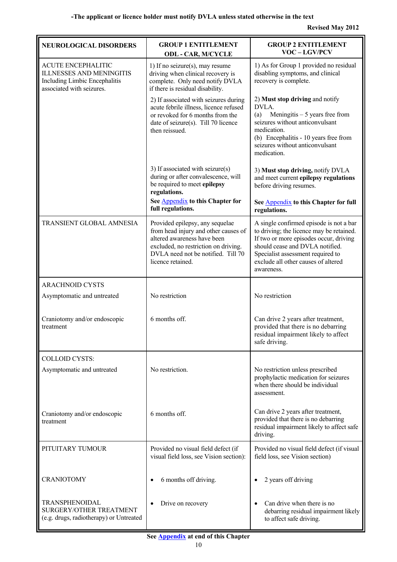<span id="page-11-0"></span>

| <b>NEUROLOGICAL DISORDERS</b>                                                                                              | <b>GROUP 1 ENTITLEMENT</b><br><b>ODL - CAR, M/CYCLE</b>                                                                                                                                                   | <b>GROUP 2 ENTITLEMENT</b><br>VOC-LGV/PCV                                                                                                                                                                                                                  |
|----------------------------------------------------------------------------------------------------------------------------|-----------------------------------------------------------------------------------------------------------------------------------------------------------------------------------------------------------|------------------------------------------------------------------------------------------------------------------------------------------------------------------------------------------------------------------------------------------------------------|
| <b>ACUTE ENCEPHALITIC</b><br><b>ILLNESSES AND MENINGITIS</b><br>Including Limbic Encephalitis<br>associated with seizures. | 1) If no seizure(s), may resume<br>driving when clinical recovery is<br>complete. Only need notify DVLA<br>if there is residual disability.                                                               | 1) As for Group 1 provided no residual<br>disabling symptoms, and clinical<br>recovery is complete.                                                                                                                                                        |
|                                                                                                                            | 2) If associated with seizures during<br>acute febrile illness, licence refused<br>or revoked for 6 months from the<br>date of seizure(s). Till 70 licence<br>then reissued.                              | 2) Must stop driving and notify<br>DVLA.<br>Meningitis $-5$ years free from<br>(a)<br>seizures without anticonvulsant<br>medication.<br>(b) Encephalitis - 10 years free from<br>seizures without anticonvulsant<br>medication.                            |
|                                                                                                                            | 3) If associated with seizure(s)<br>during or after convalescence, will<br>be required to meet epilepsy<br>regulations.                                                                                   | 3) Must stop driving, notify DVLA<br>and meet current epilepsy regulations<br>before driving resumes.                                                                                                                                                      |
|                                                                                                                            | See <b>Appendix</b> to this Chapter for<br>full regulations.                                                                                                                                              | See <b>Appendix</b> to this Chapter for full<br>regulations.                                                                                                                                                                                               |
| TRANSIENT GLOBAL AMNESIA                                                                                                   | Provided epilepsy, any sequelae<br>from head injury and other causes of<br>altered awareness have been<br>excluded, no restriction on driving.<br>DVLA need not be notified. Till 70<br>licence retained. | A single confirmed episode is not a bar<br>to driving; the licence may be retained.<br>If two or more episodes occur, driving<br>should cease and DVLA notified.<br>Specialist assessment required to<br>exclude all other causes of altered<br>awareness. |
| <b>ARACHNOID CYSTS</b>                                                                                                     |                                                                                                                                                                                                           |                                                                                                                                                                                                                                                            |
| Asymptomatic and untreated                                                                                                 | No restriction                                                                                                                                                                                            | No restriction                                                                                                                                                                                                                                             |
| Craniotomy and/or endoscopic<br>treatment                                                                                  | 6 months off.                                                                                                                                                                                             | Can drive 2 years after treatment,<br>provided that there is no debarring<br>residual impairment likely to affect<br>safe driving.                                                                                                                         |
| <b>COLLOID CYSTS:</b>                                                                                                      |                                                                                                                                                                                                           |                                                                                                                                                                                                                                                            |
| Asymptomatic and untreated                                                                                                 | No restriction.                                                                                                                                                                                           | No restriction unless prescribed<br>prophylactic medication for seizures<br>when there should be individual<br>assessment.                                                                                                                                 |
| Craniotomy and/or endoscopic<br>treatment                                                                                  | 6 months off.                                                                                                                                                                                             | Can drive 2 years after treatment,<br>provided that there is no debarring<br>residual impairment likely to affect safe<br>driving.                                                                                                                         |
| PITUITARY TUMOUR                                                                                                           | Provided no visual field defect (if<br>visual field loss, see Vision section):                                                                                                                            | Provided no visual field defect (if visual<br>field loss, see Vision section)                                                                                                                                                                              |
| <b>CRANIOTOMY</b>                                                                                                          | 6 months off driving.                                                                                                                                                                                     | 2 years off driving                                                                                                                                                                                                                                        |
| TRANSPHENOIDAL<br>SURGERY/OTHER TREATMENT<br>(e.g. drugs, radiotherapy) or Untreated                                       | Drive on recovery                                                                                                                                                                                         | Can drive when there is no<br>debarring residual impairment likely<br>to affect safe driving.                                                                                                                                                              |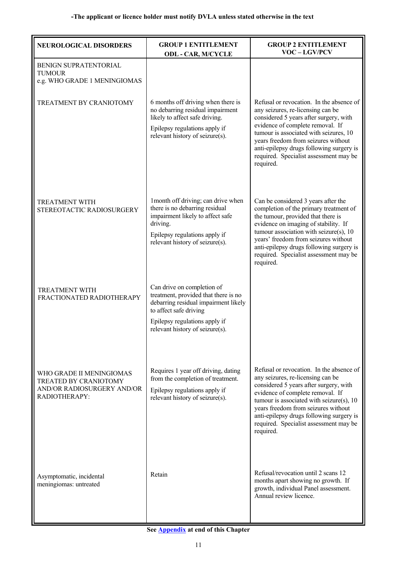<span id="page-12-0"></span>

| <b>NEUROLOGICAL DISORDERS</b>                                                                     | <b>GROUP 1 ENTITLEMENT</b><br><b>ODL - CAR, M/CYCLE</b>                                                                                                                                                  | <b>GROUP 2 ENTITLEMENT</b><br>VOC-LGV/PCV                                                                                                                                                                                                                                                                                                           |
|---------------------------------------------------------------------------------------------------|----------------------------------------------------------------------------------------------------------------------------------------------------------------------------------------------------------|-----------------------------------------------------------------------------------------------------------------------------------------------------------------------------------------------------------------------------------------------------------------------------------------------------------------------------------------------------|
| BENIGN SUPRATENTORIAL<br><b>TUMOUR</b><br>e.g. WHO GRADE 1 MENINGIOMAS<br>TREATMENT BY CRANIOTOMY | 6 months off driving when there is<br>no debarring residual impairment                                                                                                                                   | Refusal or revocation. In the absence of<br>any seizures, re-licensing can be                                                                                                                                                                                                                                                                       |
|                                                                                                   | likely to affect safe driving.<br>Epilepsy regulations apply if<br>relevant history of seizure(s).                                                                                                       | considered 5 years after surgery, with<br>evidence of complete removal. If<br>tumour is associated with seizures, 10<br>years freedom from seizures without<br>anti-epilepsy drugs following surgery is<br>required. Specialist assessment may be<br>required.                                                                                      |
| <b>TREATMENT WITH</b><br>STEREOTACTIC RADIOSURGERY                                                | 1 month off driving; can drive when<br>there is no debarring residual<br>impairment likely to affect safe<br>driving.<br>Epilepsy regulations apply if<br>relevant history of seizure(s).                | Can be considered 3 years after the<br>completion of the primary treatment of<br>the tumour, provided that there is<br>evidence on imaging of stability. If<br>tumour association with seizure(s), 10<br>years' freedom from seizures without<br>anti-epilepsy drugs following surgery is<br>required. Specialist assessment may be<br>required.    |
| <b>TREATMENT WITH</b><br>FRACTIONATED RADIOTHERAPY                                                | Can drive on completion of<br>treatment, provided that there is no<br>debarring residual impairment likely<br>to affect safe driving<br>Epilepsy regulations apply if<br>relevant history of seizure(s). |                                                                                                                                                                                                                                                                                                                                                     |
| WHO GRADE II MENINGIOMAS<br>TREATED BY CRANIOTOMY<br>AND/OR RADIOSURGERY AND/OR<br>RADIOTHERAPY:  | Requires 1 year off driving, dating<br>from the completion of treatment.<br>Epilepsy regulations apply if<br>relevant history of seizure(s).                                                             | Refusal or revocation. In the absence of<br>any seizures, re-licensing can be<br>considered 5 years after surgery, with<br>evidence of complete removal. If<br>tumour is associated with seizure(s), $10$<br>years freedom from seizures without<br>anti-epilepsy drugs following surgery is<br>required. Specialist assessment may be<br>required. |
| Asymptomatic, incidental<br>meningiomas: untreated                                                | Retain                                                                                                                                                                                                   | Refusal/revocation until 2 scans 12<br>months apart showing no growth. If<br>growth, individual Panel assessment.<br>Annual review licence.                                                                                                                                                                                                         |

Щ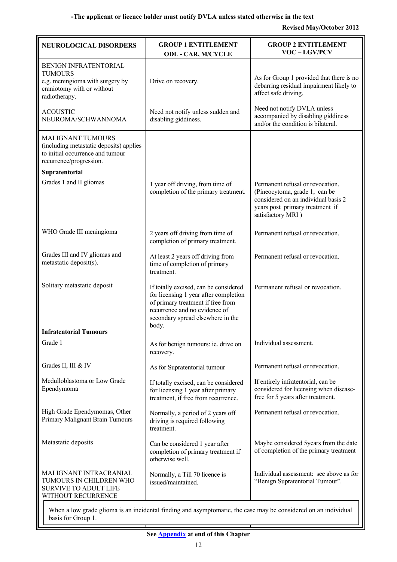**Revised May/October 2012** 

<span id="page-13-0"></span>

| <b>NEUROLOGICAL DISORDERS</b>                                                                                                      | <b>GROUP 1 ENTITLEMENT</b><br><b>ODL - CAR, M/CYCLE</b>                                                                                                                                            | <b>GROUP 2 ENTITLEMENT</b><br>VOC-LGV/PCV                                                                                                                        |
|------------------------------------------------------------------------------------------------------------------------------------|----------------------------------------------------------------------------------------------------------------------------------------------------------------------------------------------------|------------------------------------------------------------------------------------------------------------------------------------------------------------------|
| <b>BENIGN INFRATENTORIAL</b><br><b>TUMOURS</b><br>e.g. meningioma with surgery by<br>craniotomy with or without<br>radiotherapy.   | Drive on recovery.                                                                                                                                                                                 | As for Group 1 provided that there is no<br>debarring residual impairment likely to<br>affect safe driving.                                                      |
| <b>ACOUSTIC</b><br>NEUROMA/SCHWANNOMA                                                                                              | Need not notify unless sudden and<br>disabling giddiness.                                                                                                                                          | Need not notify DVLA unless<br>accompanied by disabling giddiness<br>and/or the condition is bilateral.                                                          |
| <b>MALIGNANT TUMOURS</b><br>(including metastatic deposits) applies<br>to initial occurrence and tumour<br>recurrence/progression. |                                                                                                                                                                                                    |                                                                                                                                                                  |
| Supratentorial                                                                                                                     |                                                                                                                                                                                                    |                                                                                                                                                                  |
| Grades 1 and II gliomas                                                                                                            | 1 year off driving, from time of<br>completion of the primary treatment.                                                                                                                           | Permanent refusal or revocation.<br>(Pineocytoma, grade 1, can be<br>considered on an individual basis 2<br>years post primary treatment if<br>satisfactory MRI) |
| WHO Grade III meningioma                                                                                                           | 2 years off driving from time of<br>completion of primary treatment.                                                                                                                               | Permanent refusal or revocation.                                                                                                                                 |
| Grades III and IV gliomas and<br>metastatic deposit(s).                                                                            | At least 2 years off driving from<br>time of completion of primary<br>treatment.                                                                                                                   | Permanent refusal or revocation.                                                                                                                                 |
| Solitary metastatic deposit                                                                                                        | If totally excised, can be considered<br>for licensing 1 year after completion<br>of primary treatment if free from<br>recurrence and no evidence of<br>secondary spread elsewhere in the<br>body. | Permanent refusal or revocation.                                                                                                                                 |
| <b>Infratentorial Tumours</b>                                                                                                      |                                                                                                                                                                                                    |                                                                                                                                                                  |
| Grade 1                                                                                                                            | As for benign tumours: ie. drive on<br>recovery.                                                                                                                                                   | Individual assessment.                                                                                                                                           |
| Grades II, III & IV                                                                                                                | As for Supratentorial tumour                                                                                                                                                                       | Permanent refusal or revocation.                                                                                                                                 |
| Medulloblastoma or Low Grade<br>Ependymoma                                                                                         | If totally excised, can be considered<br>for licensing 1 year after primary<br>treatment, if free from recurrence.                                                                                 | If entirely infratentorial, can be<br>considered for licensing when disease-<br>free for 5 years after treatment.                                                |
| High Grade Ependymomas, Other<br>Primary Malignant Brain Tumours                                                                   | Normally, a period of 2 years off<br>driving is required following<br>treatment.                                                                                                                   | Permanent refusal or revocation.                                                                                                                                 |
| Metastatic deposits                                                                                                                | Can be considered 1 year after<br>completion of primary treatment if<br>otherwise well.                                                                                                            | Maybe considered 5 years from the date<br>of completion of the primary treatment                                                                                 |
| MALIGNANT INTRACRANIAL<br>TUMOURS IN CHILDREN WHO<br><b>SURVIVE TO ADULT LIFE</b><br>WITHOUT RECURRENCE                            | Normally, a Till 70 licence is<br>issued/maintained.                                                                                                                                               | Individual assessment: see above as for<br>"Benign Supratentorial Tumour".                                                                                       |

When a low grade glioma is an incidental finding and asymptomatic, the case may be considered on an individual basis for Group 1.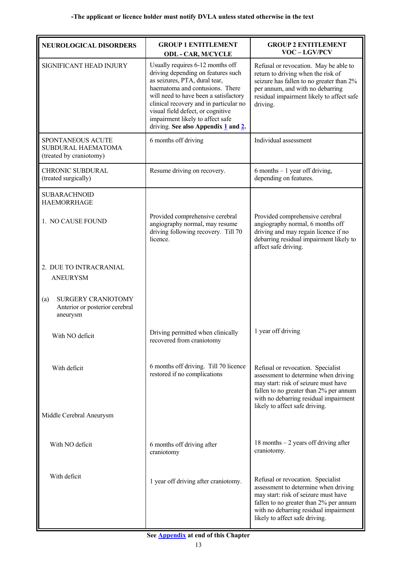<span id="page-14-0"></span>

| <b>NEUROLOGICAL DISORDERS</b>                                                  | <b>GROUP 1 ENTITLEMENT</b><br><b>ODL - CAR, M/CYCLE</b>                                                                                                                                                                                                                                                                                            | <b>GROUP 2 ENTITLEMENT</b><br>VOC-LGV/PCV                                                                                                                                                                                              |
|--------------------------------------------------------------------------------|----------------------------------------------------------------------------------------------------------------------------------------------------------------------------------------------------------------------------------------------------------------------------------------------------------------------------------------------------|----------------------------------------------------------------------------------------------------------------------------------------------------------------------------------------------------------------------------------------|
| SIGNIFICANT HEAD INJURY                                                        | Usually requires 6-12 months off<br>driving depending on features such<br>as seizures, PTA, dural tear,<br>haematoma and contusions. There<br>will need to have been a satisfactory<br>clinical recovery and in particular no<br>visual field defect, or cognitive<br>impairment likely to affect safe<br>driving. See also Appendix $1$ and $2$ . | Refusal or revocation. May be able to<br>return to driving when the risk of<br>seizure has fallen to no greater than 2%<br>per annum, and with no debarring<br>residual impairment likely to affect safe<br>driving.                   |
| SPONTANEOUS ACUTE<br>SUBDURAL HAEMATOMA<br>(treated by craniotomy)             | 6 months off driving                                                                                                                                                                                                                                                                                                                               | Individual assessment                                                                                                                                                                                                                  |
| <b>CHRONIC SUBDURAL</b><br>(treated surgically)                                | Resume driving on recovery.                                                                                                                                                                                                                                                                                                                        | $6$ months $-1$ year off driving,<br>depending on features.                                                                                                                                                                            |
| <b>SUBARACHNOID</b><br><b>HAEMORRHAGE</b>                                      |                                                                                                                                                                                                                                                                                                                                                    |                                                                                                                                                                                                                                        |
| 1. NO CAUSE FOUND                                                              | Provided comprehensive cerebral<br>angiography normal, may resume<br>driving following recovery. Till 70<br>licence.                                                                                                                                                                                                                               | Provided comprehensive cerebral<br>angiography normal, 6 months off<br>driving and may regain licence if no<br>debarring residual impairment likely to<br>affect safe driving.                                                         |
| 2. DUE TO INTRACRANIAL<br><b>ANEURYSM</b>                                      |                                                                                                                                                                                                                                                                                                                                                    |                                                                                                                                                                                                                                        |
| <b>SURGERY CRANIOTOMY</b><br>(a)<br>Anterior or posterior cerebral<br>aneurysm |                                                                                                                                                                                                                                                                                                                                                    |                                                                                                                                                                                                                                        |
| With NO deficit                                                                | Driving permitted when clinically<br>recovered from craniotomy                                                                                                                                                                                                                                                                                     | 1 year off driving                                                                                                                                                                                                                     |
| With deficit                                                                   | 6 months off driving. Till 70 licence<br>restored if no complications                                                                                                                                                                                                                                                                              | Refusal or revocation. Specialist<br>assessment to determine when driving<br>may start: risk of seizure must have<br>fallen to no greater than 2% per annum<br>with no debarring residual impairment<br>likely to affect safe driving. |
| Middle Cerebral Aneurysm                                                       |                                                                                                                                                                                                                                                                                                                                                    |                                                                                                                                                                                                                                        |
| With NO deficit                                                                | 6 months off driving after<br>craniotomy                                                                                                                                                                                                                                                                                                           | $18$ months $-2$ years off driving after<br>craniotomy.                                                                                                                                                                                |
| With deficit                                                                   | 1 year off driving after craniotomy.                                                                                                                                                                                                                                                                                                               | Refusal or revocation. Specialist<br>assessment to determine when driving<br>may start: risk of seizure must have<br>fallen to no greater than 2% per annum<br>with no debarring residual impairment<br>likely to affect safe driving. |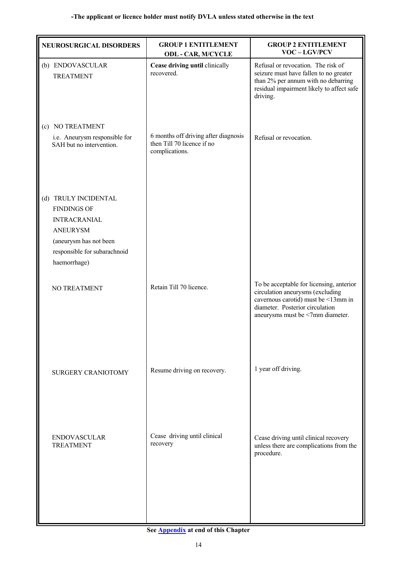| NEUROSURGICAL DISORDERS                                                                                                                                        | <b>GROUP 1 ENTITLEMENT</b><br><b>ODL - CAR, M/CYCLE</b>                              | <b>GROUP 2 ENTITLEMENT</b><br>VOC-LGV/PCV                                                                                                                                                  |
|----------------------------------------------------------------------------------------------------------------------------------------------------------------|--------------------------------------------------------------------------------------|--------------------------------------------------------------------------------------------------------------------------------------------------------------------------------------------|
| (b) ENDOVASCULAR<br><b>TREATMENT</b>                                                                                                                           | Cease driving until clinically<br>recovered.                                         | Refusal or revocation. The risk of<br>seizure must have fallen to no greater<br>than 2% per annum with no debarring<br>residual impairment likely to affect safe<br>driving.               |
| (c) NO TREATMENT<br>i.e. Aneurysm responsible for<br>SAH but no intervention.                                                                                  | 6 months off driving after diagnosis<br>then Till 70 licence if no<br>complications. | Refusal or revocation.                                                                                                                                                                     |
| (d) TRULY INCIDENTAL<br><b>FINDINGS OF</b><br><b>INTRACRANIAL</b><br><b>ANEURYSM</b><br>(aneurysm has not been<br>responsible for subarachnoid<br>haemorrhage) |                                                                                      |                                                                                                                                                                                            |
| NO TREATMENT                                                                                                                                                   | Retain Till 70 licence.                                                              | To be acceptable for licensing, anterior<br>circulation aneurysms (excluding<br>cavernous carotid) must be <13mm in<br>diameter. Posterior circulation<br>aneurysms must be <7mm diameter. |
| <b>SURGERY CRANIOTOMY</b>                                                                                                                                      | Resume driving on recovery.                                                          | 1 year off driving.                                                                                                                                                                        |
| <b>ENDOVASCULAR</b><br><b>TREATMENT</b>                                                                                                                        | Cease driving until clinical<br>recovery                                             | Cease driving until clinical recovery<br>unless there are complications from the<br>procedure.                                                                                             |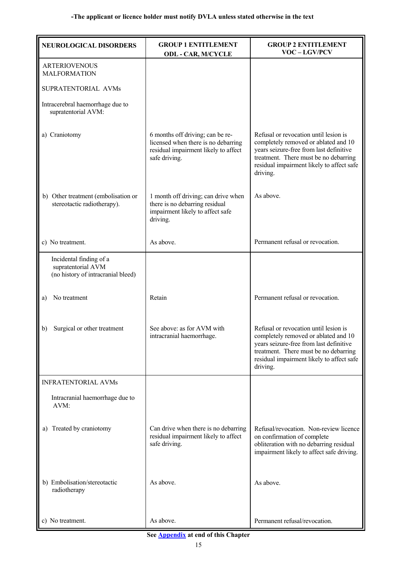<span id="page-16-0"></span>

| <b>NEUROLOGICAL DISORDERS</b>                                                       | <b>GROUP 1 ENTITLEMENT</b><br><b>ODL - CAR, M/CYCLE</b>                                                                          | <b>GROUP 2 ENTITLEMENT</b><br>VOC-LGV/PCV                                                                                                                                                                                  |
|-------------------------------------------------------------------------------------|----------------------------------------------------------------------------------------------------------------------------------|----------------------------------------------------------------------------------------------------------------------------------------------------------------------------------------------------------------------------|
| <b>ARTERIOVENOUS</b><br><b>MALFORMATION</b>                                         |                                                                                                                                  |                                                                                                                                                                                                                            |
| SUPRATENTORIAL AVMs                                                                 |                                                                                                                                  |                                                                                                                                                                                                                            |
| Intracerebral haemorrhage due to<br>supratentorial AVM:                             |                                                                                                                                  |                                                                                                                                                                                                                            |
| a) Craniotomy                                                                       | 6 months off driving; can be re-<br>licensed when there is no debarring<br>residual impairment likely to affect<br>safe driving. | Refusal or revocation until lesion is<br>completely removed or ablated and 10<br>years seizure-free from last definitive<br>treatment. There must be no debarring<br>residual impairment likely to affect safe<br>driving. |
| b) Other treatment (embolisation or<br>stereotactic radiotherapy).                  | 1 month off driving; can drive when<br>there is no debarring residual<br>impairment likely to affect safe<br>driving.            | As above.                                                                                                                                                                                                                  |
| c) No treatment.                                                                    | As above.                                                                                                                        | Permanent refusal or revocation.                                                                                                                                                                                           |
| Incidental finding of a<br>supratentorial AVM<br>(no history of intracranial bleed) |                                                                                                                                  |                                                                                                                                                                                                                            |
| No treatment<br>a)                                                                  | Retain                                                                                                                           | Permanent refusal or revocation.                                                                                                                                                                                           |
| Surgical or other treatment<br>b)                                                   | See above: as for AVM with<br>intracranial haemorrhage.                                                                          | Refusal or revocation until lesion is<br>completely removed or ablated and 10<br>years seizure-free from last definitive<br>treatment. There must be no debarring<br>residual impairment likely to affect safe<br>driving. |
| <b>INFRATENTORIAL AVMs</b>                                                          |                                                                                                                                  |                                                                                                                                                                                                                            |
| Intracranial haemorrhage due to<br>AVM:                                             |                                                                                                                                  |                                                                                                                                                                                                                            |
| Treated by craniotomy<br>a)                                                         | Can drive when there is no debarring<br>residual impairment likely to affect<br>safe driving.                                    | Refusal/revocation. Non-review licence<br>on confirmation of complete<br>obliteration with no debarring residual<br>impairment likely to affect safe driving.                                                              |
| b) Embolisation/stereotactic<br>radiotherapy                                        | As above.                                                                                                                        | As above.                                                                                                                                                                                                                  |
| c) No treatment.                                                                    | As above.                                                                                                                        | Permanent refusal/revocation.                                                                                                                                                                                              |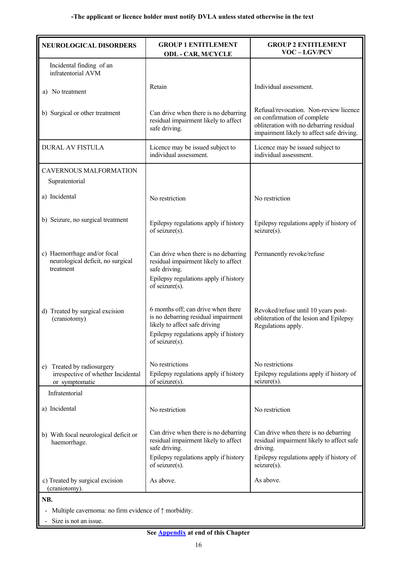<span id="page-17-0"></span>

| <b>NEUROLOGICAL DISORDERS</b>                                                      | <b>GROUP 1 ENTITLEMENT</b><br><b>ODL - CAR, M/CYCLE</b>                                                                                                                   | <b>GROUP 2 ENTITLEMENT</b><br>VOC-LGV/PCV                                                                                                                     |  |  |
|------------------------------------------------------------------------------------|---------------------------------------------------------------------------------------------------------------------------------------------------------------------------|---------------------------------------------------------------------------------------------------------------------------------------------------------------|--|--|
| Incidental finding of an<br>infratentorial AVM                                     |                                                                                                                                                                           |                                                                                                                                                               |  |  |
| a) No treatment                                                                    | Retain                                                                                                                                                                    | Individual assessment.                                                                                                                                        |  |  |
| b) Surgical or other treatment                                                     | Can drive when there is no debarring<br>residual impairment likely to affect<br>safe driving.                                                                             | Refusal/revocation. Non-review licence<br>on confirmation of complete<br>obliteration with no debarring residual<br>impairment likely to affect safe driving. |  |  |
| <b>DURAL AV FISTULA</b>                                                            | Licence may be issued subject to<br>individual assessment.                                                                                                                | Licence may be issued subject to<br>individual assessment.                                                                                                    |  |  |
| <b>CAVERNOUS MALFORMATION</b><br>Supratentorial                                    |                                                                                                                                                                           |                                                                                                                                                               |  |  |
| a) Incidental                                                                      | No restriction                                                                                                                                                            | No restriction                                                                                                                                                |  |  |
| b) Seizure, no surgical treatment                                                  | Epilepsy regulations apply if history<br>of seizure(s).                                                                                                                   | Epilepsy regulations apply if history of<br>$seizure(s)$ .                                                                                                    |  |  |
| c) Haemorrhage and/or focal<br>neurological deficit, no surgical<br>treatment      | Can drive when there is no debarring<br>residual impairment likely to affect<br>safe driving.<br>Epilepsy regulations apply if history<br>of seizure(s).                  | Permanently revoke/refuse                                                                                                                                     |  |  |
| d) Treated by surgical excision<br>(craniotomy)                                    | 6 months off; can drive when there<br>is no debarring residual impairment<br>likely to affect safe driving<br>Epilepsy regulations apply if history<br>of seizure $(s)$ . | Revoked/refuse until 10 years post-<br>obliteration of the lesion and Epilepsy<br>Regulations apply.                                                          |  |  |
| e) Treated by radiosurgery<br>irrespective of whether Incidental<br>or symptomatic | No restrictions<br>Epilepsy regulations apply if history<br>of seizure(s).                                                                                                | No restrictions<br>Epilepsy regulations apply if history of<br>$seizure(s)$ .                                                                                 |  |  |
| Infratentorial                                                                     |                                                                                                                                                                           |                                                                                                                                                               |  |  |
| a) Incidental                                                                      | No restriction                                                                                                                                                            | No restriction                                                                                                                                                |  |  |
| b) With focal neurological deficit or<br>haemorrhage.                              | Can drive when there is no debarring<br>residual impairment likely to affect<br>safe driving.<br>Epilepsy regulations apply if history<br>of seizure(s).                  | Can drive when there is no debarring<br>residual impairment likely to affect safe<br>driving.<br>Epilepsy regulations apply if history of<br>$seizure(s)$ .   |  |  |
| c) Treated by surgical excision<br>(craniotomy).<br><b>NID</b>                     | As above.                                                                                                                                                                 | As above.                                                                                                                                                     |  |  |

**NB.** 

- Multiple cavernoma: no firm evidence of  $\uparrow$  morbidity.

- Size is not an issue.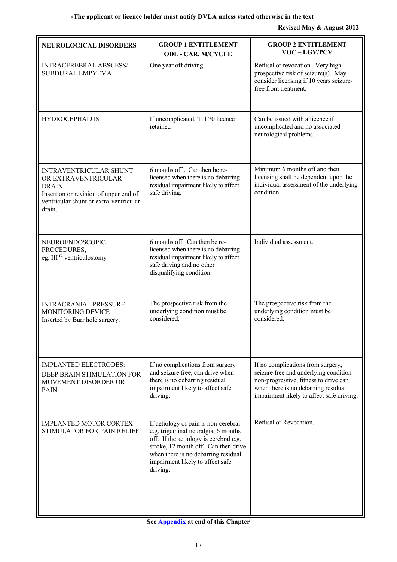**Revised May & August 2012** 

<span id="page-18-0"></span>

| <b>NEUROLOGICAL DISORDERS</b>                                                                                                                                     | <b>GROUP 1 ENTITLEMENT</b><br><b>ODL - CAR, M/CYCLE</b>                                                                                                                                                                                              | <b>GROUP 2 ENTITLEMENT</b><br><b>VOC – LGV/PCV</b>                                                                                                                                                      |  |  |  |
|-------------------------------------------------------------------------------------------------------------------------------------------------------------------|------------------------------------------------------------------------------------------------------------------------------------------------------------------------------------------------------------------------------------------------------|---------------------------------------------------------------------------------------------------------------------------------------------------------------------------------------------------------|--|--|--|
| <b>INTRACEREBRAL ABSCESS/</b><br><b>SUBDURAL EMPYEMA</b>                                                                                                          | One year off driving.                                                                                                                                                                                                                                | Refusal or revocation. Very high<br>prospective risk of seizure(s). May<br>consider licensing if 10 years seizure-<br>free from treatment.                                                              |  |  |  |
| <b>HYDROCEPHALUS</b>                                                                                                                                              | If uncomplicated, Till 70 licence<br>retained                                                                                                                                                                                                        | Can be issued with a licence if<br>uncomplicated and no associated<br>neurological problems.                                                                                                            |  |  |  |
| <b>INTRAVENTRICULAR SHUNT</b><br>OR EXTRAVENTRICULAR<br><b>DRAIN</b><br>Insertion or revision of upper end of<br>ventricular shunt or extra-ventricular<br>drain. | 6 months off. Can then be re-<br>licensed when there is no debarring<br>residual impairment likely to affect<br>safe driving.                                                                                                                        | Minimum 6 months off and then<br>licensing shall be dependent upon the<br>individual assessment of the underlying<br>condition                                                                          |  |  |  |
| NEUROENDOSCOPIC<br>PROCEDURES,<br>eg. III <sup>rd</sup> ventriculostomy                                                                                           | 6 months off. Can then be re-<br>licensed when there is no debarring<br>residual impairment likely to affect<br>safe driving and no other<br>disqualifying condition.                                                                                | Individual assessment.                                                                                                                                                                                  |  |  |  |
| <b>INTRACRANIAL PRESSURE -</b><br><b>MONITORING DEVICE</b><br>Inserted by Burr hole surgery.                                                                      | The prospective risk from the<br>underlying condition must be<br>considered.                                                                                                                                                                         | The prospective risk from the<br>underlying condition must be<br>considered.                                                                                                                            |  |  |  |
| <b>IMPLANTED ELECTRODES:</b><br>DEEP BRAIN STIMULATION FOR<br>MOVEMENT DISORDER OR<br><b>PAIN</b>                                                                 | If no complications from surgery<br>and seizure free, can drive when<br>there is no debarring residual<br>impairment likely to affect safe<br>driving.                                                                                               | If no complications from surgery,<br>seizure free and underlying condition<br>non-progressive, fitness to drive can<br>when there is no debarring residual<br>impairment likely to affect safe driving. |  |  |  |
| <b>IMPLANTED MOTOR CORTEX</b><br>STIMULATOR FOR PAIN RELIEF                                                                                                       | If aetiology of pain is non-cerebral<br>e.g. trigeminal neuralgia, 6 months<br>off. If the aetiology is cerebral e.g.<br>stroke, 12 month off. Can then drive<br>when there is no debarring residual<br>impairment likely to affect safe<br>driving. | Refusal or Revocation.                                                                                                                                                                                  |  |  |  |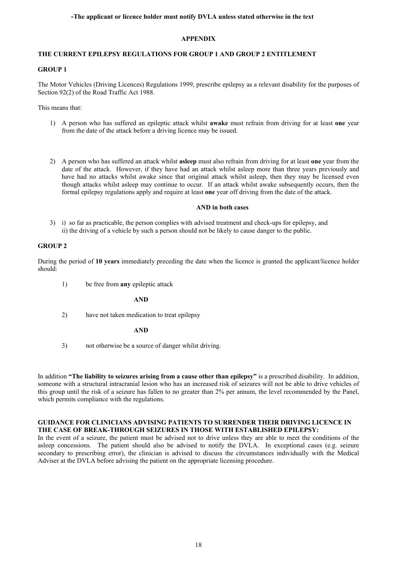#### **-The applicant or licence holder must notify DVLA unless stated otherwise in the text**

#### **APPENDIX**

#### <span id="page-19-0"></span>**THE CURRENT EPILEPSY REGULATIONS FOR GROUP 1 AND GROUP 2 ENTITLEMENT**

#### **GROUP 1**

The Motor Vehicles (Driving Licences) Regulations 1999, prescribe epilepsy as a relevant disability for the purposes of Section 92(2) of the Road Traffic Act 1988.

This means that:

- 1) A person who has suffered an epileptic attack whilst **awake** must refrain from driving for at least **one** year from the date of the attack before a driving licence may be issued.
- 2) A person who has suffered an attack whilst **asleep** must also refrain from driving for at least **one** year from the date of the attack. However, if they have had an attack whilst asleep more than three years previously and have had no attacks whilst awake since that original attack whilst asleep, then they may be licensed even though attacks whilst asleep may continue to occur. If an attack whilst awake subsequently occurs, then the formal epilepsy regulations apply and require at least **one** year off driving from the date of the attack.

#### **AND in both cases**

3) i) so far as practicable, the person complies with advised treatment and check-ups for epilepsy, and ii) the driving of a vehicle by such a person should not be likely to cause danger to the public.

#### **GROUP 2**

During the period of **10 years** immediately preceding the date when the licence is granted the applicant/licence holder should:

1) be free from **any** epileptic attack

#### **AND**

2) have not taken medication to treat epilepsy

#### **AND**

3) not otherwise be a source of danger whilst driving.

In addition **"The liability to seizures arising from a cause other than epilepsy"** is a prescribed disability. In addition, someone with a structural intracranial lesion who has an increased risk of seizures will not be able to drive vehicles of this group until the risk of a seizure has fallen to no greater than 2% per annum, the level recommended by the Panel, which permits compliance with the regulations.

#### **GUIDANCE FOR CLINICIANS ADVISING PATIENTS TO SURRENDER THEIR DRIVING LICENCE IN THE CASE OF BREAK-THROUGH SEIZURES IN THOSE WITH ESTABLISHED EPILEPSY:**

In the event of a seizure, the patient must be advised not to drive unless they are able to meet the conditions of the asleep concessions. The patient should also be advised to notify the DVLA. In exceptional cases (e.g. seizure secondary to prescribing error), the clinician is advised to discuss the circumstances individually with the Medical Adviser at the DVLA before advising the patient on the appropriate licensing procedure.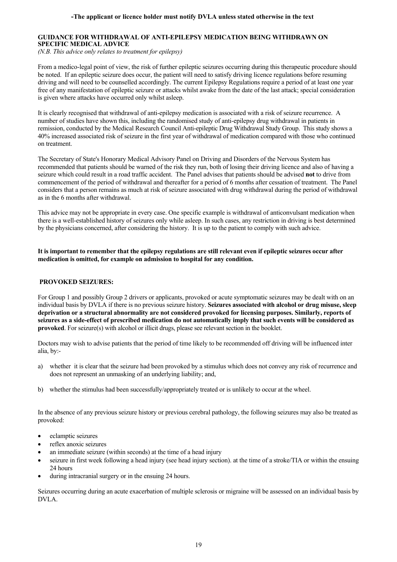#### <span id="page-20-0"></span>**GUIDANCE FOR WITHDRAWAL OF ANTI-EPILEPSY MEDICATION BEING WITHDRAWN ON SPECIFIC MEDICAL ADVICE**

*(N.B. This advice only relates to treatment for epilepsy)*

From a medico-legal point of view, the risk of further epileptic seizures occurring during this therapeutic procedure should be noted. If an epileptic seizure does occur, the patient will need to satisfy driving licence regulations before resuming driving and will need to be counselled accordingly. The current Epilepsy Regulations require a period of at least one year free of any manifestation of epileptic seizure or attacks whilst awake from the date of the last attack; special consideration is given where attacks have occurred only whilst asleep.

It is clearly recognised that withdrawal of anti-epilepsy medication is associated with a risk of seizure recurrence. A number of studies have shown this, including the randomised study of anti-epilepsy drug withdrawal in patients in remission, conducted by the Medical Research Council Anti-epileptic Drug Withdrawal Study Group. This study shows a 40% increased associated risk of seizure in the first year of withdrawal of medication compared with those who continued on treatment.

The Secretary of State's Honorary Medical Advisory Panel on Driving and Disorders of the Nervous System has recommended that patients should be warned of the risk they run, both of losing their driving licence and also of having a seizure which could result in a road traffic accident. The Panel advises that patients should be advised **not** to drive from commencement of the period of withdrawal and thereafter for a period of 6 months after cessation of treatment. The Panel considers that a person remains as much at risk of seizure associated with drug withdrawal during the period of withdrawal as in the 6 months after withdrawal.

This advice may not be appropriate in every case. One specific example is withdrawal of anticonvulsant medication when there is a well-established history of seizures only while asleep. In such cases, any restriction in driving is best determined by the physicians concerned, after considering the history. It is up to the patient to comply with such advice.

**It is important to remember that the epilepsy regulations are still relevant even if epileptic seizures occur after medication is omitted, for example on admission to hospital for any condition.** 

#### **PROVOKED SEIZURES:**

For Group 1 and possibly Group 2 drivers or applicants, provoked or acute symptomatic seizures may be dealt with on an individual basis by DVLA if there is no previous seizure history. **Seizures associated with alcohol or drug misuse, sleep deprivation or a structural abnormality are not considered provoked for licensing purposes. Similarly, reports of seizures as a side-effect of prescribed medication do not automatically imply that such events will be considered as provoked**. For seizure(s) with alcohol or illicit drugs, please see relevant section in the booklet.

Doctors may wish to advise patients that the period of time likely to be recommended off driving will be influenced inter alia, by:-

- a) whether it is clear that the seizure had been provoked by a stimulus which does not convey any risk of recurrence and does not represent an unmasking of an underlying liability; and,
- b) whether the stimulus had been successfully/appropriately treated or is unlikely to occur at the wheel.

In the absence of any previous seizure history or previous cerebral pathology, the following seizures may also be treated as provoked:

- eclamptic seizures
- x reflex anoxic seizures
- an immediate seizure (within seconds) at the time of a head injury
- seizure in first week following a head injury (see head injury section). at the time of a stroke/TIA or within the ensuing 24 hours
- during intracranial surgery or in the ensuing 24 hours.

Seizures occurring during an acute exacerbation of multiple sclerosis or migraine will be assessed on an individual basis by DVLA.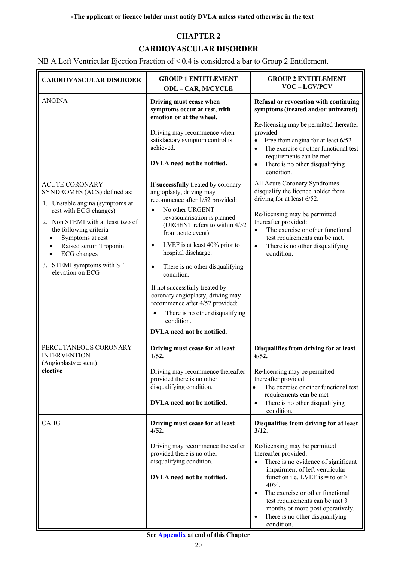# **CHAPTER 2**

# **CARDIOVASCULAR DISORDER**

<span id="page-21-0"></span>NB A Left Ventricular Ejection Fraction of < 0.4 is considered a bar to Group 2 Entitlement.

| <b>CARDIOVASCULAR DISORDER</b>                                                                                                                                                                                                                                                                                    | <b>GROUP 1 ENTITLEMENT</b><br><b>ODL-CAR, M/CYCLE</b>                                                                                                                                                                                                                                                                                                                                                                                                                                                                                                              | <b>GROUP 2 ENTITLEMENT</b><br>VOC-LGV/PCV                                                                                                                                                                                                                                                                                                                      |  |  |
|-------------------------------------------------------------------------------------------------------------------------------------------------------------------------------------------------------------------------------------------------------------------------------------------------------------------|--------------------------------------------------------------------------------------------------------------------------------------------------------------------------------------------------------------------------------------------------------------------------------------------------------------------------------------------------------------------------------------------------------------------------------------------------------------------------------------------------------------------------------------------------------------------|----------------------------------------------------------------------------------------------------------------------------------------------------------------------------------------------------------------------------------------------------------------------------------------------------------------------------------------------------------------|--|--|
| <b>ANGINA</b>                                                                                                                                                                                                                                                                                                     | Driving must cease when<br>symptoms occur at rest, with<br>emotion or at the wheel.                                                                                                                                                                                                                                                                                                                                                                                                                                                                                | Refusal or revocation with continuing<br>symptoms (treated and/or untreated)                                                                                                                                                                                                                                                                                   |  |  |
|                                                                                                                                                                                                                                                                                                                   | Driving may recommence when<br>satisfactory symptom control is<br>achieved.<br>DVLA need not be notified.                                                                                                                                                                                                                                                                                                                                                                                                                                                          | Re-licensing may be permitted thereafter<br>provided:<br>$\bullet$<br>Free from angina for at least 6/52<br>The exercise or other functional test<br>$\bullet$<br>requirements can be met<br>There is no other disqualifying<br>$\bullet$<br>condition.                                                                                                        |  |  |
| <b>ACUTE CORONARY</b><br>SYNDROMES (ACS) defined as:<br>1. Unstable angina (symptoms at<br>rest with ECG changes)<br>2. Non STEMI with at least two of<br>the following criteria<br>Symptoms at rest<br>Raised serum Troponin<br>$\bullet$<br><b>ECG</b> changes<br>3. STEMI symptoms with ST<br>elevation on ECG | If successfully treated by coronary<br>angioplasty, driving may<br>recommence after 1/52 provided:<br>No other URGENT<br>$\bullet$<br>revascularisation is planned.<br>(URGENT refers to within 4/52<br>from acute event)<br>LVEF is at least 40% prior to<br>$\bullet$<br>hospital discharge.<br>There is no other disqualifying<br>$\bullet$<br>condition.<br>If not successfully treated by<br>coronary angioplasty, driving may<br>recommence after 4/52 provided:<br>There is no other disqualifying<br>$\bullet$<br>condition.<br>DVLA need not be notified. | All Acute Coronary Syndromes<br>disqualify the licence holder from<br>driving for at least 6/52.<br>Re/licensing may be permitted<br>thereafter provided:<br>The exercise or other functional<br>$\bullet$<br>test requirements can be met.<br>There is no other disqualifying<br>$\bullet$<br>condition.                                                      |  |  |
| PERCUTANEOUS CORONARY<br><b>INTERVENTION</b><br>$(Angioplasty \pm stem)$                                                                                                                                                                                                                                          | Driving must cease for at least<br>1/52.                                                                                                                                                                                                                                                                                                                                                                                                                                                                                                                           | Disqualifies from driving for at least<br>6/52.                                                                                                                                                                                                                                                                                                                |  |  |
| elective                                                                                                                                                                                                                                                                                                          | Driving may recommence thereafter<br>provided there is no other<br>disqualifying condition.<br>DVLA need not be notified.                                                                                                                                                                                                                                                                                                                                                                                                                                          | Re/licensing may be permitted<br>thereafter provided:<br>The exercise or other functional test<br>$\bullet$<br>requirements can be met<br>There is no other disqualifying<br>$\bullet$                                                                                                                                                                         |  |  |
| CABG                                                                                                                                                                                                                                                                                                              | Driving must cease for at least                                                                                                                                                                                                                                                                                                                                                                                                                                                                                                                                    | condition.<br>Disqualifies from driving for at least                                                                                                                                                                                                                                                                                                           |  |  |
|                                                                                                                                                                                                                                                                                                                   | 4/52.<br>Driving may recommence thereafter<br>provided there is no other<br>disqualifying condition.<br>DVLA need not be notified.                                                                                                                                                                                                                                                                                                                                                                                                                                 | 3/12.<br>Re/licensing may be permitted<br>thereafter provided:<br>There is no evidence of significant<br>impairment of left ventricular<br>function i.e. LVEF is $=$ to or $>$<br>40%.<br>The exercise or other functional<br>$\bullet$<br>test requirements can be met 3<br>months or more post operatively.<br>There is no other disqualifying<br>condition. |  |  |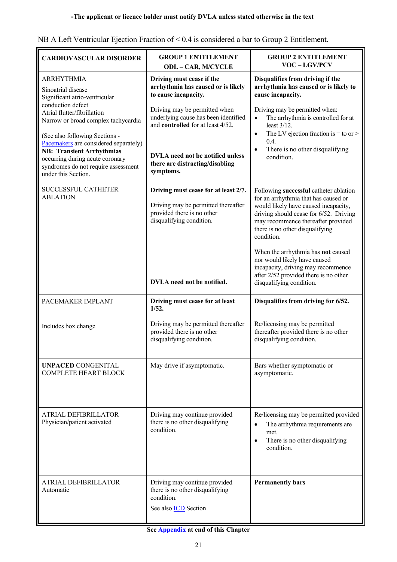| <b>CARDIOVASCULAR DISORDER</b>                                                                                                                                                                               | <b>GROUP 1 ENTITLEMENT</b><br><b>ODL-CAR, M/CYCLE</b>                                                                                 | <b>GROUP 2 ENTITLEMENT</b><br>VOC-LGV/PCV                                                                                                                                                                                                               |
|--------------------------------------------------------------------------------------------------------------------------------------------------------------------------------------------------------------|---------------------------------------------------------------------------------------------------------------------------------------|---------------------------------------------------------------------------------------------------------------------------------------------------------------------------------------------------------------------------------------------------------|
| <b>ARRHYTHMIA</b><br>Sinoatrial disease<br>Significant atrio-ventricular                                                                                                                                     | Driving must cease if the<br>arrhythmia has caused or is likely<br>to cause incapacity.                                               | Disqualifies from driving if the<br>arrhythmia has caused or is likely to<br>cause incapacity.                                                                                                                                                          |
| conduction defect<br>Atrial flutter/fibrillation<br>Narrow or broad complex tachycardia                                                                                                                      | Driving may be permitted when<br>underlying cause has been identified<br>and <b>controlled</b> for at least 4/52.                     | Driving may be permitted when:<br>The arrhythmia is controlled for at<br>$\bullet$<br>least $3/12$ .                                                                                                                                                    |
| (See also following Sections -<br>Pacemakers are considered separately)<br><b>NB: Transient Arrhythmias</b><br>occurring during acute coronary<br>syndromes do not require assessment<br>under this Section. | <b>DVLA</b> need not be notified unless<br>there are distracting/disabling<br>symptoms.                                               | The LV ejection fraction is = to or ><br>$\bullet$<br>0.4.<br>There is no other disqualifying<br>$\bullet$<br>condition.                                                                                                                                |
| <b>SUCCESSFUL CATHETER</b><br><b>ABLATION</b>                                                                                                                                                                | Driving must cease for at least 2/7.<br>Driving may be permitted thereafter<br>provided there is no other<br>disqualifying condition. | Following successful catheter ablation<br>for an arrhythmia that has caused or<br>would likely have caused incapacity,<br>driving should cease for 6/52. Driving<br>may recommence thereafter provided<br>there is no other disqualifying<br>condition. |
|                                                                                                                                                                                                              | DVLA need not be notified.                                                                                                            | When the arrhythmia has not caused<br>nor would likely have caused<br>incapacity, driving may recommence<br>after 2/52 provided there is no other<br>disqualifying condition.                                                                           |
| PACEMAKER IMPLANT                                                                                                                                                                                            | Driving must cease for at least<br>1/52.                                                                                              | Disqualifies from driving for 6/52.                                                                                                                                                                                                                     |
| Includes box change                                                                                                                                                                                          | Driving may be permitted thereafter<br>provided there is no other<br>disqualifying condition.                                         | Re/licensing may be permitted<br>thereafter provided there is no other<br>disqualifying condition.                                                                                                                                                      |
| <b>UNPACED CONGENITAL</b><br><b>COMPLETE HEART BLOCK</b>                                                                                                                                                     | May drive if asymptomatic.                                                                                                            | Bars whether symptomatic or<br>asymptomatic.                                                                                                                                                                                                            |
| <b>ATRIAL DEFIBRILLATOR</b><br>Physician/patient activated                                                                                                                                                   | Driving may continue provided<br>there is no other disqualifying<br>condition.                                                        | Re/licensing may be permitted provided<br>The arrhythmia requirements are<br>met.<br>There is no other disqualifying<br>$\bullet$<br>condition.                                                                                                         |
| <b>ATRIAL DEFIBRILLATOR</b><br>Automatic                                                                                                                                                                     | Driving may continue provided<br>there is no other disqualifying<br>condition.<br>See also <b>ICD</b> Section                         | <b>Permanently bars</b>                                                                                                                                                                                                                                 |

<span id="page-22-0"></span>NB A Left Ventricular Ejection Fraction of < 0.4 is considered a bar to Group 2 Entitlement.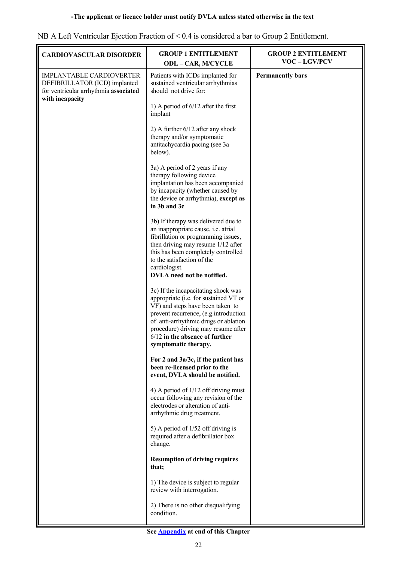<span id="page-23-0"></span>

|  |  |  |  | NB A Left Ventricular Ejection Fraction of $\leq 0.4$ is considered a bar to Group 2 Entitlement. |
|--|--|--|--|---------------------------------------------------------------------------------------------------|
|  |  |  |  |                                                                                                   |

| <b>CARDIOVASCULAR DISORDER</b>                                                                                               | <b>GROUP 1 ENTITLEMENT</b><br><b>ODL-CAR, M/CYCLE</b>                                                                                                                                                                                                                                                | <b>GROUP 2 ENTITLEMENT</b><br>VOC-LGV/PCV |
|------------------------------------------------------------------------------------------------------------------------------|------------------------------------------------------------------------------------------------------------------------------------------------------------------------------------------------------------------------------------------------------------------------------------------------------|-------------------------------------------|
| <b>IMPLANTABLE CARDIOVERTER</b><br>DEFIBRILLATOR (ICD) implanted<br>for ventricular arrhythmia associated<br>with incapacity | Patients with ICDs implanted for<br>sustained ventricular arrhythmias<br>should not drive for:                                                                                                                                                                                                       | <b>Permanently bars</b>                   |
|                                                                                                                              | 1) A period of $6/12$ after the first<br>implant                                                                                                                                                                                                                                                     |                                           |
|                                                                                                                              | 2) A further $6/12$ after any shock<br>therapy and/or symptomatic<br>antitachycardia pacing (see 3a<br>below).                                                                                                                                                                                       |                                           |
|                                                                                                                              | 3a) A period of 2 years if any<br>therapy following device<br>implantation has been accompanied<br>by incapacity (whether caused by<br>the device or arrhythmia), except as<br>in 3b and 3c                                                                                                          |                                           |
|                                                                                                                              | 3b) If therapy was delivered due to<br>an inappropriate cause, i.e. atrial<br>fibrillation or programming issues,<br>then driving may resume 1/12 after<br>this has been completely controlled<br>to the satisfaction of the<br>cardiologist.<br>DVLA need not be notified.                          |                                           |
|                                                                                                                              | 3c) If the incapacitating shock was<br>appropriate (i.e. for sustained VT or<br>VF) and steps have been taken to<br>prevent recurrence, (e.g.introduction<br>of anti-arrhythmic drugs or ablation<br>procedure) driving may resume after<br>$6/12$ in the absence of further<br>symptomatic therapy. |                                           |
|                                                                                                                              | For 2 and 3a/3c, if the patient has<br>been re-licensed prior to the<br>event, DVLA should be notified.                                                                                                                                                                                              |                                           |
|                                                                                                                              | 4) A period of $1/12$ off driving must<br>occur following any revision of the<br>electrodes or alteration of anti-<br>arrhythmic drug treatment.                                                                                                                                                     |                                           |
|                                                                                                                              | 5) A period of 1/52 off driving is<br>required after a defibrillator box<br>change.                                                                                                                                                                                                                  |                                           |
|                                                                                                                              | <b>Resumption of driving requires</b><br>that;                                                                                                                                                                                                                                                       |                                           |
|                                                                                                                              | 1) The device is subject to regular<br>review with interrogation.                                                                                                                                                                                                                                    |                                           |
|                                                                                                                              | 2) There is no other disqualifying<br>condition.                                                                                                                                                                                                                                                     |                                           |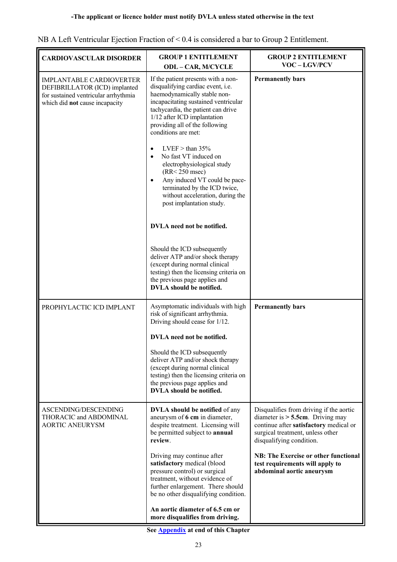| <b>CARDIOVASCULAR DISORDER</b>                                                                                                             | <b>GROUP 1 ENTITLEMENT</b><br><b>ODL-CAR, M/CYCLE</b>                                                                                                                                                                                                                                                                                                                                                                                                                                                                                                                                                                                                                                                                                                                                                     | <b>GROUP 2 ENTITLEMENT</b><br>VOC-LGV/PCV                                                                                                                                                                                                                                                               |
|--------------------------------------------------------------------------------------------------------------------------------------------|-----------------------------------------------------------------------------------------------------------------------------------------------------------------------------------------------------------------------------------------------------------------------------------------------------------------------------------------------------------------------------------------------------------------------------------------------------------------------------------------------------------------------------------------------------------------------------------------------------------------------------------------------------------------------------------------------------------------------------------------------------------------------------------------------------------|---------------------------------------------------------------------------------------------------------------------------------------------------------------------------------------------------------------------------------------------------------------------------------------------------------|
| <b>IMPLANTABLE CARDIOVERTER</b><br>DEFIBRILLATOR (ICD) implanted<br>for sustained ventricular arrhythmia<br>which did not cause incapacity | If the patient presents with a non-<br>disqualifying cardiac event, i.e.<br>haemodynamically stable non-<br>incapacitating sustained ventricular<br>tachycardia, the patient can drive<br>1/12 after ICD implantation<br>providing all of the following<br>conditions are met:<br>$LVEF >$ than 35%<br>$\bullet$<br>No fast VT induced on<br>$\bullet$<br>electrophysiological study<br>$(RR < 250$ msec)<br>Any induced VT could be pace-<br>$\bullet$<br>terminated by the ICD twice,<br>without acceleration, during the<br>post implantation study.<br>DVLA need not be notified.<br>Should the ICD subsequently<br>deliver ATP and/or shock therapy<br>(except during normal clinical<br>testing) then the licensing criteria on<br>the previous page applies and<br><b>DVLA</b> should be notified. | <b>Permanently bars</b>                                                                                                                                                                                                                                                                                 |
| PROPHYLACTIC ICD IMPLANT                                                                                                                   | Asymptomatic individuals with high<br>risk of significant arrhythmia.<br>Driving should cease for 1/12.<br>DVLA need not be notified.<br>Should the ICD subsequently<br>deliver ATP and/or shock therapy<br>(except during normal clinical<br>testing) then the licensing criteria on<br>the previous page applies and<br><b>DVLA</b> should be notified.                                                                                                                                                                                                                                                                                                                                                                                                                                                 | <b>Permanently bars</b>                                                                                                                                                                                                                                                                                 |
| ASCENDING/DESCENDING<br>THORACIC and ABDOMINAL<br><b>AORTIC ANEURYSM</b>                                                                   | <b>DVLA</b> should be notified of any<br>aneurysm of 6 cm in diameter,<br>despite treatment. Licensing will<br>be permitted subject to annual<br>review.<br>Driving may continue after<br>satisfactory medical (blood<br>pressure control) or surgical<br>treatment, without evidence of<br>further enlargement. There should<br>be no other disqualifying condition.<br>An aortic diameter of 6.5 cm or<br>more disqualifies from driving.                                                                                                                                                                                                                                                                                                                                                               | Disqualifies from driving if the aortic<br>diameter is $> 5.5$ cm. Driving may<br>continue after satisfactory medical or<br>surgical treatment, unless other<br>disqualifying condition.<br><b>NB: The Exercise or other functional</b><br>test requirements will apply to<br>abdominal aortic aneurysm |

<span id="page-24-0"></span>NB A Left Ventricular Ejection Fraction of < 0.4 is considered a bar to Group 2 Entitlement.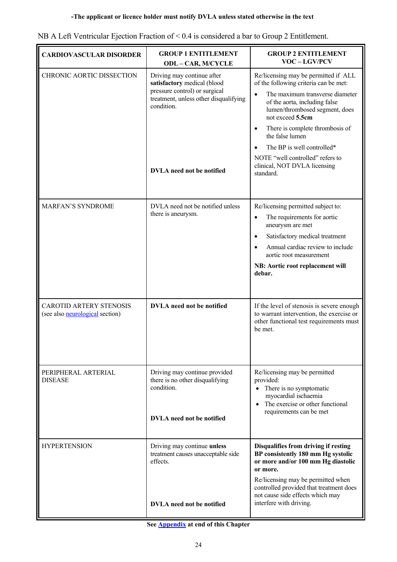# **-The applicant or licence holder must notify DVLA unless stated otherwise in the text**

<span id="page-25-0"></span>

|  |  |  |  |  |  |  | NB A Left Ventricular Ejection Fraction of $\leq 0.4$ is considered a bar to Group 2 Entitlement. |  |
|--|--|--|--|--|--|--|---------------------------------------------------------------------------------------------------|--|
|  |  |  |  |  |  |  |                                                                                                   |  |
|  |  |  |  |  |  |  |                                                                                                   |  |

| <b>CARDIOVASCULAR DISORDER</b>                                    | <b>GROUP 1 ENTITLEMENT</b><br><b>ODL-CAR, M/CYCLE</b>                                                                                                                                 | <b>GROUP 2 ENTITLEMENT</b><br>VOC-LGV/PCV                                                                                                                                                                                                                                                                                                                                                      |
|-------------------------------------------------------------------|---------------------------------------------------------------------------------------------------------------------------------------------------------------------------------------|------------------------------------------------------------------------------------------------------------------------------------------------------------------------------------------------------------------------------------------------------------------------------------------------------------------------------------------------------------------------------------------------|
| CHRONIC AORTIC DISSECTION                                         | Driving may continue after<br>satisfactory medical (blood<br>pressure control) or surgical<br>treatment, unless other disqualifying<br>condition.<br><b>DVLA</b> need not be notified | Re/licensing may be permitted if ALL<br>of the following criteria can be met:<br>The maximum transverse diameter<br>$\bullet$<br>of the aorta, including false<br>lumen/thrombosed segment, does<br>not exceed 5.5cm<br>There is complete thrombosis of<br>٠<br>the false lumen<br>The BP is well controlled*<br>NOTE "well controlled" refers to<br>clinical, NOT DVLA licensing<br>standard. |
| <b>MARFAN'S SYNDROME</b>                                          | DVLA need not be notified unless<br>there is aneurysm.                                                                                                                                | Re/licensing permitted subject to:<br>The requirements for aortic<br>$\bullet$<br>aneurysm are met<br>Satisfactory medical treatment<br>$\bullet$<br>Annual cardiac review to include<br>aortic root measurement<br>NB: Aortic root replacement will<br>debar.                                                                                                                                 |
| CAROTID ARTERY STENOSIS<br>(see also <b>neurological</b> section) | <b>DVLA</b> need not be notified                                                                                                                                                      | If the level of stenosis is severe enough<br>to warrant intervention, the exercise or<br>other functional test requirements must<br>be met.                                                                                                                                                                                                                                                    |
| PERIPHERAL ARTERIAL<br><b>DISEASE</b>                             | Driving may continue provided<br>there is no other disqualifying<br>condition.<br><b>DVLA</b> need not be notified                                                                    | Re/licensing may be permitted<br>provided:<br>$\bullet$ There is no symptomatic<br>myocardial ischaemia<br>The exercise or other functional<br>$\bullet$<br>requirements can be met                                                                                                                                                                                                            |
| <b>HYPERTENSION</b>                                               | Driving may continue unless<br>treatment causes unacceptable side<br>effects.<br><b>DVLA</b> need not be notified                                                                     | Disqualifies from driving if resting<br>BP consistently 180 mm Hg systolic<br>or more and/or 100 mm Hg diastolic<br>or more.<br>Re/licensing may be permitted when<br>controlled provided that treatment does<br>not cause side effects which may<br>interfere with driving.                                                                                                                   |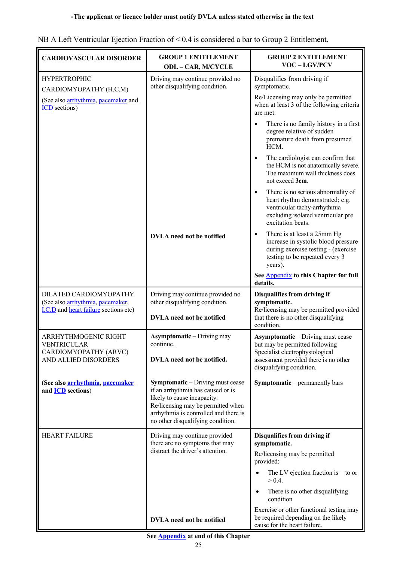| <b>CARDIOVASCULAR DISORDER</b>                                                                              | <b>GROUP 1 ENTITLEMENT</b><br><b>ODL-CAR, M/CYCLE</b>                                                                                                                                                                           | <b>GROUP 2 ENTITLEMENT</b><br>VOC-LGV/PCV                                                                                                                                     |  |  |  |
|-------------------------------------------------------------------------------------------------------------|---------------------------------------------------------------------------------------------------------------------------------------------------------------------------------------------------------------------------------|-------------------------------------------------------------------------------------------------------------------------------------------------------------------------------|--|--|--|
| <b>HYPERTROPHIC</b><br>CARDIOMYOPATHY (H.C.M)                                                               | Driving may continue provided no<br>other disqualifying condition.                                                                                                                                                              | Disqualifies from driving if<br>symptomatic.                                                                                                                                  |  |  |  |
| (See also arrhythmia, pacemaker and<br><b>ICD</b> sections)                                                 |                                                                                                                                                                                                                                 | Re/Licensing may only be permitted<br>when at least 3 of the following criteria<br>are met:                                                                                   |  |  |  |
|                                                                                                             |                                                                                                                                                                                                                                 | There is no family history in a first<br>$\bullet$<br>degree relative of sudden<br>premature death from presumed<br>HCM.                                                      |  |  |  |
|                                                                                                             |                                                                                                                                                                                                                                 | The cardiologist can confirm that<br>the HCM is not anatomically severe.<br>The maximum wall thickness does<br>not exceed 3cm.                                                |  |  |  |
|                                                                                                             |                                                                                                                                                                                                                                 | There is no serious abnormality of<br>$\bullet$<br>heart rhythm demonstrated; e.g.<br>ventricular tachy-arrhythmia<br>excluding isolated ventricular pre<br>excitation beats. |  |  |  |
|                                                                                                             | <b>DVLA</b> need not be notified                                                                                                                                                                                                | There is at least a 25mm Hg<br>increase in systolic blood pressure<br>during exercise testing - (exercise<br>testing to be repeated every 3<br>years).                        |  |  |  |
|                                                                                                             |                                                                                                                                                                                                                                 | See Appendix to this Chapter for full<br>details.                                                                                                                             |  |  |  |
| DILATED CARDIOMYOPATHY<br>(See also <b>arrhythmia</b> , pacemaker,<br>I.C.D and heart failure sections etc) | Driving may continue provided no<br>other disqualifying condition.<br><b>DVLA</b> need not be notified                                                                                                                          | Disqualifies from driving if<br>symptomatic.<br>Re/licensing may be permitted provided<br>that there is no other disqualifying                                                |  |  |  |
|                                                                                                             |                                                                                                                                                                                                                                 | condition.                                                                                                                                                                    |  |  |  |
| ARRHYTHMOGENIC RIGHT<br>VENTRICULAR                                                                         | <b>Asymptomatic</b> – Driving may<br>continue.                                                                                                                                                                                  | <b>Asymptomatic</b> – Driving must cease<br>but may be permitted following                                                                                                    |  |  |  |
| CARDIOMYOPATHY (ARVC)<br>AND ALLIED DISORDERS                                                               | DVLA need not be notified.                                                                                                                                                                                                      | Specialist electrophysiological<br>assessment provided there is no other<br>disqualifying condition.                                                                          |  |  |  |
| (See also <b>arrhythmia</b> , pacemaker<br>and <b>ICD</b> sections)                                         | <b>Symptomatic</b> – Driving must cease<br>if an arrhythmia has caused or is<br>likely to cause incapacity.<br>Re/licensing may be permitted when<br>arrhythmia is controlled and there is<br>no other disqualifying condition. | <b>Symptomatic</b> – permanently bars                                                                                                                                         |  |  |  |
| <b>HEART FAILURE</b>                                                                                        | Driving may continue provided<br>there are no symptoms that may                                                                                                                                                                 | Disqualifies from driving if<br>symptomatic.                                                                                                                                  |  |  |  |
|                                                                                                             | distract the driver's attention.                                                                                                                                                                                                | Re/licensing may be permitted<br>provided:                                                                                                                                    |  |  |  |
|                                                                                                             |                                                                                                                                                                                                                                 | The LV ejection fraction is $=$ to or<br>$> 0.4$ .                                                                                                                            |  |  |  |
|                                                                                                             |                                                                                                                                                                                                                                 | There is no other disqualifying<br>$\bullet$<br>condition                                                                                                                     |  |  |  |
|                                                                                                             | <b>DVLA</b> need not be notified                                                                                                                                                                                                | Exercise or other functional testing may<br>be required depending on the likely<br>cause for the heart failure.                                                               |  |  |  |

<span id="page-26-0"></span>NB A Left Ventricular Ejection Fraction of < 0.4 is considered a bar to Group 2 Entitlement.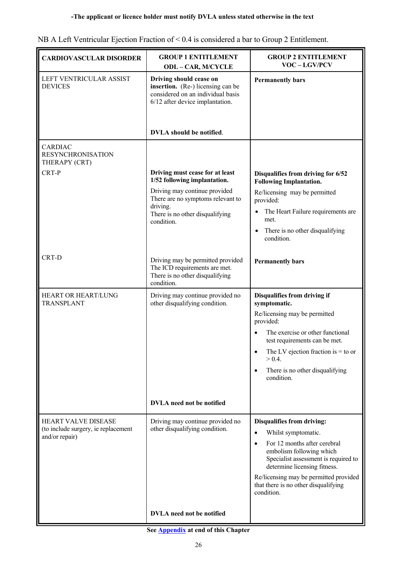<span id="page-27-0"></span>

| <b>CARDIOVASCULAR DISORDER</b>                              | <b>GROUP 1 ENTITLEMENT</b><br><b>ODL-CAR, M/CYCLE</b>                                                                                | <b>GROUP 2 ENTITLEMENT</b><br>VOC-LGV/PCV                                                                                                               |
|-------------------------------------------------------------|--------------------------------------------------------------------------------------------------------------------------------------|---------------------------------------------------------------------------------------------------------------------------------------------------------|
| LEFT VENTRICULAR ASSIST<br><b>DEVICES</b>                   | Driving should cease on<br>insertion. (Re-) licensing can be<br>considered on an individual basis<br>6/12 after device implantation. | <b>Permanently bars</b>                                                                                                                                 |
|                                                             | <b>DVLA</b> should be notified.                                                                                                      |                                                                                                                                                         |
| <b>CARDIAC</b><br><b>RESYNCHRONISATION</b><br>THERAPY (CRT) |                                                                                                                                      |                                                                                                                                                         |
| CRT-P                                                       | Driving must cease for at least<br>1/52 following implantation.                                                                      | Disqualifies from driving for 6/52<br><b>Following Implantation.</b>                                                                                    |
|                                                             | Driving may continue provided<br>There are no symptoms relevant to                                                                   | Re/licensing may be permitted<br>provided:                                                                                                              |
|                                                             | driving.<br>There is no other disqualifying<br>condition.                                                                            | The Heart Failure requirements are<br>met.                                                                                                              |
|                                                             |                                                                                                                                      | There is no other disqualifying<br>$\bullet$<br>condition.                                                                                              |
| CRT-D                                                       | Driving may be permitted provided<br>The ICD requirements are met.<br>There is no other disqualifying<br>condition.                  | <b>Permanently bars</b>                                                                                                                                 |
| HEART OR HEART/LUNG<br>TRANSPLANT                           | Driving may continue provided no<br>other disqualifying condition.                                                                   | Disqualifies from driving if<br>symptomatic.                                                                                                            |
|                                                             |                                                                                                                                      | Re/licensing may be permitted<br>provided:                                                                                                              |
|                                                             |                                                                                                                                      | The exercise or other functional<br>test requirements can be met.                                                                                       |
|                                                             |                                                                                                                                      | The LV ejection fraction is $=$ to or<br>$> 0.4$ .                                                                                                      |
|                                                             |                                                                                                                                      | There is no other disqualifying<br>condition.                                                                                                           |
|                                                             | <b>DVLA</b> need not be notified                                                                                                     |                                                                                                                                                         |
| HEART VALVE DISEASE<br>(to include surgery, ie replacement  | Driving may continue provided no<br>other disqualifying condition.                                                                   | <b>Disqualifies from driving:</b>                                                                                                                       |
| and/or repair)                                              |                                                                                                                                      | Whilst symptomatic.<br>For 12 months after cerebral<br>embolism following which<br>Specialist assessment is required to<br>determine licensing fitness. |
|                                                             |                                                                                                                                      | Re/licensing may be permitted provided<br>that there is no other disqualifying<br>condition.                                                            |
|                                                             | <b>DVLA</b> need not be notified                                                                                                     |                                                                                                                                                         |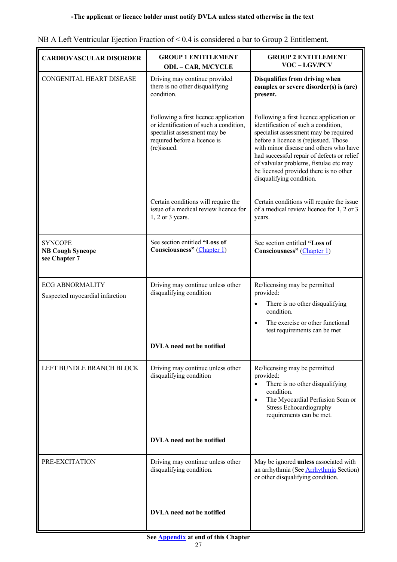| <b>CARDIOVASCULAR DISORDER</b>                             | <b>GROUP 1 ENTITLEMENT</b><br><b>ODL-CAR, M/CYCLE</b>                                                                                                          | <b>GROUP 2 ENTITLEMENT</b><br>VOC-LGV/PCV                                                                                                                                                                                                                                                                                                                                 |
|------------------------------------------------------------|----------------------------------------------------------------------------------------------------------------------------------------------------------------|---------------------------------------------------------------------------------------------------------------------------------------------------------------------------------------------------------------------------------------------------------------------------------------------------------------------------------------------------------------------------|
| <b>CONGENITAL HEART DISEASE</b>                            | Driving may continue provided<br>there is no other disqualifying<br>condition.                                                                                 | Disqualifies from driving when<br>complex or severe disorder(s) is (are)<br>present.                                                                                                                                                                                                                                                                                      |
|                                                            | Following a first licence application<br>or identification of such a condition,<br>specialist assessment may be<br>required before a licence is<br>(re)issued. | Following a first licence application or<br>identification of such a condition,<br>specialist assessment may be required<br>before a licence is (re)issued. Those<br>with minor disease and others who have<br>had successful repair of defects or relief<br>of valvular problems, fistulae etc may<br>be licensed provided there is no other<br>disqualifying condition. |
|                                                            | Certain conditions will require the<br>issue of a medical review licence for<br>$1, 2$ or $3$ years.                                                           | Certain conditions will require the issue<br>of a medical review licence for 1, 2 or 3<br>years.                                                                                                                                                                                                                                                                          |
| <b>SYNCOPE</b><br><b>NB Cough Syncope</b><br>see Chapter 7 | See section entitled "Loss of<br><b>Consciousness"</b> (Chapter 1)                                                                                             | See section entitled "Loss of<br>Consciousness" (Chapter 1)                                                                                                                                                                                                                                                                                                               |
| <b>ECG ABNORMALITY</b><br>Suspected myocardial infarction  | Driving may continue unless other<br>disqualifying condition                                                                                                   | Re/licensing may be permitted<br>provided:<br>There is no other disqualifying<br>$\bullet$<br>condition.<br>The exercise or other functional<br>$\bullet$<br>test requirements can be met                                                                                                                                                                                 |
|                                                            | <b>DVLA</b> need not be notified                                                                                                                               |                                                                                                                                                                                                                                                                                                                                                                           |
| LEFT BUNDLE BRANCH BLOCK                                   | Driving may continue unless other<br>disqualifying condition                                                                                                   | Re/licensing may be permitted<br>provided:<br>There is no other disqualifying<br>$\bullet$<br>condition.<br>The Myocardial Perfusion Scan or<br>$\bullet$<br><b>Stress Echocardiography</b><br>requirements can be met.                                                                                                                                                   |
|                                                            | <b>DVLA</b> need not be notified                                                                                                                               |                                                                                                                                                                                                                                                                                                                                                                           |
| PRE-EXCITATION                                             | Driving may continue unless other<br>disqualifying condition.                                                                                                  | May be ignored unless associated with<br>an arrhythmia (See Arrhythmia Section)<br>or other disqualifying condition.                                                                                                                                                                                                                                                      |
|                                                            | <b>DVLA</b> need not be notified                                                                                                                               |                                                                                                                                                                                                                                                                                                                                                                           |

<span id="page-28-0"></span>NB A Left Ventricular Ejection Fraction of < 0.4 is considered a bar to Group 2 Entitlement.

Щ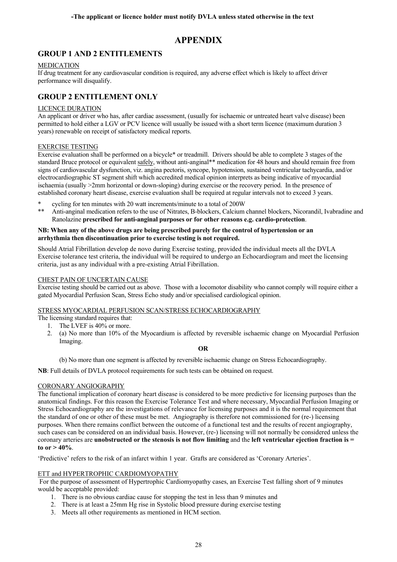# **APPENDIX**

# <span id="page-29-0"></span>**GROUP 1 AND 2 ENTITLEMENTS**

#### MEDICATION

If drug treatment for any cardiovascular condition is required, any adverse effect which is likely to affect driver performance will disqualify.

### **GROUP 2 ENTITLEMENT ONLY**

#### LICENCE DURATION

An applicant or driver who has, after cardiac assessment, (usually for ischaemic or untreated heart valve disease) been permitted to hold either a LGV or PCV licence will usually be issued with a short term licence (maximum duration 3 years) renewable on receipt of satisfactory medical reports.

#### EXERCISE TESTING

Exercise evaluation shall be performed on a bicycle\* or treadmill. Drivers should be able to complete 3 stages of the standard Bruce protocol or equivalent safely, without anti-anginal\*\* medication for 48 hours and should remain free from signs of cardiovascular dysfunction, viz. angina pectoris, syncope, hypotension, sustained ventricular tachycardia, and/or electrocardiographic ST segment shift which accredited medical opinion interprets as being indicative of myocardial ischaemia (usually >2mm horizontal or down-sloping) during exercise or the recovery period. In the presence of established coronary heart disease, exercise evaluation shall be required at regular intervals not to exceed 3 years.

- \* cycling for ten minutes with 20 watt increments/minute to a total of 200W
- Anti-anginal medication refers to the use of Nitrates, B-blockers, Calcium channel blockers, Nicorandil, Ivabradine and Ranolazine **prescribed for anti-anginal purposes or for other reasons e.g. cardio-protection**.

#### **NB: When any of the above drugs are being prescribed purely for the control of hypertension or an arrhythmia then discontinuation prior to exercise testing is not required.**

Should Atrial Fibrillation develop de novo during Exercise testing, provided the individual meets all the DVLA Exercise tolerance test criteria, the individual will be required to undergo an Echocardiogram and meet the licensing criteria, just as any individual with a pre-existing Atrial Fibrillation.

#### CHEST PAIN OF UNCERTAIN CAUSE

Exercise testing should be carried out as above. Those with a locomotor disability who cannot comply will require either a gated Myocardial Perfusion Scan, Stress Echo study and/or specialised cardiological opinion.

#### STRESS MYOCARDIAL PERFUSION SCAN/STRESS ECHOCARDIOGRAPHY

The licensing standard requires that:

- 1. The LVEF is 40% or more.
- 2. (a) No more than 10% of the Myocardium is affected by reversible ischaemic change on Myocardial Perfusion Imaging.

#### **OR**

(b) No more than one segment is affected by reversible ischaemic change on Stress Echocardiography.

**NB**: Full details of DVLA protocol requirements for such tests can be obtained on request.

#### CORONARY ANGIOGRAPHY

The functional implication of coronary heart disease is considered to be more predictive for licensing purposes than the anatomical findings. For this reason the Exercise Tolerance Test and where necessary, Myocardial Perfusion Imaging or Stress Echocardiography are the investigations of relevance for licensing purposes and it is the normal requirement that the standard of one or other of these must be met. Angiography is therefore not commissioned for (re-) licensing purposes. When there remains conflict between the outcome of a functional test and the results of recent angiography, such cases can be considered on an individual basis. However, (re-) licensing will not normally be considered unless the coronary arteries are **unobstructed or the stenosis is not flow limiting** and the **left ventricular ejection fraction is = to or > 40%**.

'Predictive' refers to the risk of an infarct within 1 year. Grafts are considered as 'Coronary Arteries'.

#### ETT and HYPERTROPHIC CARDIOMYOPATHY

 For the purpose of assessment of Hypertrophic Cardiomyopathy cases, an Exercise Test falling short of 9 minutes would be acceptable provided:

- 1. There is no obvious cardiac cause for stopping the test in less than 9 minutes and
- 2. There is at least a 25mm Hg rise in Systolic blood pressure during exercise testing
- 3. Meets all other requirements as mentioned in HCM section.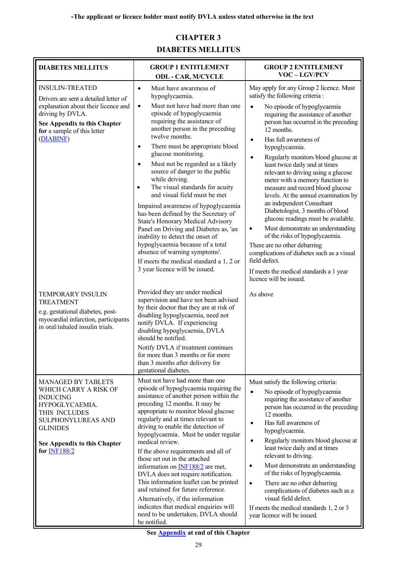| <b>CHAPTER 3</b>         |
|--------------------------|
| <b>DIABETES MELLITUS</b> |

<span id="page-30-0"></span>

| <b>DIABETES MELLITUS</b>                                                                                                                                                                               | <b>GROUP 1 ENTITLEMENT</b><br><b>ODL - CAR, M/CYCLE</b>                                                                                                                                                                                                                                                                                                                                                                                                                                                                                                                                                                                                                                                                                                                                                                                     | <b>GROUP 2 ENTITLEMENT</b><br>VOC-LGV/PCV                                                                                                                                                                                                                                                                                                                                                                                                                                                                                                                                                                                                                                                                                                                                                                                                                                                 |
|--------------------------------------------------------------------------------------------------------------------------------------------------------------------------------------------------------|---------------------------------------------------------------------------------------------------------------------------------------------------------------------------------------------------------------------------------------------------------------------------------------------------------------------------------------------------------------------------------------------------------------------------------------------------------------------------------------------------------------------------------------------------------------------------------------------------------------------------------------------------------------------------------------------------------------------------------------------------------------------------------------------------------------------------------------------|-------------------------------------------------------------------------------------------------------------------------------------------------------------------------------------------------------------------------------------------------------------------------------------------------------------------------------------------------------------------------------------------------------------------------------------------------------------------------------------------------------------------------------------------------------------------------------------------------------------------------------------------------------------------------------------------------------------------------------------------------------------------------------------------------------------------------------------------------------------------------------------------|
| <b>INSULIN-TREATED</b><br>Drivers are sent a detailed letter of<br>explanation about their licence and<br>driving by DVLA.<br>See Appendix to this Chapter<br>for a sample of this letter<br>(DIABINF) | Must have awareness of<br>$\bullet$<br>hypoglycaemia.<br>Must not have had more than one<br>$\bullet$<br>episode of hypoglycaemia<br>requiring the assistance of<br>another person in the preceding<br>twelve months.<br>There must be appropriate blood<br>$\bullet$<br>glucose monitoring.<br>Must not be regarded as a likely<br>$\bullet$<br>source of danger to the public<br>while driving.<br>The visual standards for acuity<br>$\bullet$<br>and visual field must be met<br>Impaired awareness of hypoglycaemia<br>has been defined by the Secretary of<br><b>State's Honorary Medical Advisory</b><br>Panel on Driving and Diabetes as, 'an<br>inability to detect the onset of<br>hypoglycaemia because of a total<br>absence of warning symptoms'.<br>If meets the medical standard a 1, 2 or<br>3 year licence will be issued. | May apply for any Group 2 licence. Must<br>satisfy the following criteria :<br>No episode of hypoglycaemia<br>$\bullet$<br>requiring the assistance of another<br>person has occurred in the preceding<br>12 months.<br>Has full awareness of<br>$\bullet$<br>hypoglycaemia.<br>Regularly monitors blood glucose at<br>$\bullet$<br>least twice daily and at times<br>relevant to driving using a glucose<br>meter with a memory function to<br>measure and record blood glucose<br>levels. At the annual examination by<br>an independent Consultant<br>Diabetologist, 3 months of blood<br>glucose readings must be available.<br>Must demonstrate an understanding<br>$\bullet$<br>of the risks of hypoglycaemia.<br>There are no other debarring<br>complications of diabetes such as a visual<br>field defect.<br>If meets the medical standards a 1 year<br>licence will be issued. |
| <b>TEMPORARY INSULIN</b><br><b>TREATMENT</b><br>e.g. gestational diabetes, post-<br>myocardial infarction, participants<br>in oral/inhaled insulin trials.                                             | Provided they are under medical<br>supervision and have not been advised<br>by their doctor that they are at risk of<br>disabling hypoglycaemia, need not<br>notify DVLA. If experiencing<br>disabling hypoglycaemia, DVLA<br>should be notified.<br>Notify DVLA if treatment continues<br>for more than 3 months or for more<br>than 3 months after delivery for<br>gestational diabetes.                                                                                                                                                                                                                                                                                                                                                                                                                                                  | As above                                                                                                                                                                                                                                                                                                                                                                                                                                                                                                                                                                                                                                                                                                                                                                                                                                                                                  |
| <b>MANAGED BY TABLETS</b><br>WHICH CARRY A RISK OF<br><b>INDUCING</b><br>HYPOGLYCAEMIA.<br>THIS INCLUDES<br>SULPHONYLUREAS AND<br><b>GLINIDES</b><br>See Appendix to this Chapter<br>for $INF188/2$    | Must not have had more than one<br>episode of hypoglycaemia requiring the<br>assistance of another person within the<br>preceding 12 months. It may be<br>appropriate to monitor blood glucose<br>regularly and at times relevant to<br>driving to enable the detection of<br>hypoglycaemia. Must be under regular<br>medical review.<br>If the above requirements and all of<br>those set out in the attached<br>information on <b>INF188/2</b> are met,<br>DVLA does not require notification.<br>This information leaflet can be printed<br>and retained for future reference.<br>Alternatively, if the information<br>indicates that medical enquiries will<br>need to be undertaken, DVLA should<br>be notified.                                                                                                                       | Must satisfy the following criteria:<br>No episode of hypoglycaemia<br>$\bullet$<br>requiring the assistance of another<br>person has occurred in the preceding<br>12 months.<br>Has full awareness of<br>$\bullet$<br>hypoglycaemia.<br>Regularly monitors blood glucose at<br>$\bullet$<br>least twice daily and at times<br>relevant to driving.<br>Must demonstrate an understanding<br>$\bullet$<br>of the risks of hypoglycaemia.<br>There are no other debarring<br>$\bullet$<br>complications of diabetes such as a<br>visual field defect.<br>If meets the medical standards 1, 2 or 3<br>year licence will be issued.                                                                                                                                                                                                                                                           |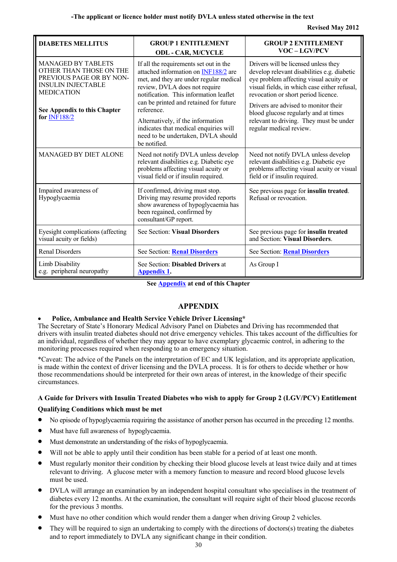<span id="page-31-0"></span>

| <b>DIABETES MELLITUS</b>                                                                                                                                                           | <b>GROUP 1 ENTITLEMENT</b><br><b>ODL - CAR, M/CYCLE</b>                                                                                                                                                                                                                                                                                                                                          | <b>GROUP 2 ENTITLEMENT</b><br><b>VOC - LGV/PCV</b>                                                                                                                                                                                                                                                                                                                         |
|------------------------------------------------------------------------------------------------------------------------------------------------------------------------------------|--------------------------------------------------------------------------------------------------------------------------------------------------------------------------------------------------------------------------------------------------------------------------------------------------------------------------------------------------------------------------------------------------|----------------------------------------------------------------------------------------------------------------------------------------------------------------------------------------------------------------------------------------------------------------------------------------------------------------------------------------------------------------------------|
| <b>MANAGED BY TABLETS</b><br>OTHER THAN THOSE ON THE<br>PREVIOUS PAGE OR BY NON-<br><b>INSULIN INJECTABLE</b><br><b>MEDICATION</b><br>See Appendix to this Chapter<br>for INF188/2 | If all the requirements set out in the<br>attached information on INF188/2 are<br>met, and they are under regular medical<br>review, DVLA does not require<br>notification. This information leaflet<br>can be printed and retained for future<br>reference.<br>Alternatively, if the information<br>indicates that medical enquiries will<br>need to be undertaken, DVLA should<br>be notified. | Drivers will be licensed unless they<br>develop relevant disabilities e.g. diabetic<br>eye problem affecting visual acuity or<br>visual fields, in which case either refusal,<br>revocation or short period licence.<br>Drivers are advised to monitor their<br>blood glucose regularly and at times<br>relevant to driving. They must be under<br>regular medical review. |
| MANAGED BY DIET ALONE                                                                                                                                                              | Need not notify DVLA unless develop<br>relevant disabilities e.g. Diabetic eye<br>problems affecting visual acuity or<br>visual field or if insulin required.                                                                                                                                                                                                                                    | Need not notify DVLA unless develop<br>relevant disabilities e.g. Diabetic eye<br>problems affecting visual acuity or visual<br>field or if insulin required.                                                                                                                                                                                                              |
| Impaired awareness of<br>Hypoglycaemia                                                                                                                                             | If confirmed, driving must stop.<br>Driving may resume provided reports<br>show awareness of hypoglycaemia has<br>been regained, confirmed by<br>consultant/GP report.                                                                                                                                                                                                                           | See previous page for insulin treated.<br>Refusal or revocation.                                                                                                                                                                                                                                                                                                           |
| Eyesight complications (affecting<br>visual acuity or fields)                                                                                                                      | See Section: Visual Disorders                                                                                                                                                                                                                                                                                                                                                                    | See previous page for insulin treated<br>and Section: Visual Disorders.                                                                                                                                                                                                                                                                                                    |
| <b>Renal Disorders</b>                                                                                                                                                             | See Section: Renal Disorders                                                                                                                                                                                                                                                                                                                                                                     | See Section: Renal Disorders                                                                                                                                                                                                                                                                                                                                               |
| Limb Disability<br>e.g. peripheral neuropathy                                                                                                                                      | See Section: Disabled Drivers at<br><b>Appendix 1.</b>                                                                                                                                                                                                                                                                                                                                           | As Group I                                                                                                                                                                                                                                                                                                                                                                 |

**See [Appendix](#page-31-0) at end of this Chapter** 

#### **APPENDIX**

#### x **Police, Ambulance and Health Service Vehicle Driver Licensing\***

The Secretary of State's Honorary Medical Advisory Panel on Diabetes and Driving has recommended that drivers with insulin treated diabetes should not drive emergency vehicles. This takes account of the difficulties for an individual, regardless of whether they may appear to have exemplary glycaemic control, in adhering to the monitoring processes required when responding to an emergency situation.

\*Caveat: The advice of the Panels on the interpretation of EC and UK legislation, and its appropriate application, is made within the context of driver licensing and the DVLA process. It is for others to decide whether or how those recommendations should be interpreted for their own areas of interest, in the knowledge of their specific circumstances.

# **A Guide for Drivers with Insulin Treated Diabetes who wish to apply for Group 2 (LGV/PCV) Entitlement**

### **Qualifying Conditions which must be met**

- $\bullet$ No episode of hypoglycaemia requiring the assistance of another person has occurred in the preceding 12 months.
- $\bullet$ Must have full awareness of hypoglycaemia.
- $\bullet$ Must demonstrate an understanding of the risks of hypoglycaemia.
- $\bullet$ Will not be able to apply until their condition has been stable for a period of at least one month.
- $\bullet$ Must regularly monitor their condition by checking their blood glucose levels at least twice daily and at times relevant to driving. A glucose meter with a memory function to measure and record blood glucose levels must be used.
- $\bullet$ DVLA will arrange an examination by an independent hospital consultant who specialises in the treatment of diabetes every 12 months. At the examination, the consultant will require sight of their blood glucose records for the previous 3 months.
- $\bullet$ Must have no other condition which would render them a danger when driving Group 2 vehicles.
- $\bullet$ They will be required to sign an undertaking to comply with the directions of doctors(s) treating the diabetes and to report immediately to DVLA any significant change in their condition.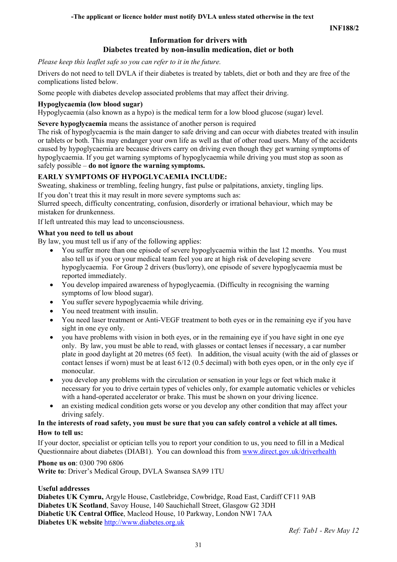### **Information for drivers with Diabetes treated by non-insulin medication, diet or both**

<span id="page-32-0"></span>*Please keep this leaflet safe so you can refer to it in the future.* 

Drivers do not need to tell DVLA if their diabetes is treated by tablets, diet or both and they are free of the complications listed below.

Some people with diabetes develop associated problems that may affect their driving.

#### **Hypoglycaemia (low blood sugar)**

Hypoglycaemia (also known as a hypo) is the medical term for a low blood glucose (sugar) level.

#### **Severe hypoglycaemia** means the assistance of another person is required

The risk of hypoglycaemia is the main danger to safe driving and can occur with diabetes treated with insulin or tablets or both. This may endanger your own life as well as that of other road users. Many of the accidents caused by hypoglycaemia are because drivers carry on driving even though they get warning symptoms of hypoglycaemia. If you get warning symptoms of hypoglycaemia while driving you must stop as soon as safely possible – **do not ignore the warning symptoms.** 

### **EARLY SYMPTOMS OF HYPOGLYCAEMIA INCLUDE:**

Sweating, shakiness or trembling, feeling hungry, fast pulse or palpitations, anxiety, tingling lips.

If you don't treat this it may result in more severe symptoms such as:

Slurred speech, difficulty concentrating, confusion, disorderly or irrational behaviour, which may be mistaken for drunkenness.

If left untreated this may lead to unconsciousness.

#### **What you need to tell us about**

By law, you must tell us if any of the following applies:

- x You suffer more than one episode of severe hypoglycaemia within the last 12 months. You must also tell us if you or your medical team feel you are at high risk of developing severe hypoglycaemia. For Group 2 drivers (bus/lorry), one episode of severe hypoglycaemia must be reported immediately.
- You develop impaired awareness of hypoglycaemia. (Difficulty in recognising the warning symptoms of low blood sugar).
- You suffer severe hypoglycaemia while driving.
- You need treatment with insulin.
- x You need laser treatment or Anti-VEGF treatment to both eyes or in the remaining eye if you have sight in one eye only.
- $\bullet$  vou have problems with vision in both eyes, or in the remaining eye if you have sight in one eye only. By law, you must be able to read, with glasses or contact lenses if necessary, a car number plate in good daylight at 20 metres (65 feet). In addition, the visual acuity (with the aid of glasses or contact lenses if worn) must be at least 6/12 (0.5 decimal) with both eyes open, or in the only eye if monocular.
- x you develop any problems with the circulation or sensation in your legs or feet which make it necessary for you to drive certain types of vehicles only, for example automatic vehicles or vehicles with a hand-operated accelerator or brake. This must be shown on your driving licence.
- an existing medical condition gets worse or you develop any other condition that may affect your driving safely.

#### **In the interests of road safety, you must be sure that you can safely control a vehicle at all times. How to tell us:**

If your doctor, specialist or optician tells you to report your condition to us, you need to fill in a Medical Questionnaire about diabetes (DIAB1). You can download this from [www.direct.gov.uk/driverhealth](http://www.direct.gov.uk/driverhealth)

**Phone us on**: 0300 790 6806 **Write to**: Driver's Medical Group, DVLA Swansea SA99 1TU

#### **Useful addresses**

**Diabetes UK Cymru,** Argyle House, Castlebridge, Cowbridge, Road East, Cardiff CF11 9AB **Diabetes UK Scotland**, Savoy House, 140 Sauchiehall Street, Glasgow G2 3DH **Diabetic UK Central Office**, Macleod House, 10 Parkway, London NW1 7AA **Diabetes UK website** [http://www.diabetes.org.uk](http://www.diabetes.org.uk/)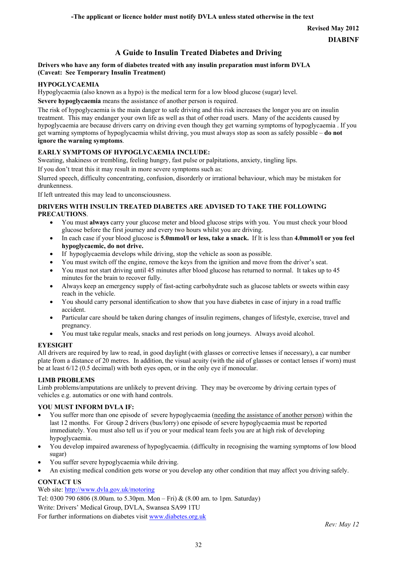**-The applicant or licence holder must notify DVLA unless stated otherwise in the text** 

**Revised May 2012 DIABINF** 

# **A Guide to Insulin Treated Diabetes and Driving**

#### <span id="page-33-0"></span>**Drivers who have any form of diabetes treated with any insulin preparation must inform DVLA (Caveat: See Temporary Insulin Treatment)**

#### **HYPOGLYCAEMIA**

Hypoglycaemia (also known as a hypo) is the medical term for a low blood glucose (sugar) level.

**Severe hypoglycaemia** means the assistance of another person is required.

The risk of hypoglycaemia is the main danger to safe driving and this risk increases the longer you are on insulin treatment. This may endanger your own life as well as that of other road users. Many of the accidents caused by hypoglycaemia are because drivers carry on driving even though they get warning symptoms of hypoglycaemia . If you get warning symptoms of hypoglycaemia whilst driving, you must always stop as soon as safely possible – **do not ignore the warning symptoms**.

#### **EARLY SYMPTOMS OF HYPOGLYCAEMIA INCLUDE:**

Sweating, shakiness or trembling, feeling hungry, fast pulse or palpitations, anxiety, tingling lips.

If you don't treat this it may result in more severe symptoms such as:

Slurred speech, difficulty concentrating, confusion, disorderly or irrational behaviour, which may be mistaken for drunkenness.

If left untreated this may lead to unconsciousness.

#### **DRIVERS WITH INSULIN TREATED DIABETES ARE ADVISED TO TAKE THE FOLLOWING PRECAUTIONS**.

- x You must **always** carry your glucose meter and blood glucose strips with you. You must check your blood glucose before the first journey and every two hours whilst you are driving.
- x In each case if your blood glucose is **5.0mmol/l or less, take a snack.** If lt is less than **4.0mmol/l or you feel hypoglycaemic, do not drive.**
- If hypoglycaemia develops while driving, stop the vehicle as soon as possible.
- x You must switch off the engine, remove the keys from the ignition and move from the driver's seat.
- You must not start driving until 45 minutes after blood glucose has returned to normal. It takes up to 45 minutes for the brain to recover fully.
- Always keep an emergency supply of fast-acting carbohydrate such as glucose tablets or sweets within easy reach in the vehicle.
- x You should carry personal identification to show that you have diabetes in case of injury in a road traffic accident.
- Particular care should be taken during changes of insulin regimens, changes of lifestyle, exercise, travel and pregnancy.
- You must take regular meals, snacks and rest periods on long journeys. Always avoid alcohol.

#### **EYESIGHT**

All drivers are required by law to read, in good daylight (with glasses or corrective lenses if necessary), a car number plate from a distance of 20 metres. In addition, the visual acuity (with the aid of glasses or contact lenses if worn) must be at least 6/12 (0.5 decimal) with both eyes open, or in the only eye if monocular.

#### **LIMB PROBLEMS**

Limb problems/amputations are unlikely to prevent driving. They may be overcome by driving certain types of vehicles e.g. automatics or one with hand controls.

#### **YOU MUST INFORM DVLA IF:**

- x You suffer more than one episode of severe hypoglycaemia (needing the assistance of another person) within the last 12 months. For Group 2 drivers (bus/lorry) one episode of severe hypoglycaemia must be reported immediately. You must also tell us if you or your medical team feels you are at high risk of developing hypoglycaemia.
- x You develop impaired awareness of hypoglycaemia. (difficulty in recognising the warning symptoms of low blood sugar)
- You suffer severe hypoglycaemia while driving.
- An existing medical condition gets worse or you develop any other condition that may affect you driving safely.

#### **CONTACT US**

#### Web site:<http://www.dvla.gov.uk/motoring>

Tel: 0300 790 6806 (8.00am. to 5.30pm. Mon – Fri) & (8.00 am. to 1pm. Saturday) Write: Drivers' Medical Group, DVLA, Swansea SA99 1TU For further informations on diabetes visit [www.diabetes.org.uk](http://www.diabetes.org.uk/)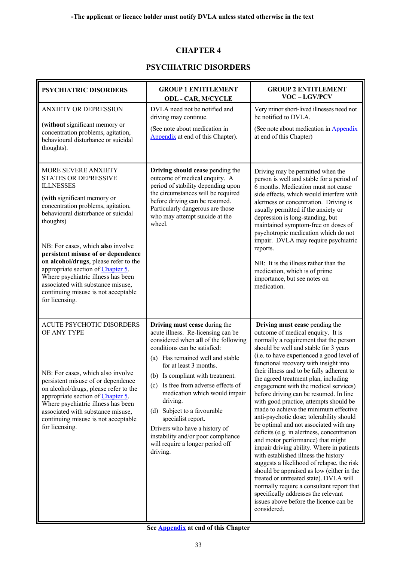# **CHAPTER 4**

# **PSYCHIATRIC DISORDERS**

<span id="page-34-0"></span>

| <b>PSYCHIATRIC DISORDERS</b>                                                                                                                                                                                                                                                                                                                                                                                                                                                                        | <b>GROUP 1 ENTITLEMENT</b><br><b>ODL - CAR, M/CYCLE</b>                                                                                                                                                                                                                                                                                                                                                                                                                                                          | <b>GROUP 2 ENTITLEMENT</b><br>VOC-LGV/PCV                                                                                                                                                                                                                                                                                                                                                                                                                                                                                                                                                                                                                                                                                                                                                                                                                                                                                                                                                                                                               |
|-----------------------------------------------------------------------------------------------------------------------------------------------------------------------------------------------------------------------------------------------------------------------------------------------------------------------------------------------------------------------------------------------------------------------------------------------------------------------------------------------------|------------------------------------------------------------------------------------------------------------------------------------------------------------------------------------------------------------------------------------------------------------------------------------------------------------------------------------------------------------------------------------------------------------------------------------------------------------------------------------------------------------------|---------------------------------------------------------------------------------------------------------------------------------------------------------------------------------------------------------------------------------------------------------------------------------------------------------------------------------------------------------------------------------------------------------------------------------------------------------------------------------------------------------------------------------------------------------------------------------------------------------------------------------------------------------------------------------------------------------------------------------------------------------------------------------------------------------------------------------------------------------------------------------------------------------------------------------------------------------------------------------------------------------------------------------------------------------|
| <b>ANXIETY OR DEPRESSION</b><br>(without significant memory or<br>concentration problems, agitation,<br>behavioural disturbance or suicidal<br>thoughts).                                                                                                                                                                                                                                                                                                                                           | DVLA need not be notified and<br>driving may continue.<br>(See note about medication in<br>Appendix at end of this Chapter).                                                                                                                                                                                                                                                                                                                                                                                     | Very minor short-lived illnesses need not<br>be notified to DVLA.<br>(See note about medication in <b>Appendix</b><br>at end of this Chapter)                                                                                                                                                                                                                                                                                                                                                                                                                                                                                                                                                                                                                                                                                                                                                                                                                                                                                                           |
| <b>MORE SEVERE ANXIETY</b><br><b>STATES OR DEPRESSIVE</b><br><b>ILLNESSES</b><br>(with significant memory or<br>concentration problems, agitation,<br>behavioural disturbance or suicidal<br>thoughts)<br>NB: For cases, which also involve<br>persistent misuse of or dependence<br>on alcohol/drugs, please refer to the<br>appropriate section of Chapter 5.<br>Where psychiatric illness has been<br>associated with substance misuse,<br>continuing misuse is not acceptable<br>for licensing. | Driving should cease pending the<br>outcome of medical enquiry. A<br>period of stability depending upon<br>the circumstances will be required<br>before driving can be resumed.<br>Particularly dangerous are those<br>who may attempt suicide at the<br>wheel.                                                                                                                                                                                                                                                  | Driving may be permitted when the<br>person is well and stable for a period of<br>6 months. Medication must not cause<br>side effects, which would interfere with<br>alertness or concentration. Driving is<br>usually permitted if the anxiety or<br>depression is long-standing, but<br>maintained symptom-free on doses of<br>psychotropic medication which do not<br>impair. DVLA may require psychiatric<br>reports.<br>NB: It is the illness rather than the<br>medication, which is of prime<br>importance, but see notes on<br>medication.                                                                                                                                                                                                                                                                                                                                                                                                                                                                                                      |
| ACUTE PSYCHOTIC DISORDERS<br>OF ANY TYPE<br>NB: For cases, which also involve<br>persistent misuse of or dependence<br>on alcohol/drugs, please refer to the<br>appropriate section of Chapter 5.<br>Where psychiatric illness has been<br>associated with substance misuse,<br>continuing misuse is not acceptable<br>for licensing.                                                                                                                                                               | Driving must cease during the<br>acute illness. Re-licensing can be<br>considered when all of the following<br>conditions can be satisfied:<br>(a) Has remained well and stable<br>for at least 3 months.<br>(b) Is compliant with treatment.<br>(c) Is free from adverse effects of<br>medication which would impair<br>driving.<br>Subject to a favourable<br>(d)<br>specialist report.<br>Drivers who have a history of<br>instability and/or poor compliance<br>will require a longer period off<br>driving. | Driving must cease pending the<br>outcome of medical enquiry. It is<br>normally a requirement that the person<br>should be well and stable for 3 years<br>(i.e. to have experienced a good level of<br>functional recovery with insight into<br>their illness and to be fully adherent to<br>the agreed treatment plan, including<br>engagement with the medical services)<br>before driving can be resumed. In line<br>with good practice, attempts should be<br>made to achieve the minimum effective<br>anti-psychotic dose; tolerability should<br>be optimal and not associated with any<br>deficits (e.g. in alertness, concentration<br>and motor performance) that might<br>impair driving ability. Where in patients<br>with established illness the history<br>suggests a likelihood of relapse, the risk<br>should be appraised as low (either in the<br>treated or untreated state). DVLA will<br>normally require a consultant report that<br>specifically addresses the relevant<br>issues above before the licence can be<br>considered. |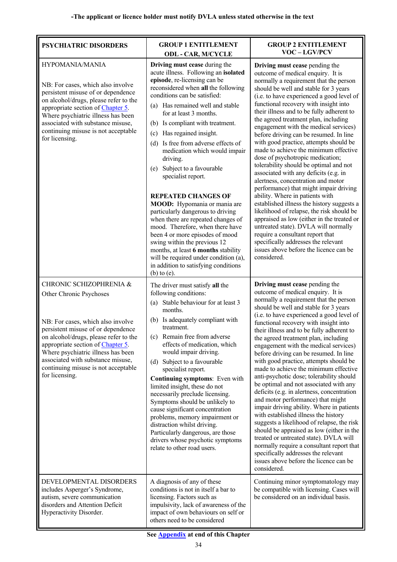<span id="page-35-0"></span>

| PSYCHIATRIC DISORDERS                                                                                                                                                                                                                                                                                                                           | <b>GROUP 1 ENTITLEMENT</b><br><b>ODL - CAR, M/CYCLE</b>                                                                                                                                                                                                                                                                                                                                                                                                                                                                                                                                                                                                                                                                                                                                                                                                   | <b>GROUP 2 ENTITLEMENT</b><br>VOC-LGV/PCV                                                                                                                                                                                                                                                                                                                                                                                                                                                                                                                                                                                                                                                                                                                                                                                                                                                                                                                                                                                                                              |
|-------------------------------------------------------------------------------------------------------------------------------------------------------------------------------------------------------------------------------------------------------------------------------------------------------------------------------------------------|-----------------------------------------------------------------------------------------------------------------------------------------------------------------------------------------------------------------------------------------------------------------------------------------------------------------------------------------------------------------------------------------------------------------------------------------------------------------------------------------------------------------------------------------------------------------------------------------------------------------------------------------------------------------------------------------------------------------------------------------------------------------------------------------------------------------------------------------------------------|------------------------------------------------------------------------------------------------------------------------------------------------------------------------------------------------------------------------------------------------------------------------------------------------------------------------------------------------------------------------------------------------------------------------------------------------------------------------------------------------------------------------------------------------------------------------------------------------------------------------------------------------------------------------------------------------------------------------------------------------------------------------------------------------------------------------------------------------------------------------------------------------------------------------------------------------------------------------------------------------------------------------------------------------------------------------|
| HYPOMANIA/MANIA<br>NB: For cases, which also involve<br>persistent misuse of or dependence<br>on alcohol/drugs, please refer to the<br>appropriate section of Chapter 5.<br>Where psychiatric illness has been<br>associated with substance misuse,<br>continuing misuse is not acceptable<br>for licensing.                                    | Driving must cease during the<br>acute illness. Following an isolated<br>episode, re-licensing can be<br>reconsidered when all the following<br>conditions can be satisfied:<br>(a) Has remained well and stable<br>for at least 3 months.<br>(b) Is compliant with treatment.<br>Has regained insight.<br>(c)<br>Is free from adverse effects of<br>(d)<br>medication which would impair<br>driving.<br>Subject to a favourable<br>(e)<br>specialist report.<br><b>REPEATED CHANGES OF</b><br>MOOD: Hypomania or mania are<br>particularly dangerous to driving<br>when there are repeated changes of<br>mood. Therefore, when there have<br>been 4 or more episodes of mood<br>swing within the previous 12<br>months, at least 6 months stability<br>will be required under condition (a),<br>in addition to satisfying conditions<br>$(b)$ to $(e)$ . | Driving must cease pending the<br>outcome of medical enquiry. It is<br>normally a requirement that the person<br>should be well and stable for 3 years<br>(i.e. to have experienced a good level of<br>functional recovery with insight into<br>their illness and to be fully adherent to<br>the agreed treatment plan, including<br>engagement with the medical services)<br>before driving can be resumed. In line<br>with good practice, attempts should be<br>made to achieve the minimum effective<br>dose of psychotropic medication;<br>tolerability should be optimal and not<br>associated with any deficits (e.g. in<br>alertness, concentration and motor<br>performance) that might impair driving<br>ability. Where in patients with<br>established illness the history suggests a<br>likelihood of relapse, the risk should be<br>appraised as low (either in the treated or<br>untreated state). DVLA will normally<br>require a consultant report that<br>specifically addresses the relevant<br>issues above before the licence can be<br>considered. |
| CHRONIC SCHIZOPHRENIA &<br>Other Chronic Psychoses<br>NB: For cases, which also involve<br>persistent misuse of or dependence<br>on alcohol/drugs, please refer to the<br>appropriate section of Chapter 5.<br>Where psychiatric illness has been<br>associated with substance misuse,<br>continuing misuse is not acceptable<br>for licensing. | The driver must satisfy all the<br>following conditions:<br>Stable behaviour for at least 3<br>(a)<br>months.<br>(b) Is adequately compliant with<br>treatment.<br>(c) Remain free from adverse<br>effects of medication, which<br>would impair driving.<br>(d) Subject to a favourable<br>specialist report.<br>Continuing symptoms: Even with<br>limited insight, these do not<br>necessarily preclude licensing.<br>Symptoms should be unlikely to<br>cause significant concentration<br>problems, memory impairment or<br>distraction whilst driving.<br>Particularly dangerous, are those<br>drivers whose psychotic symptoms<br>relate to other road users.                                                                                                                                                                                         | Driving must cease pending the<br>outcome of medical enquiry. It is<br>normally a requirement that the person<br>should be well and stable for 3 years<br>(i.e. to have experienced a good level of<br>functional recovery with insight into<br>their illness and to be fully adherent to<br>the agreed treatment plan, including<br>engagement with the medical services)<br>before driving can be resumed. In line<br>with good practice, attempts should be<br>made to achieve the minimum effective<br>anti-psychotic dose; tolerability should<br>be optimal and not associated with any<br>deficits (e.g. in alertness, concentration<br>and motor performance) that might<br>impair driving ability. Where in patients<br>with established illness the history<br>suggests a likelihood of relapse, the risk<br>should be appraised as low (either in the<br>treated or untreated state). DVLA will<br>normally require a consultant report that<br>specifically addresses the relevant<br>issues above before the licence can be<br>considered.                |
| DEVELOPMENTAL DISORDERS<br>includes Asperger's Syndrome,<br>autism, severe communication<br>disorders and Attention Deficit<br>Hyperactivity Disorder.                                                                                                                                                                                          | A diagnosis of any of these<br>conditions is not in itself a bar to<br>licensing. Factors such as<br>impulsivity, lack of awareness of the<br>impact of own behaviours on self or<br>others need to be considered                                                                                                                                                                                                                                                                                                                                                                                                                                                                                                                                                                                                                                         | Continuing minor symptomatology may<br>be compatible with licensing. Cases will<br>be considered on an individual basis.                                                                                                                                                                                                                                                                                                                                                                                                                                                                                                                                                                                                                                                                                                                                                                                                                                                                                                                                               |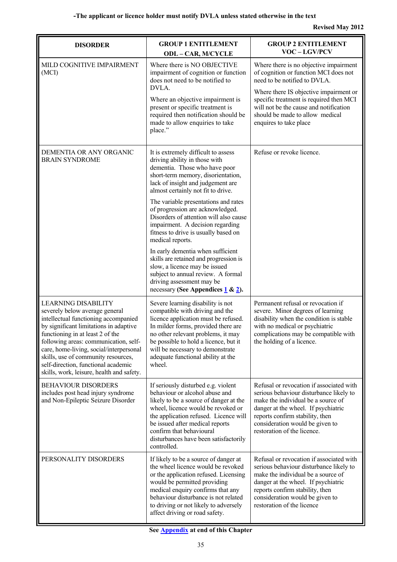<span id="page-36-0"></span>

| <b>DISORDER</b>                                                                                                                                                                                                                                                                                                                                                                                   | <b>GROUP 1 ENTITLEMENT</b><br><b>ODL-CAR, M/CYCLE</b>                                                                                                                                                                                                                                                                                                                                                                                                                                                                                                                                                                                                                   | <b>GROUP 2 ENTITLEMENT</b><br>VOC-LGV/PCV                                                                                                                                                                                                                                                                   |
|---------------------------------------------------------------------------------------------------------------------------------------------------------------------------------------------------------------------------------------------------------------------------------------------------------------------------------------------------------------------------------------------------|-------------------------------------------------------------------------------------------------------------------------------------------------------------------------------------------------------------------------------------------------------------------------------------------------------------------------------------------------------------------------------------------------------------------------------------------------------------------------------------------------------------------------------------------------------------------------------------------------------------------------------------------------------------------------|-------------------------------------------------------------------------------------------------------------------------------------------------------------------------------------------------------------------------------------------------------------------------------------------------------------|
| MILD COGNITIVE IMPAIRMENT<br>(MCI)                                                                                                                                                                                                                                                                                                                                                                | Where there is NO OBJECTIVE<br>impairment of cognition or function<br>does not need to be notified to<br>DVLA.<br>Where an objective impairment is<br>present or specific treatment is<br>required then notification should be<br>made to allow enquiries to take<br>place."                                                                                                                                                                                                                                                                                                                                                                                            | Where there is no objective impairment<br>of cognition or function MCI does not<br>need to be notified to DVLA.<br>Where there IS objective impairment or<br>specific treatment is required then MCI<br>will not be the cause and notification<br>should be made to allow medical<br>enquires to take place |
| DEMENTIA OR ANY ORGANIC<br><b>BRAIN SYNDROME</b>                                                                                                                                                                                                                                                                                                                                                  | It is extremely difficult to assess<br>driving ability in those with<br>dementia. Those who have poor<br>short-term memory, disorientation,<br>lack of insight and judgement are<br>almost certainly not fit to drive.<br>The variable presentations and rates<br>of progression are acknowledged.<br>Disorders of attention will also cause<br>impairment. A decision regarding<br>fitness to drive is usually based on<br>medical reports.<br>In early dementia when sufficient<br>skills are retained and progression is<br>slow, a licence may be issued<br>subject to annual review. A formal<br>driving assessment may be<br>necessary (See Appendices $1 & 2$ ). | Refuse or revoke licence.                                                                                                                                                                                                                                                                                   |
| <b>LEARNING DISABILITY</b><br>severely below average general<br>intellectual functioning accompanied<br>by significant limitations in adaptive<br>functioning in at least 2 of the<br>following areas: communication, self-<br>care, home-living, social/interpersonal<br>skills, use of community resources,<br>self-direction, functional academic<br>skills, work, leisure, health and safety. | Severe learning disability is not<br>compatible with driving and the<br>licence application must be refused.<br>In milder forms, provided there are<br>no other relevant problems, it may<br>be possible to hold a licence, but it<br>will be necessary to demonstrate<br>adequate functional ability at the<br>wheel.                                                                                                                                                                                                                                                                                                                                                  | Permanent refusal or revocation if<br>severe. Minor degrees of learning<br>disability when the condition is stable<br>with no medical or psychiatric<br>complications may be compatible with<br>the holding of a licence.                                                                                   |
| <b>BEHAVIOUR DISORDERS</b><br>includes post head injury syndrome<br>and Non-Epileptic Seizure Disorder                                                                                                                                                                                                                                                                                            | If seriously disturbed e.g. violent<br>behaviour or alcohol abuse and<br>likely to be a source of danger at the<br>wheel, licence would be revoked or<br>the application refused. Licence will<br>be issued after medical reports<br>confirm that behavioural<br>disturbances have been satisfactorily<br>controlled.                                                                                                                                                                                                                                                                                                                                                   | Refusal or revocation if associated with<br>serious behaviour disturbance likely to<br>make the individual be a source of<br>danger at the wheel. If psychiatric<br>reports confirm stability, then<br>consideration would be given to<br>restoration of the licence.                                       |
| PERSONALITY DISORDERS                                                                                                                                                                                                                                                                                                                                                                             | If likely to be a source of danger at<br>the wheel licence would be revoked<br>or the application refused. Licensing<br>would be permitted providing<br>medical enquiry confirms that any<br>behaviour disturbance is not related<br>to driving or not likely to adversely<br>affect driving or road safety.                                                                                                                                                                                                                                                                                                                                                            | Refusal or revocation if associated with<br>serious behaviour disturbance likely to<br>make the individual be a source of<br>danger at the wheel. If psychiatric<br>reports confirm stability, then<br>consideration would be given to<br>restoration of the licence                                        |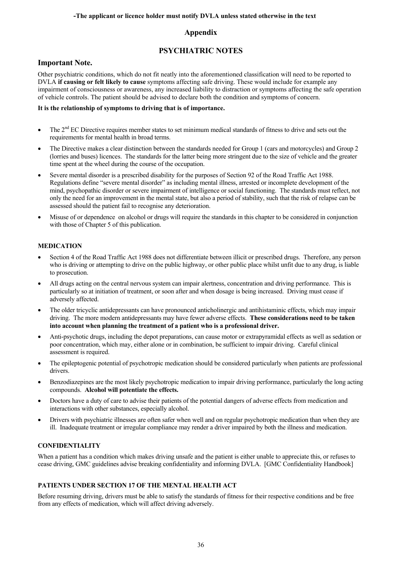#### **-The applicant or licence holder must notify DVLA unless stated otherwise in the text**

#### **Appendix**

#### **PSYCHIATRIC NOTES**

#### <span id="page-37-0"></span>**Important Note.**

Other psychiatric conditions, which do not fit neatly into the aforementioned classification will need to be reported to DVLA **if causing or felt likely to cause** symptoms affecting safe driving. These would include for example any impairment of consciousness or awareness, any increased liability to distraction or symptoms affecting the safe operation of vehicle controls. The patient should be advised to declare both the condition and symptoms of concern.

#### **It is the relationship of symptoms to driving that is of importance.**

- The  $2<sup>nd</sup>$  EC Directive requires member states to set minimum medical standards of fitness to drive and sets out the requirements for mental health in broad terms.
- x The Directive makes a clear distinction between the standards needed for Group 1 (cars and motorcycles) and Group 2 (lorries and buses) licences. The standards for the latter being more stringent due to the size of vehicle and the greater time spent at the wheel during the course of the occupation.
- Severe mental disorder is a prescribed disability for the purposes of Section 92 of the Road Traffic Act 1988. Regulations define "severe mental disorder" as including mental illness, arrested or incomplete development of the mind, psychopathic disorder or severe impairment of intelligence or social functioning. The standards must reflect, not only the need for an improvement in the mental state, but also a period of stability, such that the risk of relapse can be assessed should the patient fail to recognise any deterioration.
- x Misuse of or dependence on alcohol or drugs will require the standards in this chapter to be considered in conjunction with those of Chapter 5 of this publication.

#### **MEDICATION**

- Section 4 of the Road Traffic Act 1988 does not differentiate between illicit or prescribed drugs. Therefore, any person who is driving or attempting to drive on the public highway, or other public place whilst unfit due to any drug, is liable to prosecution.
- All drugs acting on the central nervous system can impair alertness, concentration and driving performance. This is particularly so at initiation of treatment, or soon after and when dosage is being increased. Driving must cease if adversely affected.
- The older tricyclic antidepressants can have pronounced anticholinergic and antihistaminic effects, which may impair driving. The more modern antidepressants may have fewer adverse effects. **These considerations need to be taken into account when planning the treatment of a patient who is a professional driver.**
- x Anti-psychotic drugs, including the depot preparations, can cause motor or extrapyramidal effects as well as sedation or poor concentration, which may, either alone or in combination, be sufficient to impair driving. Careful clinical assessment is required.
- x The epileptogenic potential of psychotropic medication should be considered particularly when patients are professional drivers.
- x Benzodiazepines are the most likely psychotropic medication to impair driving performance, particularly the long acting compounds. **Alcohol will potentiate the effects.**
- Doctors have a duty of care to advise their patients of the potential dangers of adverse effects from medication and interactions with other substances, especially alcohol.
- Drivers with psychiatric illnesses are often safer when well and on regular psychotropic medication than when they are ill. Inadequate treatment or irregular compliance may render a driver impaired by both the illness and medication.

#### **CONFIDENTIALITY**

When a patient has a condition which makes driving unsafe and the patient is either unable to appreciate this, or refuses to cease driving, GMC guidelines advise breaking confidentiality and informing DVLA. [GMC Confidentiality Handbook]

#### **PATIENTS UNDER SECTION 17 OF THE MENTAL HEALTH ACT**

Before resuming driving, drivers must be able to satisfy the standards of fitness for their respective conditions and be free from any effects of medication, which will affect driving adversely.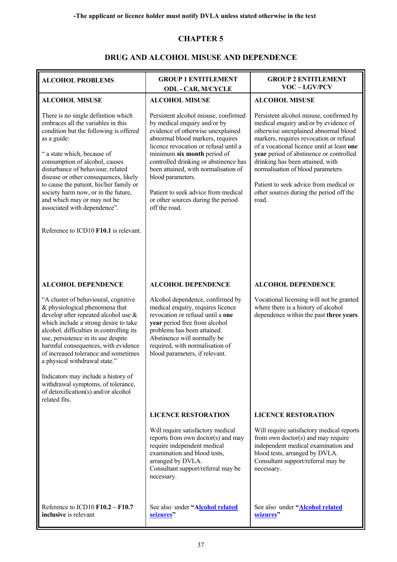# **CHAPTER 5**

# **DRUG AND ALCOHOL MISUSE AND DEPENDENCE**

<span id="page-38-0"></span>

| <b>ALCOHOL PROBLEMS</b>                                                                                                                                                                                                                                                                                                                                                                                                            | <b>GROUP 1 ENTITLEMENT</b><br><b>ODL - CAR, M/CYCLE</b>                                                                                                                                                                                                                                                                                                                                                                   | <b>GROUP 2 ENTITLEMENT</b><br>VOC-LGV/PCV                                                                                                                                                                                                                                                                                                                                                                                            |
|------------------------------------------------------------------------------------------------------------------------------------------------------------------------------------------------------------------------------------------------------------------------------------------------------------------------------------------------------------------------------------------------------------------------------------|---------------------------------------------------------------------------------------------------------------------------------------------------------------------------------------------------------------------------------------------------------------------------------------------------------------------------------------------------------------------------------------------------------------------------|--------------------------------------------------------------------------------------------------------------------------------------------------------------------------------------------------------------------------------------------------------------------------------------------------------------------------------------------------------------------------------------------------------------------------------------|
| <b>ALCOHOL MISUSE</b>                                                                                                                                                                                                                                                                                                                                                                                                              | <b>ALCOHOL MISUSE</b>                                                                                                                                                                                                                                                                                                                                                                                                     | <b>ALCOHOL MISUSE</b>                                                                                                                                                                                                                                                                                                                                                                                                                |
| There is no single definition which<br>embraces all the variables in this<br>condition but the following is offered<br>as a guide:<br>" a state which, because of<br>consumption of alcohol, causes<br>disturbance of behaviour, related<br>disease or other consequences, likely<br>to cause the patient, his/her family or<br>society harm now, or in the future,<br>and which may or may not be<br>associated with dependence". | Persistent alcohol misuse, confirmed<br>by medical enquiry and/or by<br>evidence of otherwise unexplained<br>abnormal blood markers, requires<br>licence revocation or refusal until a<br>minimum six month period of<br>controlled drinking or abstinence has<br>been attained, with normalisation of<br>blood parameters.<br>Patient to seek advice from medical<br>or other sources during the period<br>off the road. | Persistent alcohol misuse, confirmed by<br>medical enquiry and/or by evidence of<br>otherwise unexplained abnormal blood<br>markers, requires revocation or refusal<br>of a vocational licence until at least one<br>year period of abstinence or controlled<br>drinking has been attained, with<br>normalisation of blood parameters.<br>Patient to seek advice from medical or<br>other sources during the period off the<br>road. |
| Reference to ICD10 F10.1 is relevant.                                                                                                                                                                                                                                                                                                                                                                                              |                                                                                                                                                                                                                                                                                                                                                                                                                           |                                                                                                                                                                                                                                                                                                                                                                                                                                      |
| <b>ALCOHOL DEPENDENCE</b><br>"A cluster of behavioural, cognitive<br>& physiological phenomena that                                                                                                                                                                                                                                                                                                                                | <b>ALCOHOL DEPENDENCE</b><br>Alcohol dependence, confirmed by<br>medical enquiry, requires licence                                                                                                                                                                                                                                                                                                                        | <b>ALCOHOL DEPENDENCE</b><br>Vocational licensing will not be granted<br>where there is a history of alcohol                                                                                                                                                                                                                                                                                                                         |
| develop after repeated alcohol use &<br>which include a strong desire to take<br>alcohol, difficulties in controlling its<br>use, persistence in its use despite<br>harmful consequences, with evidence<br>of increased tolerance and sometimes<br>a physical withdrawal state."                                                                                                                                                   | revocation or refusal until a one<br>year period free from alcohol<br>problems has been attained.<br>Abstinence will normally be<br>required, with normalisation of<br>blood parameters, if relevant.                                                                                                                                                                                                                     | dependence within the past three years.                                                                                                                                                                                                                                                                                                                                                                                              |
| Indicators may include a history of<br>withdrawal symptoms, of tolerance,<br>of detoxification(s) and/or alcohol<br>related fits.                                                                                                                                                                                                                                                                                                  |                                                                                                                                                                                                                                                                                                                                                                                                                           |                                                                                                                                                                                                                                                                                                                                                                                                                                      |
|                                                                                                                                                                                                                                                                                                                                                                                                                                    | <b>LICENCE RESTORATION</b>                                                                                                                                                                                                                                                                                                                                                                                                | <b>LICENCE RESTORATION</b>                                                                                                                                                                                                                                                                                                                                                                                                           |
|                                                                                                                                                                                                                                                                                                                                                                                                                                    | Will require satisfactory medical<br>reports from own doctor(s) and may<br>require independent medical<br>examination and blood tests,<br>arranged by DVLA.<br>Consultant support/referral may be<br>necessary.                                                                                                                                                                                                           | Will require satisfactory medical reports<br>from own doctor(s) and may require<br>independent medical examination and<br>blood tests, arranged by DVLA.<br>Consultant support/referral may be<br>necessary.                                                                                                                                                                                                                         |
| Reference to ICD10 $F10.2 - F10.7$<br>inclusive is relevant                                                                                                                                                                                                                                                                                                                                                                        | See also under "Alcohol related<br>seizures"                                                                                                                                                                                                                                                                                                                                                                              | See also under "Alcohol related<br>seizures"                                                                                                                                                                                                                                                                                                                                                                                         |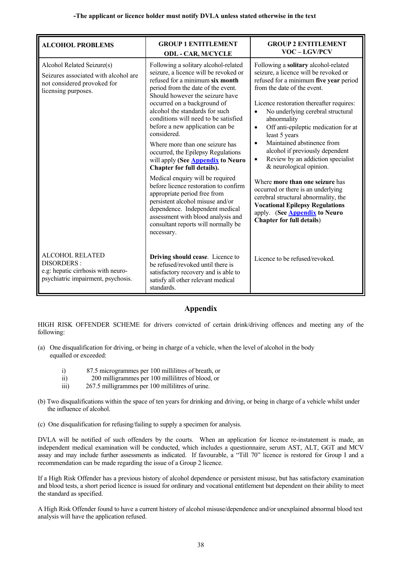<span id="page-39-0"></span>

| <b>ALCOHOL PROBLEMS</b>                                                                                                  | <b>GROUP 1 ENTITLEMENT</b><br><b>ODL - CAR, M/CYCLE</b>                                                                                                                                                                                                                                                                                                                                                                                                                                                 | <b>GROUP 2 ENTITLEMENT</b><br><b>VOC - LGV/PCV</b>                                                                                                                                                                                                                                                                                                                                                                                                                                      |
|--------------------------------------------------------------------------------------------------------------------------|---------------------------------------------------------------------------------------------------------------------------------------------------------------------------------------------------------------------------------------------------------------------------------------------------------------------------------------------------------------------------------------------------------------------------------------------------------------------------------------------------------|-----------------------------------------------------------------------------------------------------------------------------------------------------------------------------------------------------------------------------------------------------------------------------------------------------------------------------------------------------------------------------------------------------------------------------------------------------------------------------------------|
| Alcohol Related Seizure(s)<br>Seizures associated with alcohol are<br>not considered provoked for<br>licensing purposes. | Following a solitary alcohol-related<br>seizure, a licence will be revoked or<br>refused for a minimum six month<br>period from the date of the event.<br>Should however the seizure have<br>occurred on a background of<br>alcohol the standards for such<br>conditions will need to be satisfied<br>before a new application can be<br>considered.<br>Where more than one seizure has<br>occurred, the Epilepsy Regulations<br>will apply (See <b>Appendix</b> to Neuro<br>Chapter for full details). | Following a solitary alcohol-related<br>seizure, a licence will be revoked or<br>refused for a minimum five year period<br>from the date of the event.<br>Licence restoration thereafter requires:<br>No underlying cerebral structural<br>abnormality<br>Off anti-epileptic medication for at<br>$\bullet$<br>least 5 years<br>Maintained abstinence from<br>$\bullet$<br>alcohol if previously dependent<br>Review by an addiction specialist<br>$\bullet$<br>& neurological opinion. |
|                                                                                                                          | Medical enquiry will be required<br>before licence restoration to confirm<br>appropriate period free from<br>persistent alcohol misuse and/or<br>dependence. Independent medical<br>assessment with blood analysis and<br>consultant reports will normally be<br>necessary.                                                                                                                                                                                                                             | Where more than one seizure has<br>occurred or there is an underlying<br>cerebral structural abnormality, the<br><b>Vocational Epilepsy Regulations</b><br>apply. (See <b>Appendix</b> to Neuro<br><b>Chapter for full details)</b>                                                                                                                                                                                                                                                     |
| <b>ALCOHOL RELATED</b><br><b>DISORDERS:</b><br>e.g: hepatic cirrhosis with neuro-<br>psychiatric impairment, psychosis.  | Driving should cease. Licence to<br>be refused/revoked until there is<br>satisfactory recovery and is able to<br>satisfy all other relevant medical<br>standards.                                                                                                                                                                                                                                                                                                                                       | Licence to be refused/revoked.                                                                                                                                                                                                                                                                                                                                                                                                                                                          |

### **Appendix**

HIGH RISK OFFENDER SCHEME for drivers convicted of certain drink/driving offences and meeting any of the following:

- (a) One disqualification for driving, or being in charge of a vehicle, when the level of alcohol in the body equalled or exceeded:
	- i) 87.5 microgrammes per 100 millilitres of breath, or
	- ii) 200 milligrammes per 100 millilitres of blood, or
	- iii) 267.5 milligrammes per 100 millilitres of urine.
- (b) Two disqualifications within the space of ten years for drinking and driving, or being in charge of a vehicle whilst under the influence of alcohol.
- (c) One disqualification for refusing/failing to supply a specimen for analysis.

DVLA will be notified of such offenders by the courts. When an application for licence re-instatement is made, an independent medical examination will be conducted, which includes a questionnaire, serum AST, ALT, GGT and MCV assay and may include further assessments as indicated. If favourable, a "Till 70" licence is restored for Group I and a recommendation can be made regarding the issue of a Group 2 licence.

If a High Risk Offender has a previous history of alcohol dependence or persistent misuse, but has satisfactory examination and blood tests, a short period licence is issued for ordinary and vocational entitlement but dependent on their ability to meet the standard as specified.

A High Risk Offender found to have a current history of alcohol misuse/dependence and/or unexplained abnormal blood test analysis will have the application refused.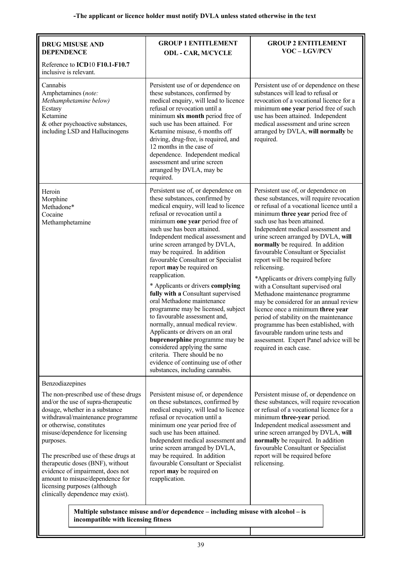<span id="page-40-0"></span>

| <b>DRUG MISUSE AND</b><br><b>DEPENDENCE</b>                                                                                                                                                                                                                          | <b>GROUP 1 ENTITLEMENT</b><br><b>ODL - CAR, M/CYCLE</b>                                                                                                                                                                                                                                                                                                                                                                                                                                                                                                                                                                                                                                                                                                                                                                                             | <b>GROUP 2 ENTITLEMENT</b><br>VOC-LGV/PCV                                                                                                                                                                                                                                                                                                                                                                                                                                                                                                                                                                                                                                                                                                                                                                  |
|----------------------------------------------------------------------------------------------------------------------------------------------------------------------------------------------------------------------------------------------------------------------|-----------------------------------------------------------------------------------------------------------------------------------------------------------------------------------------------------------------------------------------------------------------------------------------------------------------------------------------------------------------------------------------------------------------------------------------------------------------------------------------------------------------------------------------------------------------------------------------------------------------------------------------------------------------------------------------------------------------------------------------------------------------------------------------------------------------------------------------------------|------------------------------------------------------------------------------------------------------------------------------------------------------------------------------------------------------------------------------------------------------------------------------------------------------------------------------------------------------------------------------------------------------------------------------------------------------------------------------------------------------------------------------------------------------------------------------------------------------------------------------------------------------------------------------------------------------------------------------------------------------------------------------------------------------------|
| Reference to ICD10 F10.1-F10.7<br>inclusive is relevant.                                                                                                                                                                                                             |                                                                                                                                                                                                                                                                                                                                                                                                                                                                                                                                                                                                                                                                                                                                                                                                                                                     |                                                                                                                                                                                                                                                                                                                                                                                                                                                                                                                                                                                                                                                                                                                                                                                                            |
| Cannabis<br>Amphetamines (note:<br>Methamphetamine below)<br>Ecstasy<br>Ketamine<br>& other psychoactive substances,<br>including LSD and Hallucinogens                                                                                                              | Persistent use of or dependence on<br>these substances, confirmed by<br>medical enquiry, will lead to licence<br>refusal or revocation until a<br>minimum six month period free of<br>such use has been attained. For<br>Ketamine misuse, 6 months off<br>driving, drug-free, is required, and<br>12 months in the case of<br>dependence. Independent medical<br>assessment and urine screen<br>arranged by DVLA, may be<br>required.                                                                                                                                                                                                                                                                                                                                                                                                               | Persistent use of or dependence on these<br>substances will lead to refusal or<br>revocation of a vocational licence for a<br>minimum one year period free of such<br>use has been attained. Independent<br>medical assessment and urine screen<br>arranged by DVLA, will normally be<br>required.                                                                                                                                                                                                                                                                                                                                                                                                                                                                                                         |
| Heroin<br>Morphine<br>Methadone*<br>Cocaine<br>Methamphetamine                                                                                                                                                                                                       | Persistent use of, or dependence on<br>these substances, confirmed by<br>medical enquiry, will lead to licence<br>refusal or revocation until a<br>minimum one year period free of<br>such use has been attained.<br>Independent medical assessment and<br>urine screen arranged by DVLA,<br>may be required. In addition<br>favourable Consultant or Specialist<br>report may be required on<br>reapplication.<br>* Applicants or drivers complying<br>fully with a Consultant supervised<br>oral Methadone maintenance<br>programme may be licensed, subject<br>to favourable assessment and,<br>normally, annual medical review.<br>Applicants or drivers on an oral<br>buprenorphine programme may be<br>considered applying the same<br>criteria. There should be no<br>evidence of continuing use of other<br>substances, including cannabis. | Persistent use of, or dependence on<br>these substances, will require revocation<br>or refusal of a vocational licence until a<br>minimum three year period free of<br>such use has been attained.<br>Independent medical assessment and<br>urine screen arranged by DVLA, will<br>normally be required. In addition<br>favourable Consultant or Specialist<br>report will be required before<br>relicensing.<br>*Applicants or drivers complying fully<br>with a Consultant supervised oral<br>Methadone maintenance programme<br>may be considered for an annual review<br>licence once a minimum three year<br>period of stability on the maintenance<br>programme has been established, with<br>favourable random urine tests and<br>assessment. Expert Panel advice will be<br>required in each case. |
| Benzodiazepines<br>The non-prescribed use of these drugs<br>and/or the use of supra-therapeutic<br>dosage, whether in a substance<br>withdrawal/maintenance programme<br>or otherwise, constitutes                                                                   | Persistent misuse of, or dependence<br>on these substances, confirmed by<br>medical enquiry, will lead to licence<br>refusal or revocation until a<br>minimum one year period free of                                                                                                                                                                                                                                                                                                                                                                                                                                                                                                                                                                                                                                                               | Persistent misuse of, or dependence on<br>these substances, will require revocation<br>or refusal of a vocational licence for a<br>minimum three-year period.<br>Independent medical assessment and                                                                                                                                                                                                                                                                                                                                                                                                                                                                                                                                                                                                        |
| misuse/dependence for licensing<br>purposes.<br>The prescribed use of these drugs at<br>therapeutic doses (BNF), without<br>evidence of impairment, does not<br>amount to misuse/dependence for<br>licensing purposes (although<br>clinically dependence may exist). | such use has been attained.<br>Independent medical assessment and<br>urine screen arranged by DVLA,<br>may be required. In addition<br>favourable Consultant or Specialist<br>report may be required on<br>reapplication.                                                                                                                                                                                                                                                                                                                                                                                                                                                                                                                                                                                                                           | urine screen arranged by DVLA, will<br>normally be required. In addition<br>favourable Consultant or Specialist<br>report will be required before<br>relicensing.                                                                                                                                                                                                                                                                                                                                                                                                                                                                                                                                                                                                                                          |
| Multiple substance misuse and/or dependence - including misuse with alcohol - is<br>incompatible with licensing fitness                                                                                                                                              |                                                                                                                                                                                                                                                                                                                                                                                                                                                                                                                                                                                                                                                                                                                                                                                                                                                     |                                                                                                                                                                                                                                                                                                                                                                                                                                                                                                                                                                                                                                                                                                                                                                                                            |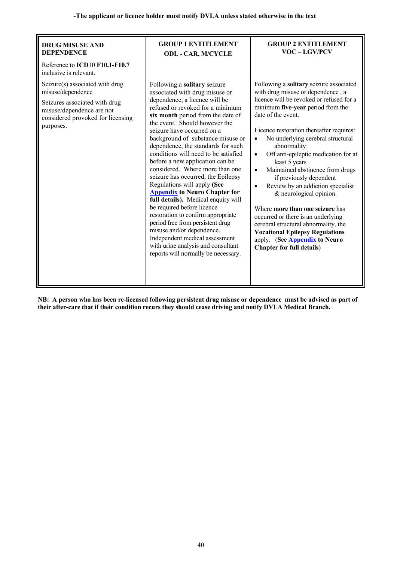| <b>DRUG MISUSE AND</b><br><b>DEPENDENCE</b><br>Reference to ICD10 F10.1-F10.7<br>inclusive is relevant.                                                              | <b>GROUP 1 ENTITLEMENT</b><br><b>ODL - CAR, M/CYCLE</b>                                                                                                                                                                                                                                                                                                                                                                                                                                                                                                                                                                                                                                                                                                                                                                                  | <b>GROUP 2 ENTITLEMENT</b><br><b>VOC - LGV/PCV</b>                                                                                                                                                                                                                                                                                                                                                                                                                                                                                                                                                                                                                                                                                                                     |
|----------------------------------------------------------------------------------------------------------------------------------------------------------------------|------------------------------------------------------------------------------------------------------------------------------------------------------------------------------------------------------------------------------------------------------------------------------------------------------------------------------------------------------------------------------------------------------------------------------------------------------------------------------------------------------------------------------------------------------------------------------------------------------------------------------------------------------------------------------------------------------------------------------------------------------------------------------------------------------------------------------------------|------------------------------------------------------------------------------------------------------------------------------------------------------------------------------------------------------------------------------------------------------------------------------------------------------------------------------------------------------------------------------------------------------------------------------------------------------------------------------------------------------------------------------------------------------------------------------------------------------------------------------------------------------------------------------------------------------------------------------------------------------------------------|
| Seizure(s) associated with drug<br>misuse/dependence<br>Seizures associated with drug<br>misuse/dependence are not<br>considered provoked for licensing<br>purposes. | Following a solitary seizure<br>associated with drug misuse or<br>dependence, a licence will be<br>refused or revoked for a minimum<br>six month period from the date of<br>the event. Should however the<br>seizure have occurred on a<br>background of substance misuse or<br>dependence, the standards for such<br>conditions will need to be satisfied<br>before a new application can be<br>considered. Where more than one<br>seizure has occurred, the Epilepsy<br>Regulations will apply (See<br><b>Appendix to Neuro Chapter for</b><br>full details). Medical enquiry will<br>be required before licence<br>restoration to confirm appropriate<br>period free from persistent drug<br>misuse and/or dependence.<br>Independent medical assessment<br>with urine analysis and consultant<br>reports will normally be necessary. | Following a solitary seizure associated<br>with drug misuse or dependence, a<br>licence will be revoked or refused for a<br>minimum five-year period from the<br>date of the event.<br>Licence restoration thereafter requires:<br>No underlying cerebral structural<br>$\bullet$<br>abnormality<br>Off anti-epileptic medication for at<br>$\bullet$<br>least 5 years<br>Maintained abstinence from drugs<br>$\bullet$<br>if previously dependent<br>Review by an addiction specialist<br>$\bullet$<br>& neurological opinion.<br>Where more than one seizure has<br>occurred or there is an underlying<br>cerebral structural abnormality, the<br><b>Vocational Epilepsy Regulations</b><br>apply. (See <b>Appendix</b> to Neuro<br><b>Chapter for full details)</b> |

**NB: A person who has been re-licensed following persistent drug misuse or dependence must be advised as part of their after-care that if their condition recurs they should cease driving and notify DVLA Medical Branch.**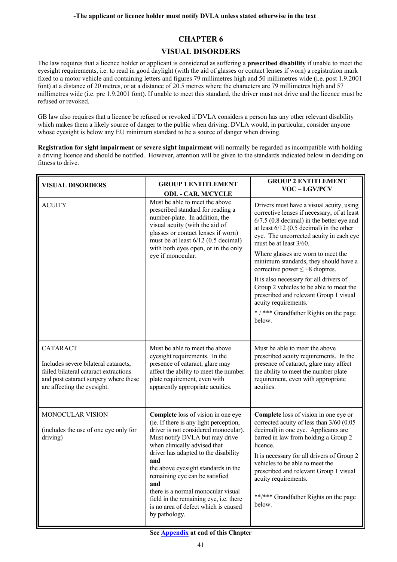# **CHAPTER 6**

### **VISUAL DISORDERS**

<span id="page-42-0"></span>The law requires that a licence holder or applicant is considered as suffering a **prescribed disability** if unable to meet the eyesight requirements, i.e. to read in good daylight (with the aid of glasses or contact lenses if worn) a registration mark fixed to a motor vehicle and containing letters and figures 79 millimetres high and 50 millimetres wide (i.e. post 1.9.2001 font) at a distance of 20 metres, or at a distance of 20.5 metres where the characters are 79 millimetres high and 57 millimetres wide (i.e. pre 1.9.2001 font). If unable to meet this standard, the driver must not drive and the licence must be refused or revoked.

GB law also requires that a licence be refused or revoked if DVLA considers a person has any other relevant disability which makes them a likely source of danger to the public when driving. DVLA would, in particular, consider anyone whose eyesight is below any EU minimum standard to be a source of danger when driving.

**Registration for sight impairment or severe sight impairment** will normally be regarded as incompatible with holding a driving licence and should be notified. However, attention will be given to the standards indicated below in deciding on fitness to drive.

| <b>VISUAL DISORDERS</b>                                                                                                                                                  | <b>GROUP 1 ENTITLEMENT</b><br><b>ODL - CAR, M/CYCLE</b>                                                                                                                                                                                                                                                                                                                                                                                                        | <b>GROUP 2 ENTITLEMENT</b><br><b>VOC – LGV/PCV</b>                                                                                                                                                                                                                                                                                                                                                                                                                                                                                                                                         |
|--------------------------------------------------------------------------------------------------------------------------------------------------------------------------|----------------------------------------------------------------------------------------------------------------------------------------------------------------------------------------------------------------------------------------------------------------------------------------------------------------------------------------------------------------------------------------------------------------------------------------------------------------|--------------------------------------------------------------------------------------------------------------------------------------------------------------------------------------------------------------------------------------------------------------------------------------------------------------------------------------------------------------------------------------------------------------------------------------------------------------------------------------------------------------------------------------------------------------------------------------------|
| <b>ACUITY</b>                                                                                                                                                            | Must be able to meet the above<br>prescribed standard for reading a<br>number-plate. In addition, the<br>visual acuity (with the aid of<br>glasses or contact lenses if worn)<br>must be at least 6/12 (0.5 decimal)<br>with both eyes open, or in the only<br>eye if monocular.                                                                                                                                                                               | Drivers must have a visual acuity, using<br>corrective lenses if necessary, of at least<br>$6/7.5$ (0.8 decimal) in the better eye and<br>at least $6/12$ (0.5 decimal) in the other<br>eye. The uncorrected acuity in each eye<br>must be at least 3/60.<br>Where glasses are worn to meet the<br>minimum standards, they should have a<br>corrective power $\leq +8$ dioptres.<br>It is also necessary for all drivers of<br>Group 2 vehicles to be able to meet the<br>prescribed and relevant Group 1 visual<br>acuity requirements.<br>*/*** Grandfather Rights on the page<br>below. |
| <b>CATARACT</b><br>Includes severe bilateral cataracts,<br>failed bilateral cataract extractions<br>and post cataract surgery where these<br>are affecting the eyesight. | Must be able to meet the above<br>eyesight requirements. In the<br>presence of cataract, glare may<br>affect the ability to meet the number<br>plate requirement, even with<br>apparently appropriate acuities.                                                                                                                                                                                                                                                | Must be able to meet the above<br>prescribed acuity requirements. In the<br>presence of cataract, glare may affect<br>the ability to meet the number plate<br>requirement, even with appropriate<br>acuities.                                                                                                                                                                                                                                                                                                                                                                              |
| MONOCULAR VISION<br>(includes the use of one eye only for<br>driving)                                                                                                    | Complete loss of vision in one eye<br>(ie. If there is any light perception,<br>driver is not considered monocular).<br>Must notify DVLA but may drive<br>when clinically advised that<br>driver has adapted to the disability<br>and<br>the above eyesight standards in the<br>remaining eye can be satisfied<br>and<br>there is a normal monocular visual<br>field in the remaining eye, i.e. there<br>is no area of defect which is caused<br>by pathology. | Complete loss of vision in one eye or<br>corrected acuity of less than 3/60 (0.05<br>decimal) in one eye. Applicants are<br>barred in law from holding a Group 2<br>licence.<br>It is necessary for all drivers of Group 2<br>vehicles to be able to meet the<br>prescribed and relevant Group 1 visual<br>acuity requirements.<br>**/*** Grandfather Rights on the page<br>below.                                                                                                                                                                                                         |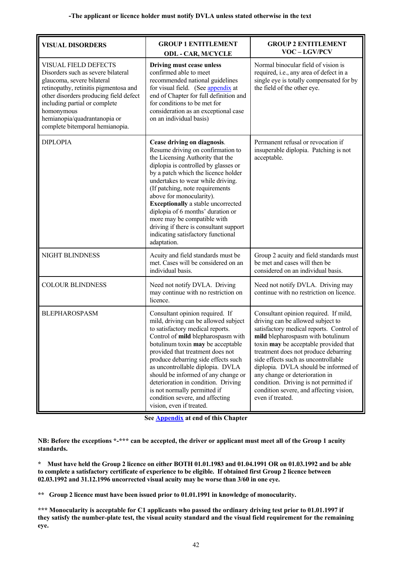<span id="page-43-0"></span>

| <b>VISUAL DISORDERS</b>                                                                                                                                                                                                                                                                              | <b>GROUP 1 ENTITLEMENT</b><br><b>ODL - CAR, M/CYCLE</b>                                                                                                                                                                                                                                                                                                                                                                                                                                                 | <b>GROUP 2 ENTITLEMENT</b><br>VOC-LGV/PCV                                                                                                                                                                                                                                                                                                                                                                                                                              |  |
|------------------------------------------------------------------------------------------------------------------------------------------------------------------------------------------------------------------------------------------------------------------------------------------------------|---------------------------------------------------------------------------------------------------------------------------------------------------------------------------------------------------------------------------------------------------------------------------------------------------------------------------------------------------------------------------------------------------------------------------------------------------------------------------------------------------------|------------------------------------------------------------------------------------------------------------------------------------------------------------------------------------------------------------------------------------------------------------------------------------------------------------------------------------------------------------------------------------------------------------------------------------------------------------------------|--|
| <b>VISUAL FIELD DEFECTS</b><br>Disorders such as severe bilateral<br>glaucoma, severe bilateral<br>retinopathy, retinitis pigmentosa and<br>other disorders producing field defect<br>including partial or complete<br>homonymous<br>hemianopia/quadrantanopia or<br>complete bitemporal hemianopia. | <b>Driving must cease unless</b><br>confirmed able to meet<br>recommended national guidelines<br>for visual field. (See appendix at<br>end of Chapter for full definition and<br>for conditions to be met for<br>consideration as an exceptional case<br>on an individual basis)                                                                                                                                                                                                                        | Normal binocular field of vision is<br>required, i.e., any area of defect in a<br>single eye is totally compensated for by<br>the field of the other eye.                                                                                                                                                                                                                                                                                                              |  |
| <b>DIPLOPIA</b>                                                                                                                                                                                                                                                                                      | Cease driving on diagnosis.<br>Resume driving on confirmation to<br>the Licensing Authority that the<br>diplopia is controlled by glasses or<br>by a patch which the licence holder<br>undertakes to wear while driving.<br>(If patching, note requirements<br>above for monocularity).<br><b>Exceptionally</b> a stable uncorrected<br>diplopia of 6 months' duration or<br>more may be compatible with<br>driving if there is consultant support<br>indicating satisfactory functional<br>adaptation. | Permanent refusal or revocation if<br>insuperable diplopia. Patching is not<br>acceptable.                                                                                                                                                                                                                                                                                                                                                                             |  |
| NIGHT BLINDNESS                                                                                                                                                                                                                                                                                      | Acuity and field standards must be<br>met. Cases will be considered on an<br>individual basis.                                                                                                                                                                                                                                                                                                                                                                                                          | Group 2 acuity and field standards must<br>be met and cases will then be<br>considered on an individual basis.                                                                                                                                                                                                                                                                                                                                                         |  |
| <b>COLOUR BLINDNESS</b>                                                                                                                                                                                                                                                                              | Need not notify DVLA. Driving<br>may continue with no restriction on<br>licence.                                                                                                                                                                                                                                                                                                                                                                                                                        | Need not notify DVLA. Driving may<br>continue with no restriction on licence.                                                                                                                                                                                                                                                                                                                                                                                          |  |
| <b>BLEPHAROSPASM</b>                                                                                                                                                                                                                                                                                 | Consultant opinion required. If<br>mild, driving can be allowed subject<br>to satisfactory medical reports.<br>Control of <b>mild</b> blepharospasm with<br>botulinum toxin may be acceptable<br>provided that treatment does not<br>produce debarring side effects such<br>as uncontrollable diplopia. DVLA<br>should be informed of any change or<br>deterioration in condition. Driving<br>is not normally permitted if<br>condition severe, and affecting<br>vision, even if treated.               | Consultant opinion required. If mild,<br>driving can be allowed subject to<br>satisfactory medical reports. Control of<br>mild blepharospasm with botulinum<br>toxin may be acceptable provided that<br>treatment does not produce debarring<br>side effects such as uncontrollable<br>diplopia. DVLA should be informed of<br>any change or deterioration in<br>condition. Driving is not permitted if<br>condition severe, and affecting vision,<br>even if treated. |  |

**NB: Before the exceptions \*-\*\*\* can be accepted, the driver or applicant must meet all of the Group 1 acuity standards.** 

**\* Must have held the Group 2 licence on either BOTH 01.01.1983 and 01.04.1991 OR on 01.03.1992 and be able to complete a satisfactory certificate of experience to be eligible. If obtained first Group 2 licence between 02.03.1992 and 31.12.1996 uncorrected visual acuity may be worse than 3/60 in one eye.** 

**\*\* Group 2 licence must have been issued prior to 01.01.1991 in knowledge of monocularity.** 

**\*\*\* Monocularity is acceptable for C1 applicants who passed the ordinary driving test prior to 01.01.1997 if they satisfy the number-plate test, the visual acuity standard and the visual field requirement for the remaining eye.**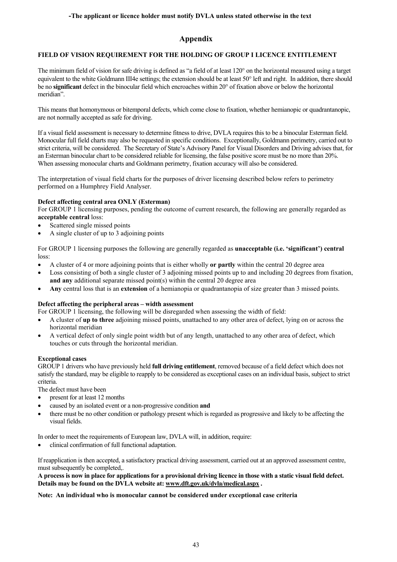#### **-The applicant or licence holder must notify DVLA unless stated otherwise in the text**

### **Appendix**

#### <span id="page-44-0"></span>**FIELD OF VISION REQUIREMENT FOR THE HOLDING OF GROUP I LICENCE ENTITLEMENT**

The minimum field of vision for safe driving is defined as "a field of at least  $120^{\circ}$  on the horizontal measured using a target equivalent to the white Goldmann III4e settings; the extension should be at least  $50^{\circ}$  left and right. In addition, there should be no **significant** defect in the binocular field which encroaches within 20° of fixation above or below the horizontal meridian".

This means that homonymous or bitemporal defects, which come close to fixation, whether hemianopic or quadrantanopic, are not normally accepted as safe for driving.

If a visual field assessment is necessary to determine fitness to drive, DVLA requires this to be a binocular Esterman field. Monocular full field charts may also be requested in specific conditions. Exceptionally, Goldmann perimetry, carried out to strict criteria, will be considered. The Secretary of State's Advisory Panel for Visual Disorders and Driving advises that, for an Esterman binocular chart to be considered reliable for licensing, the false positive score must be no more than 20%. When assessing monocular charts and Goldmann perimetry, fixation accuracy will also be considered.

The interpretation of visual field charts for the purposes of driver licensing described below refers to perimetry performed on a Humphrey Field Analyser.

#### **Defect affecting central area ONLY (Esterman)**

For GROUP 1 licensing purposes, pending the outcome of current research, the following are generally regarded as **acceptable central** loss:

- Scattered single missed points
- x A single cluster of up to 3 adjoining points

For GROUP 1 licensing purposes the following are generally regarded as **unacceptable (i.e. 'significant') central** loss:

- x A cluster of 4 or more adjoining points that is either wholly **or partly** within the central 20 degree area
- Loss consisting of both a single cluster of 3 adjoining missed points up to and including 20 degrees from fixation, **and any** additional separate missed point(s) within the central 20 degree area
- x **Any** central loss that is an **extension** of a hemianopia or quadrantanopia of size greater than 3 missed points.

#### **Defect affecting the peripheral areas – width assessment**

For GROUP 1 licensing, the following will be disregarded when assessing the width of field:

- x A cluster of **up to three** adjoining missed points, unattached to any other area of defect, lying on or across the horizontal meridian
- A vertical defect of only single point width but of any length, unattached to any other area of defect, which touches or cuts through the horizontal meridian.

#### **Exceptional cases**

GROUP 1 drivers who have previously held **full driving entitlement**, removed because of a field defect which does not satisfy the standard, may be eligible to reapply to be considered as exceptional cases on an individual basis, subject to strict criteria.

The defect must have been

- present for at least 12 months
- x caused by an isolated event or a non-progressive condition **and**
- x there must be no other condition or pathology present which is regarded as progressive and likely to be affecting the visual fields.

In order to meet the requirements of European law, DVLA will, in addition, require:

clinical confirmation of full functional adaptation.

If reapplication is then accepted, a satisfactory practical driving assessment, carried out at an approved assessment centre, must subsequently be completed,.

**A process is now in place for applications for a provisional driving licence in those with a static visual field defect. Details may be found on the DVLA website at: [www.dft.gov.uk/dvla/medical.aspx](http://www.dft.gov.uk/dvla/medical.aspx) .** 

#### **Note: An individual who is monocular cannot be considered under exceptional case criteria**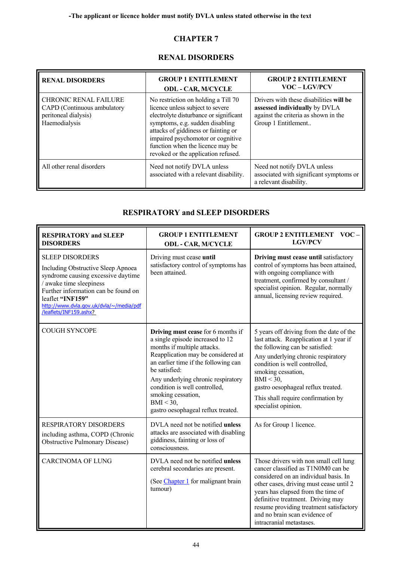# **CHAPTER 7**

# **RENAL DISORDERS**

<span id="page-45-0"></span>

| <b>RENAL DISORDERS</b>                                                                               | <b>GROUP 1 ENTITLEMENT</b><br><b>ODL - CAR, M/CYCLE</b>                                                                                                                                                                                                                                                     | <b>GROUP 2 ENTITLEMENT</b><br><b>VOC - LGV/PCV</b>                                                                                      |
|------------------------------------------------------------------------------------------------------|-------------------------------------------------------------------------------------------------------------------------------------------------------------------------------------------------------------------------------------------------------------------------------------------------------------|-----------------------------------------------------------------------------------------------------------------------------------------|
| <b>CHRONIC RENAL FAILURE</b><br>CAPD (Continuous ambulatory<br>peritoneal dialysis)<br>Haemodialysis | No restriction on holding a Till 70<br>licence unless subject to severe<br>electrolyte disturbance or significant<br>symptoms, e.g. sudden disabling<br>attacks of giddiness or fainting or<br>impaired psychomotor or cognitive<br>function when the licence may be<br>revoked or the application refused. | Drivers with these disabilities will be<br>assessed individually by DVLA<br>against the criteria as shown in the<br>Group 1 Entitlement |
| All other renal disorders                                                                            | Need not notify DVLA unless<br>associated with a relevant disability.                                                                                                                                                                                                                                       | Need not notify DVLA unless<br>associated with significant symptoms or<br>a relevant disability.                                        |

### **RESPIRATORY and SLEEP DISORDERS**

| <b>RESPIRATORY and SLEEP</b><br><b>DISORDERS</b>                                                                                                                                                                                                              | <b>GROUP 1 ENTITLEMENT</b><br><b>ODL - CAR, M/CYCLE</b>                                                                                                                                                                                                                                                                                                 | <b>GROUP 2 ENTITLEMENT VOC-</b><br><b>LGV/PCV</b>                                                                                                                                                                                                                                                                                                   |  |
|---------------------------------------------------------------------------------------------------------------------------------------------------------------------------------------------------------------------------------------------------------------|---------------------------------------------------------------------------------------------------------------------------------------------------------------------------------------------------------------------------------------------------------------------------------------------------------------------------------------------------------|-----------------------------------------------------------------------------------------------------------------------------------------------------------------------------------------------------------------------------------------------------------------------------------------------------------------------------------------------------|--|
| <b>SLEEP DISORDERS</b><br>Including Obstructive Sleep Apnoea<br>syndrome causing excessive daytime<br>/ awake time sleepiness<br>Further information can be found on<br>leaflet "INF159"<br>http://www.dvla.gov.uk/dvla/~/media/pdf<br>/leaflets/INF159.ashx? | Driving must cease until<br>satisfactory control of symptoms has<br>been attained.                                                                                                                                                                                                                                                                      | Driving must cease until satisfactory<br>control of symptoms has been attained,<br>with ongoing compliance with<br>treatment, confirmed by consultant /<br>specialist opinion. Regular, normally<br>annual, licensing review required.                                                                                                              |  |
| <b>COUGH SYNCOPE</b>                                                                                                                                                                                                                                          | Driving must cease for 6 months if<br>a single episode increased to 12<br>months if multiple attacks.<br>Reapplication may be considered at<br>an earlier time if the following can<br>be satisfied:<br>Any underlying chronic respiratory<br>condition is well controlled,<br>smoking cessation,<br>$BMI < 30$ ,<br>gastro oesophageal reflux treated. | 5 years off driving from the date of the<br>last attack. Reapplication at 1 year if<br>the following can be satisfied:<br>Any underlying chronic respiratory<br>condition is well controlled,<br>smoking cessation,<br>$BMI < 30$ ,<br>gastro oesophageal reflux treated.<br>This shall require confirmation by<br>specialist opinion.              |  |
| <b>RESPIRATORY DISORDERS</b><br>including asthma, COPD (Chronic<br><b>Obstructive Pulmonary Disease)</b>                                                                                                                                                      | DVLA need not be notified unless<br>attacks are associated with disabling<br>giddiness, fainting or loss of<br>consciousness.                                                                                                                                                                                                                           | As for Group 1 licence.                                                                                                                                                                                                                                                                                                                             |  |
| <b>CARCINOMA OF LUNG</b>                                                                                                                                                                                                                                      | DVLA need not be notified unless<br>cerebral secondaries are present.<br>(See Chapter 1 for malignant brain<br>tumour)                                                                                                                                                                                                                                  | Those drivers with non small cell lung<br>cancer classified as T1N0M0 can be<br>considered on an individual basis. In<br>other cases, driving must cease until 2<br>years has elapsed from the time of<br>definitive treatment. Driving may<br>resume providing treatment satisfactory<br>and no brain scan evidence of<br>intracranial metastases. |  |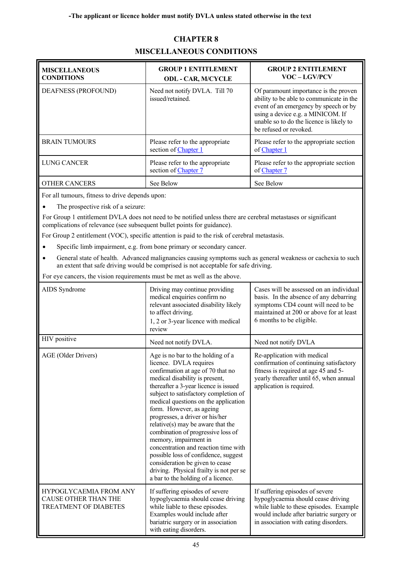# **CHAPTER 8**

# **MISCELLANEOUS CONDITIONS**

<span id="page-46-0"></span>

| <b>MISCELLANEOUS</b><br><b>CONDITIONS</b>       | <b>GROUP 1 ENTITLEMENT</b><br><b>ODL - CAR, M/CYCLE</b> | <b>GROUP 2 ENTITLEMENT</b><br><b>VOC - LGV/PCV</b>                                                                                                                                                                                    |  |
|-------------------------------------------------|---------------------------------------------------------|---------------------------------------------------------------------------------------------------------------------------------------------------------------------------------------------------------------------------------------|--|
| DEAFNESS (PROFOUND)                             | Need not notify DVLA. Till 70<br>issued/retained.       | Of paramount importance is the proven<br>ability to be able to communicate in the<br>event of an emergency by speech or by<br>using a device e.g. a MINICOM. If<br>unable so to do the licence is likely to<br>be refused or revoked. |  |
| <b>BRAIN TUMOURS</b>                            | Please refer to the appropriate<br>section of Chapter 1 | Please refer to the appropriate section<br>of Chapter 1                                                                                                                                                                               |  |
| <b>LUNG CANCER</b>                              | Please refer to the appropriate<br>section of Chapter 7 | Please refer to the appropriate section<br>of Chapter 7                                                                                                                                                                               |  |
| <b>OTHER CANCERS</b>                            | See Below                                               | See Below                                                                                                                                                                                                                             |  |
| For all tumours, fitness to drive depends upon: |                                                         |                                                                                                                                                                                                                                       |  |

• The prospective risk of a seizure:

For Group 1 entitlement DVLA does not need to be notified unless there are cerebral metastases or significant complications of relevance (see subsequent bullet points for guidance).

For Group 2 entitlement (VOC), specific attention is paid to the risk of cerebral metastasis.

- Specific limb impairment, e.g. from bone primary or secondary cancer.
- General state of health. Advanced malignancies causing symptoms such as general weakness or cachexia to such an extent that safe driving would be comprised is not acceptable for safe driving.

For eye cancers, the vision requirements must be met as well as the above.

| AIDS Syndrome                                                                         | Driving may continue providing<br>medical enquiries confirm no<br>relevant associated disability likely<br>to affect driving.<br>1, 2 or 3-year licence with medical<br>review                                                                                                                                                                                                                                                                                                                                                                                                                                                        | Cases will be assessed on an individual<br>basis. In the absence of any debarring<br>symptoms CD4 count will need to be<br>maintained at 200 or above for at least<br>6 months to be eligible.        |  |
|---------------------------------------------------------------------------------------|---------------------------------------------------------------------------------------------------------------------------------------------------------------------------------------------------------------------------------------------------------------------------------------------------------------------------------------------------------------------------------------------------------------------------------------------------------------------------------------------------------------------------------------------------------------------------------------------------------------------------------------|-------------------------------------------------------------------------------------------------------------------------------------------------------------------------------------------------------|--|
| HIV positive                                                                          | Need not notify DVLA.                                                                                                                                                                                                                                                                                                                                                                                                                                                                                                                                                                                                                 | Need not notify DVLA                                                                                                                                                                                  |  |
| AGE (Older Drivers)                                                                   | Age is no bar to the holding of a<br>licence. DVLA requires<br>confirmation at age of 70 that no<br>medical disability is present,<br>thereafter a 3-year licence is issued<br>subject to satisfactory completion of<br>medical questions on the application<br>form. However, as ageing<br>progresses, a driver or his/her<br>$relative(s)$ may be aware that the<br>combination of progressive loss of<br>memory, impairment in<br>concentration and reaction time with<br>possible loss of confidence, suggest<br>consideration be given to cease<br>driving. Physical frailty is not per se<br>a bar to the holding of a licence. | Re-application with medical<br>confirmation of continuing satisfactory<br>fitness is required at age 45 and 5-<br>yearly thereafter until 65, when annual<br>application is required.                 |  |
| HYPOGLYCAEMIA FROM ANY<br><b>CAUSE OTHER THAN THE</b><br><b>TREATMENT OF DIABETES</b> | If suffering episodes of severe<br>hypoglycaemia should cease driving<br>while liable to these episodes.<br>Examples would include after<br>bariatric surgery or in association<br>with eating disorders.                                                                                                                                                                                                                                                                                                                                                                                                                             | If suffering episodes of severe<br>hypoglycaemia should cease driving<br>while liable to these episodes. Example<br>would include after bariatric surgery or<br>in association with eating disorders. |  |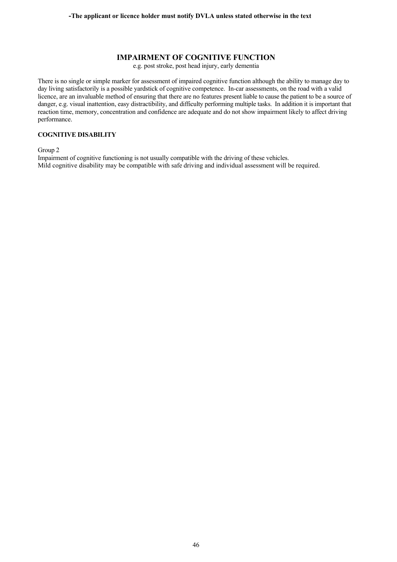### **IMPAIRMENT OF COGNITIVE FUNCTION**

e.g. post stroke, post head injury, early dementia

<span id="page-47-0"></span>There is no single or simple marker for assessment of impaired cognitive function although the ability to manage day to day living satisfactorily is a possible yardstick of cognitive competence. In-car assessments, on the road with a valid licence, are an invaluable method of ensuring that there are no features present liable to cause the patient to be a source of danger, e.g. visual inattention, easy distractibility, and difficulty performing multiple tasks. In addition it is important that reaction time, memory, concentration and confidence are adequate and do not show impairment likely to affect driving performance.

#### **COGNITIVE DISABILITY**

Group 2

Impairment of cognitive functioning is not usually compatible with the driving of these vehicles. Mild cognitive disability may be compatible with safe driving and individual assessment will be required.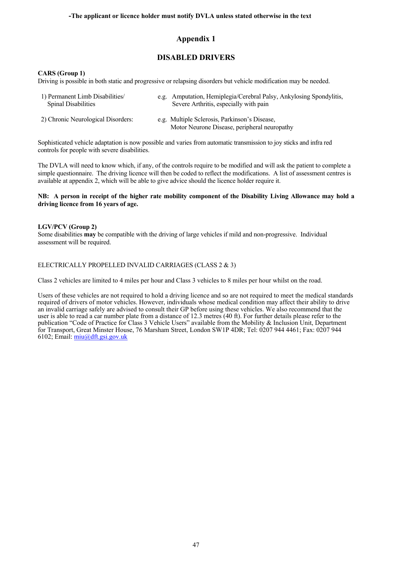### **Appendix 1**

#### **DISABLED DRIVERS**

#### <span id="page-48-0"></span>**CARS (Group 1)**

Driving is possible in both static and progressive or relapsing disorders but vehicle modification may be needed.

| 1) Permanent Limb Disabilities<br><b>Spinal Disabilities</b> | e.g. Amputation, Hemiplegia/Cerebral Palsy, Ankylosing Spondylitis,<br>Severe Arthritis, especially with pain |
|--------------------------------------------------------------|---------------------------------------------------------------------------------------------------------------|
| 2) Chronic Neurological Disorders:                           | e.g. Multiple Sclerosis, Parkinson's Disease,<br>Motor Neurone Disease, peripheral neuropathy                 |

Sophisticated vehicle adaptation is now possible and varies from automatic transmission to joy sticks and infra red controls for people with severe disabilities.

The DVLA will need to know which, if any, of the controls require to be modified and will ask the patient to complete a simple questionnaire. The driving licence will then be coded to reflect the modifications. A list of assessment centres is available at appendix 2, which will be able to give advice should the licence holder require it.

#### **NB: A person in receipt of the higher rate mobility component of the Disability Living Allowance may hold a driving licence from 16 years of age.**

#### **LGV/PCV (Group 2)**

Some disabilities **may** be compatible with the driving of large vehicles if mild and non-progressive. Individual assessment will be required.

#### ELECTRICALLY PROPELLED INVALID CARRIAGES (CLASS 2 & 3)

Class 2 vehicles are limited to 4 miles per hour and Class 3 vehicles to 8 miles per hour whilst on the road.

Users of these vehicles are not required to hold a driving licence and so are not required to meet the medical standards required of drivers of motor vehicles. However, individuals whose medical condition may affect their ability to drive an invalid carriage safely are advised to consult their GP before using these vehicles. We also recommend that the user is able to read a car number plate from a distance of 12.3 metres (40 ft). For further details please refer to the publication "Code of Practice for Class 3 Vehicle Users" available from the Mobility & Inclusion Unit, Department for Transport, Great Minster House, 76 Marsham Street, London SW1P 4DR; Tel: 0207 944 4461; Fax: 0207 944 6102; Email: [miu@dft.gsi.gov.uk](mailto:miu@dft.gsi.gov.uk)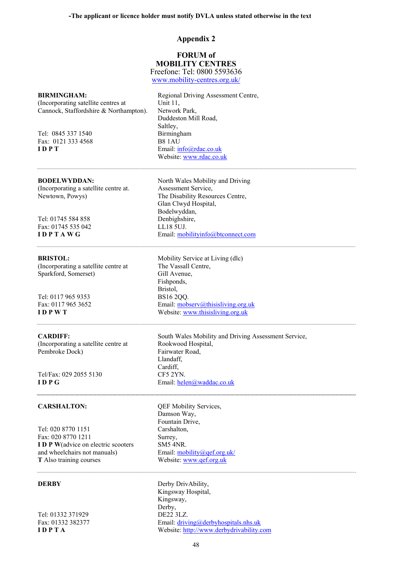#### **Appendix 2**

### **FORUM of**

#### **MOBILITY CENTRES**

Freefone: Tel: 0800 5593636 [www.mobility-centres.org.uk/](http://www.mobility-centres.org.uk/) 

(Incorporating satellite centres at Unit 11, Cannock, Staffordshire & Northampton). Network Park,

Tel: 0845 337 1540 Birmingham Fax: 0121 333 4568 B8 1AU

(Incorporating a satellite centre at. Assessment Service, Newtown, Powys) The Disability Resources Centre,

Tel: 01745 584 858 Denbighshire, Fax: 01745 535 042 LL18 5UJ.

(Incorporating a satellite centre at The Vassall Centre, Sparkford, Somerset) Gill Avenue,

Tel: 0117 965 9353 BS16 2QQ.

(Incorporating a satellite centre at Rookwood Hospital, Pembroke Dock) Fairwater Road,

Tel/Fax: 029 2055 5130 CF5 2YN.

Tel: 020 8770 1151 Carshalton, Fax: 020 8770 1211 Surrey, **I D P W**(advice on electric scooters SM5 4NR. and wheelchairs not manuals) Email:  $\frac{1}{2}$  mobility  $\frac{a}{q}$  ef.org.uk/ **T** Also training courses Website: [www.qef.org.uk](http://www.qef.org.uk/)

Tel: 01332 371929 DE22 3LZ.

<span id="page-49-0"></span>**BIRMINGHAM:** Regional Driving Assessment Centre, Duddeston Mill Road, Saltley, **I D P T** Email: info@rdac.co.uk Website: [www.rdac.co.uk](http://www.rdac.co.uk/) 

**BODELWYDDAN:** North Wales Mobility and Driving Glan Clwyd Hospital, Bodelwyddan, **IDPTAWG** Email: mobilityinfo@btconnect.com

**BRISTOL:** Mobility Service at Living (dlc) Fishponds, Bristol, Fax: 0117 965 3652 Email: [mobserv@thisisliving.org.uk](mailto:mobserv@thisisliving.org.uk) **I D P W T** Website: www.thisisliving.org.uk

**CARDIFF:** South Wales Mobility and Driving Assessment Service, Llandaff, Cardiff, **I D P G** Email: helen@waddac.co.uk

**CARSHALTON:** OEF Mobility Services. Damson Way, Fountain Drive,

**DERBY** Derby DrivAbility, Kingsway Hospital, Kingsway, Derby, Fax: 01332 382377 Email: [driving@derbyhospitals.nhs.uk](mailto:driving@derbyhospitals.nhs.uk) **I D P T A** Website: [http://www.derbydrivability.com](http://www.derbydrivability.com/)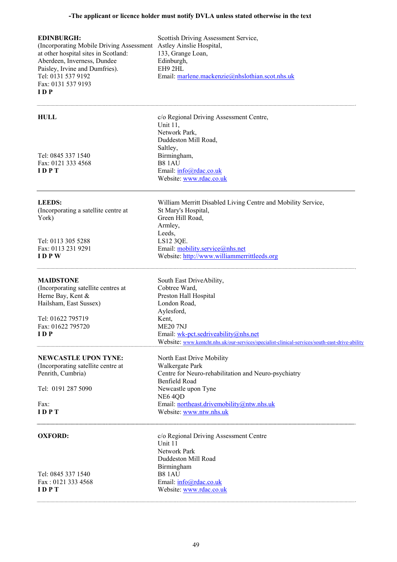| <b>EDINBURGH:</b><br>(Incorporating Mobile Driving Assessment)<br>at other hospital sites in Scotland:<br>Aberdeen, Inverness, Dundee<br>Paisley, Irvine and Dumfries).<br>Tel: 0131 537 9192<br>Fax: 0131 537 9193<br>IDP | Scottish Driving Assessment Service,<br>Astley Ainslie Hospital,<br>133, Grange Loan,<br>Edinburgh,<br>EH9 2HL<br>Email: marlene.mackenzie@nhslothian.scot.nhs.uk |
|----------------------------------------------------------------------------------------------------------------------------------------------------------------------------------------------------------------------------|-------------------------------------------------------------------------------------------------------------------------------------------------------------------|
| <b>HULL</b>                                                                                                                                                                                                                | c/o Regional Driving Assessment Centre,<br>Unit 11,<br>Network Park,<br>Duddeston Mill Road,                                                                      |
|                                                                                                                                                                                                                            | Saltley,                                                                                                                                                          |
| Tel: 0845 337 1540                                                                                                                                                                                                         | Birmingham,                                                                                                                                                       |
| Fax: 0121 333 4568<br><b>IDPT</b>                                                                                                                                                                                          | <b>B8 1AU</b><br>Email: info@rdac.co.uk                                                                                                                           |
|                                                                                                                                                                                                                            | Website: www.rdac.co.uk                                                                                                                                           |
| <b>LEEDS:</b>                                                                                                                                                                                                              | William Merritt Disabled Living Centre and Mobility Service,                                                                                                      |
| (Incorporating a satellite centre at                                                                                                                                                                                       | St Mary's Hospital,                                                                                                                                               |
| York)                                                                                                                                                                                                                      | Green Hill Road,                                                                                                                                                  |
|                                                                                                                                                                                                                            | Armley,                                                                                                                                                           |
|                                                                                                                                                                                                                            | Leeds,<br>LS12 3QE.                                                                                                                                               |
| Tel: 0113 305 5288<br>Fax: 0113 231 9291                                                                                                                                                                                   | Email: mobility.service@nhs.net                                                                                                                                   |
| <b>IDPW</b>                                                                                                                                                                                                                | Website: http://www.williammerrittleeds.org                                                                                                                       |
| <b>MAIDSTONE</b>                                                                                                                                                                                                           | South East DriveAbility,                                                                                                                                          |
| (Incorporating satellite centres at                                                                                                                                                                                        | Cobtree Ward,                                                                                                                                                     |
| Herne Bay, Kent &                                                                                                                                                                                                          | Preston Hall Hospital                                                                                                                                             |
| Hailsham, East Sussex)                                                                                                                                                                                                     | London Road,                                                                                                                                                      |
|                                                                                                                                                                                                                            | Aylesford,                                                                                                                                                        |
| Tel: 01622 795719                                                                                                                                                                                                          | Kent,                                                                                                                                                             |
| Fax: 01622 795720<br>IDP                                                                                                                                                                                                   | <b>ME20 7NJ</b><br>Email: wk-pct.sedriveability@nhs.net                                                                                                           |
|                                                                                                                                                                                                                            | Website: www.kentcht.nhs.uk/our-services/specialist-clinical-services/south-east-drive-ability                                                                    |
| <b>NEWCASTLE UPON TYNE:</b>                                                                                                                                                                                                | North East Drive Mobility                                                                                                                                         |
| (Incorporating satellite centre at                                                                                                                                                                                         | Walkergate Park<br>Centre for Neuro-rehabilitation and Neuro-psychiatry                                                                                           |
| Penrith, Cumbria)                                                                                                                                                                                                          | Benfield Road                                                                                                                                                     |
| Tel: 0191 287 5090                                                                                                                                                                                                         | Newcastle upon Tyne                                                                                                                                               |
|                                                                                                                                                                                                                            | NE64QD                                                                                                                                                            |
| Fax:                                                                                                                                                                                                                       | Email: northeast.drivemobility@ntw.nhs.uk                                                                                                                         |
| <b>IDPT</b>                                                                                                                                                                                                                | Website: www.ntw.nhs.uk                                                                                                                                           |
| <b>OXFORD:</b>                                                                                                                                                                                                             | c/o Regional Driving Assessment Centre<br>Unit 11                                                                                                                 |
|                                                                                                                                                                                                                            | Network Park                                                                                                                                                      |
|                                                                                                                                                                                                                            | Duddeston Mill Road                                                                                                                                               |
|                                                                                                                                                                                                                            | Birmingham                                                                                                                                                        |
| Tel: 0845 337 1540<br>Fax: 0121 333 4568                                                                                                                                                                                   | <b>B8 1AU</b><br>Email: info@rdac.co.uk                                                                                                                           |
| <b>IDPT</b>                                                                                                                                                                                                                | Website: www.rdac.co.uk                                                                                                                                           |
|                                                                                                                                                                                                                            |                                                                                                                                                                   |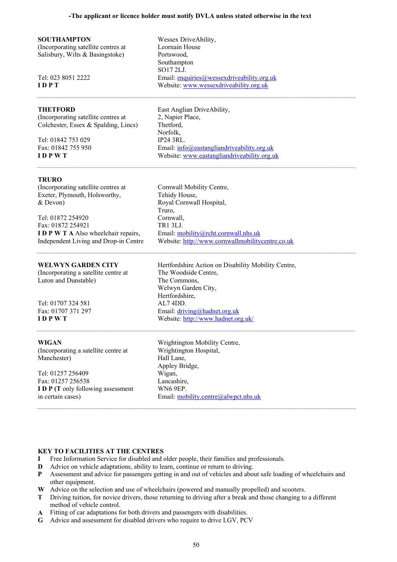#### **SOUTHAMPTON** Wessex DriveAbility,

(Incorporating satellite centres at Leornain House Salisbury, Wilts & Basingstoke) Portswood,

(Incorporating satellite centres at 2, Napier Place, Colchester, Essex & Spalding, Lincs) Thetford,

Tel: 01842 753 029 IP24 3RL.

#### **TRURO**

(Incorporating satellite centres at Cornwall Mobility Centre, Exeter, Plymouth, Holsworthy, Tehidy House, & Devon) Royal Cornwall Hospital,

#### Tel: 01872 254920 Cornwall,

Fax: 01872 254921 TR1 3LJ. **I D P W T A** Also wheelchair repairs, Email: mobility@rcht.cornwall.nhs.uk

(Incorporating a satellite centre at The Woodside Centre, Luton and Dunstable) The Commons,

Tel: 01707 324 581 AL7 4DD.

(Incorporating a satellite centre at Wrightington Hospital, Manchester) Hall Lane,

Tel: 01257 256409 Wigan, Fax: 01257 256538 Lancashire, **I D P (T** only following assessment WN6 9EP. in certain cases) Email: [mobility.centre@alwpct.nhs.uk](mailto:mobility.centre@alwpct.nhs.uk)

Southampton SO17 2LJ.<br>Tel: 023 8051 2222 Email: eng Email: [enquiries@wessexdriveability.org.uk](mailto:enquiries@wessexdriveability.org.uk) **IDPT** Website: [www.wessexdriveability.org.uk](http://www.wessexdriveability.org.uk/)

**THETFORD** East Anglian DriveAbility, Norfolk, Fax: 01842 755 950 Email: [info@eastangliandriveability.org.uk](mailto:info@eastangliandriveability.org.uk)  **IDPWT** Website: [www.eastangliandriveability.org.uk](http://www.eastangliandriveability.org.uk/)

Truro, Independent Living and Drop-in Centre Website: [http://www.cornwallmobilitycentre.co.uk](http://www.cornwallmobilitycentre.co.uk/) 

**WELWYN GARDEN CITY** Hertfordshire Action on Disability Mobility Centre, Welwyn Garden City, Hertfordshire, Fax: 01707 371 297 Email: driving@hadnet.org.uk **I D P W T** Website: http://www.hadnet.org.uk/

**WIGAN** Wrightington Mobility Centre, Appley Bridge,

#### **KEY TO FACILITIES AT THE CENTRES**

- **I** Free Information Service for disabled and older people, their families and professionals.
- **D** Advice on vehicle adaptations, ability to learn, continue or return to driving.
- **P** Assessment and advice for passengers getting in and out of vehicles and about safe loading of wheelchairs and other equipment.
- **W** Advice on the selection and use of wheelchairs (powered and manually propelled) and scooters.
- **T** Driving tuition, for novice drivers, those returning to driving after a break and those changing to a different method of vehicle control.
- **A** Fitting of car adaptations for both drivers and passengers with disabilities.
- **G** Advice and assessment for disabled drivers who require to drive LGV, PCV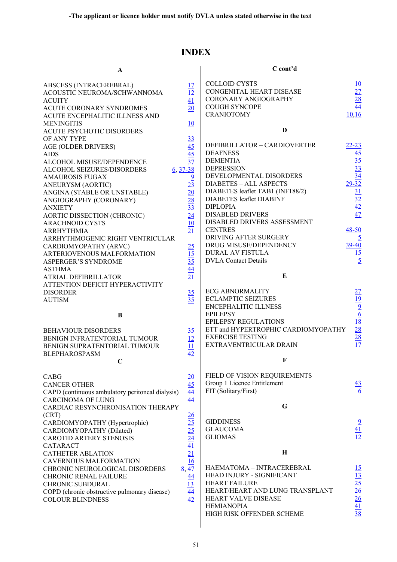# **INDEX**

<span id="page-52-0"></span>

| $\mathbf A$                                                  |                                    | C cont'd                                       |                                    |
|--------------------------------------------------------------|------------------------------------|------------------------------------------------|------------------------------------|
| ABSCESS (INTRACEREBRAL)                                      | 17                                 | <b>COLLOID CYSTS</b>                           | 10                                 |
| ACOUSTIC NEUROMA/SCHWANNOMA                                  | 12                                 | CONGENITAL HEART DISEASE                       |                                    |
| <b>ACUITY</b>                                                | 41                                 | CORONARY ANGIOGRAPHY                           | $\frac{27}{28}$                    |
| ACUTE CORONARY SYNDROMES                                     | 20                                 | <b>COUGH SYNCOPE</b>                           | $\overline{44}$                    |
| ACUTE ENCEPHALITIC ILLNESS AND                               |                                    | <b>CRANIOTOMY</b>                              | 10,16                              |
| <b>MENINGITIS</b>                                            | 10                                 |                                                |                                    |
| ACUTE PSYCHOTIC DISORDERS                                    |                                    | D                                              |                                    |
| OF ANY TYPE                                                  | <u>33</u>                          |                                                |                                    |
| AGE (OLDER DRIVERS)                                          | $\overline{45}$                    | DEFIBRILLATOR - CARDIOVERTER                   | $22 - 23$                          |
| <b>AIDS</b>                                                  | $\frac{45}{5}$                     | <b>DEAFNESS</b>                                |                                    |
| ALCOHOL MISUSE/DEPENDENCE                                    | $\overline{37}$                    | <b>DEMENTIA</b>                                | $\frac{45}{35}$ $\frac{33}{34}$    |
| $6, 37 - 38$<br>ALCOHOL SEIZURES/DISORDERS                   |                                    | <b>DEPRESSION</b>                              |                                    |
| <b>AMAUROSIS FUGAX</b>                                       |                                    | DEVELOPMENTAL DISORDERS                        |                                    |
| ANEURYSM (AORTIC)                                            | $\frac{9}{23}$                     | <b>DIABETES - ALL ASPECTS</b>                  | $29 - 32$                          |
| ANGINA (STABLE OR UNSTABLE)                                  |                                    | DIABETES leaflet TAB1 (INF188/2)               |                                    |
| ANGIOGRAPHY (CORONARY)                                       | $\frac{20}{28}$<br>$\frac{28}{33}$ | <b>DIABETES</b> leaflet DIABINF                | $\frac{31}{32}$<br>$\frac{42}{47}$ |
| <b>ANXIETY</b>                                               |                                    | <b>DIPLOPIA</b>                                |                                    |
| AORTIC DISSECTION (CHRONIC)                                  | $\frac{24}{10}$                    | <b>DISABLED DRIVERS</b>                        |                                    |
| <b>ARACHNOID CYSTS</b>                                       |                                    | DISABLED DRIVERS ASSESSMENT                    |                                    |
| <b>ARRHYTHMIA</b>                                            | $\overline{21}$                    | <b>CENTRES</b>                                 | $48 - 50$                          |
| ARRHYTHMOGENIC RIGHT VENTRICULAR                             |                                    | <b>DRIVING AFTER SURGERY</b>                   | <u>5</u>                           |
| CARDIOMYOPATHY (ARVC)                                        | 25                                 | DRUG MISUSE/DEPENDENCY                         | 39-40                              |
| ARTERIOVENOUS MALFORMATION                                   | 15                                 | <b>DURAL AV FISTULA</b>                        | $\frac{15}{5}$                     |
| <b>ASPERGER'S SYNDROME</b>                                   | $\frac{35}{5}$                     | <b>DVLA Contact Details</b>                    |                                    |
| <b>ASTHMA</b>                                                | $\overline{44}$                    |                                                |                                    |
| ATRIAL DEFIBRILLATOR                                         | 21                                 | E                                              |                                    |
| ATTENTION DEFICIT HYPERACTIVITY                              |                                    |                                                |                                    |
| <b>DISORDER</b>                                              | 35                                 | <b>ECG ABNORMALITY</b>                         | $\frac{27}{19}$ $\frac{9}{6}$      |
| <b>AUTISM</b>                                                | 35                                 | <b>ECLAMPTIC SEIZURES</b>                      |                                    |
|                                                              |                                    | <b>ENCEPHALITIC ILLNESS</b>                    |                                    |
| B                                                            |                                    | <b>EPILEPSY</b><br><b>EPILEPSY REGULATIONS</b> |                                    |
|                                                              |                                    | ETT and HYPERTROPHIC CARDIOMYOPATHY            | $\overline{28}$                    |
| <b>BEHAVIOUR DISORDERS</b>                                   | 35                                 | <b>EXERCISE TESTING</b>                        | 28                                 |
| BENIGN INFRATENTORIAL TUMOUR<br>BENIGN SUPRATENTORIAL TUMOUR | 12                                 | EXTRAVENTRICULAR DRAIN                         | 17                                 |
| <b>BLEPHAROSPASM</b>                                         | 11<br>42                           |                                                |                                    |
| $\mathbf C$                                                  |                                    | F                                              |                                    |
|                                                              |                                    |                                                |                                    |
| CABG                                                         | 20                                 | FIELD OF VISION REQUIREMENTS                   |                                    |
| <b>CANCER OTHER</b>                                          | 45                                 | Group 1 Licence Entitlement                    | 43                                 |
| CAPD (continuous ambulatory peritoneal dialysis)             | $\overline{44}$                    | FIT (Solitary/First)                           | 6                                  |
| <b>CARCINOMA OF LUNG</b>                                     | 44                                 |                                                |                                    |
| CARDIAC RESYNCHRONISATION THERAPY                            |                                    | G                                              |                                    |
| (CRT)                                                        |                                    |                                                |                                    |
| CARDIOMYOPATHY (Hypertrophic)                                | $\frac{26}{25}$                    | <b>GIDDINESS</b>                               | $\overline{9}$                     |
| CARDIOMYOPATHY (Dilated)                                     | $\overline{25}$                    | <b>GLAUCOMA</b>                                | $\frac{41}{12}$                    |
| <b>CAROTID ARTERY STENOSIS</b>                               | $\frac{24}{5}$                     | <b>GLIOMAS</b>                                 |                                    |
| <b>CATARACT</b>                                              | 41                                 |                                                |                                    |
| <b>CATHETER ABLATION</b>                                     | 21                                 | $\mathbf H$                                    |                                    |
| CAVERNOUS MALFORMATION                                       | 16                                 |                                                |                                    |
| 8,47<br>CHRONIC NEUROLOGICAL DISORDERS                       |                                    | HAEMATOMA - INTRACEREBRAL                      | <u>15</u>                          |
| <b>CHRONIC RENAL FAILURE</b>                                 | $\frac{44}{1}$                     | HEAD INJURY - SIGNIFICANT                      | 13                                 |
| <b>CHRONIC SUBDURAL</b>                                      | $\overline{13}$                    | <b>HEART FAILURE</b>                           |                                    |
| COPD (chronic obstructive pulmonary disease)                 | $\overline{44}$                    | HEART/HEART AND LUNG TRANSPLANT                |                                    |
| <b>COLOUR BLINDNESS</b>                                      | 42                                 | HEART VALVE DISEASE<br><b>HEMIANOPIA</b>       | $\frac{25}{26}$<br>$\frac{26}{41}$ |
|                                                              |                                    |                                                | $\overline{38}$                    |
|                                                              |                                    | HIGH RISK OFFENDER SCHEME                      |                                    |

 $\overline{\phantom{a}}$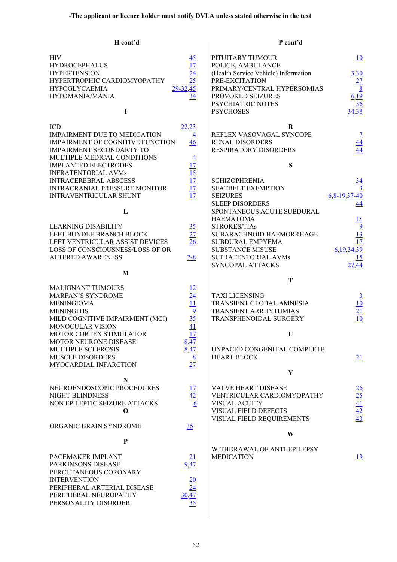| H cont'd                            |                                                                        | P cont'd                                                  |                                                       |
|-------------------------------------|------------------------------------------------------------------------|-----------------------------------------------------------|-------------------------------------------------------|
| <b>HIV</b>                          |                                                                        | PITUITARY TUMOUR                                          |                                                       |
| <b>HYDROCEPHALUS</b>                | $\frac{45}{5}$                                                         |                                                           | 10                                                    |
| <b>HYPERTENSION</b>                 | $\frac{\frac{12}{17}}{\frac{24}{25}}$ $\frac{29-32,45}{2}$             | POLICE, AMBULANCE<br>(Health Service Vehicle) Information |                                                       |
| HYPERTROPHIC CARDIOMYOPATHY         |                                                                        | PRE-EXCITATION                                            | 3,30                                                  |
| <b>HYPOGLYCAEMIA</b>                |                                                                        | PRIMARY/CENTRAL HYPERSOMIAS                               | 27                                                    |
| HYPOMANIA/MANIA                     | $\overline{34}$                                                        | PROVOKED SEIZURES                                         | $\frac{8}{6,19}$                                      |
|                                     |                                                                        | PSYCHIATRIC NOTES                                         | 36                                                    |
| I                                   |                                                                        | <b>PSYCHOSES</b>                                          | 34,38                                                 |
|                                     |                                                                        |                                                           |                                                       |
| ICD                                 | 22,23                                                                  | $\bf{R}$                                                  |                                                       |
| <b>IMPAIRMENT DUE TO MEDICATION</b> | $\overline{4}$                                                         | REFLEX VASOVAGAL SYNCOPE                                  |                                                       |
| IMPAIRMENT OF COGNITIVE FUNCTION    | 46                                                                     | <b>RENAL DISORDERS</b>                                    | $\frac{7}{44}$                                        |
| <b>IMPAIRMENT SECONDARTY TO</b>     |                                                                        | RESPIRATORY DISORDERS                                     | 44                                                    |
| MULTIPLE MEDICAL CONDITIONS         |                                                                        |                                                           |                                                       |
| <b>IMPLANTED ELECTRODES</b>         |                                                                        | ${\bf S}$                                                 |                                                       |
| <b>INFRATENTORIAL AVMs</b>          | $\frac{\frac{4}{17}}{\frac{15}{17}}$                                   |                                                           |                                                       |
| <b>INTRACEREBRAL ABSCESS</b>        |                                                                        | <b>SCHIZOPHRENIA</b>                                      | <u>34</u>                                             |
| INTRACRANIAL PRESSURE MONITOR       | 17                                                                     | <b>SEATBELT EXEMPTION</b>                                 | $\overline{3}$                                        |
| <b>INTRAVENTRICULAR SHUNT</b>       | 17                                                                     | <b>SEIZURES</b>                                           | $6,8-19,37-40$                                        |
|                                     |                                                                        | <b>SLEEP DISORDERS</b>                                    | 44                                                    |
| L                                   |                                                                        | SPONTANEOUS ACUTE SUBDURAL                                |                                                       |
|                                     |                                                                        | <b>HAEMATOMA</b>                                          | 13                                                    |
| <b>LEARNING DISABILITY</b>          | 35                                                                     | <b>STROKES/TIAs</b>                                       |                                                       |
| LEFT BUNDLE BRANCH BLOCK            | $\overline{27}$                                                        | SUBARACHNOID HAEMORRHAGE                                  | $\frac{9}{13}$                                        |
| LEFT VENTRICULAR ASSIST DEVICES     | 26                                                                     | SUBDURAL EMPYEMA                                          | $\overline{17}$                                       |
| LOSS OF CONSCIOUSNESS/LOSS OF OR    |                                                                        | <b>SUBSTANCE MISUSE</b>                                   | 6,19,34,39                                            |
| <b>ALTERED AWARENESS</b>            | $7 - 8$                                                                | SUPRATENTORIAL AVMs                                       | 15                                                    |
|                                     |                                                                        | SYNCOPAL ATTACKS                                          | 27,44                                                 |
| M                                   |                                                                        | T                                                         |                                                       |
| <b>MALIGNANT TUMOURS</b>            |                                                                        |                                                           |                                                       |
| <b>MARFAN'S SYNDROME</b>            | $\frac{12}{24}$<br>$\frac{11}{9}$<br>$\frac{9}{35}$<br>$\frac{41}{17}$ | <b>TAXI LICENSING</b>                                     |                                                       |
| <b>MENINGIOMA</b>                   |                                                                        | TRANSIENT GLOBAL AMNESIA                                  | $\frac{3}{10}$<br>$\frac{21}{10}$                     |
| <b>MENINGITIS</b>                   |                                                                        | <b>TRANSIENT ARRHYTHMIAS</b>                              |                                                       |
| MILD COGNITIVE IMPAIRMENT (MCI)     |                                                                        | TRANSPHENOIDAL SURGERY                                    |                                                       |
| MONOCULAR VISION                    |                                                                        |                                                           |                                                       |
| MOTOR CORTEX STIMULATOR             |                                                                        | $\mathbf U$                                               |                                                       |
| MOTOR NEURONE DISEASE               | 8,47                                                                   |                                                           |                                                       |
| MULTIPLE SCLEROSIS                  | 8,47                                                                   | UNPACED CONGENITAL COMPLETE                               |                                                       |
| <b>MUSCLE DISORDERS</b>             |                                                                        | <b>HEART BLOCK</b>                                        | 21                                                    |
| MYOCARDIAL INFARCTION               | $\frac{8}{27}$                                                         |                                                           |                                                       |
|                                     |                                                                        | V                                                         |                                                       |
| N                                   |                                                                        |                                                           |                                                       |
| NEUROENDOSCOPIC PROCEDURES          |                                                                        | <b>VALVE HEART DISEASE</b>                                |                                                       |
| NIGHT BLINDNESS                     | $\frac{17}{42}$                                                        | VENTRICULAR CARDIOMYOPATHY                                |                                                       |
| NON EPILEPTIC SEIZURE ATTACKS       | 6                                                                      | <b>VISUAL ACUITY</b>                                      | $\frac{26}{25}$<br>$\frac{25}{41}$<br>$\frac{42}{43}$ |
| $\mathbf 0$                         |                                                                        | VISUAL FIELD DEFECTS                                      |                                                       |
|                                     |                                                                        | VISUAL FIELD REQUIREMENTS                                 |                                                       |
| ORGANIC BRAIN SYNDROME              | 35                                                                     |                                                           |                                                       |
| ${\bf P}$                           |                                                                        | W                                                         |                                                       |
|                                     |                                                                        | WITHDRAWAL OF ANTI-EPILEPSY                               |                                                       |
| PACEMAKER IMPLANT                   | 21                                                                     | <b>MEDICATION</b>                                         | <u>19</u>                                             |
| PARKINSONS DISEASE                  | 9,47                                                                   |                                                           |                                                       |
| PERCUTANEOUS CORONARY               |                                                                        |                                                           |                                                       |
| <b>INTERVENTION</b>                 |                                                                        |                                                           |                                                       |
| PERIPHERAL ARTERIAL DISEASE         |                                                                        |                                                           |                                                       |
| PERIPHERAL NEUROPATHY               |                                                                        |                                                           |                                                       |
| PERSONALITY DISORDER                | $\frac{\frac{20}{24}}{\frac{30,47}{35}}$                               |                                                           |                                                       |
|                                     |                                                                        |                                                           |                                                       |
|                                     |                                                                        |                                                           |                                                       |